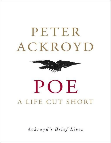# PETER ACKROYD



# POE A LIFE CUT SHORT

Ackroyd's Brief Lives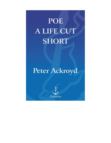# POE A LIFE CUT **SHORT**

# Peter Ackroyd

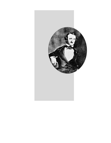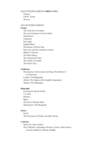#### *ALSO IN PETER ACKROYD'S BRIEF LIVES*

Chaucer J.M.W. Turner Newton

#### *ALSO BY PETER ACKROYD*

#### **Fiction**

The Great Fire of London The Last Testament of Oscar Wilde Hawksmoor Chatterton First Light English Music The House of Doctor Dee Dan Leno and the Limehouse Golem Milton in America The Plato Papers The Clerkenwell Tales The Lambs of London The Fall of Troy

#### **Nonfiction**

Dressing Up: Transvestism and Drag: The History of an Obsession London: The Biography Albion: The Origins of the English Imagination Thames: The Biography

#### **Biography**

Ezra Pound and His World T S. Eliot Dickens Blake The Life of Thomas More Shakespeare: The Biography

#### **Poetry**

Ouch! The Diversions of Purley and Other Poems

#### **Criticism**

Notes for a New Culture The Collection: Journalism, Reviews, Essays, Short Stories, Lectures (edited by Thomas Wright)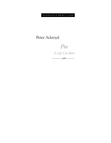#### ACKROYD'S BRIEF LIVES

## Peter Ackroyd

 $Poe$ A Life Cut Short  $\longrightarrow$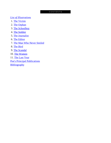#### CONTENTS

*List of [Illustrations](#page-6-0)*

- 1. The [Victim](#page-7-0)
- 2. The [Orphan](#page-11-0)
- 3. The [Schoolboy](#page-16-0)
- 4. The [Soldier](#page-26-0)
- 5. The [Journalist](#page-35-0)
- 6. The [Editor](#page-49-0)
- 7. The Man Who Never [Smiled](#page-60-0)
- 8. The [Bird](#page-73-0)
- 9. The [Scandal](#page-86-0)
- 10. The [Women](#page-100-0)
- 11. The Last [Year](#page-108-0)
- Poe's Principal [Publications](#page-115-0)
- **[Bibliography](#page-116-0)**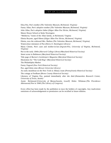#### LIST OF ILLUSTRATIONS

<span id="page-6-0"></span>Eliza Poe, Poe's mother *(The Valentine Museum, Richmond, Virginia)* Fanny Allan, Poe's adoptive mother *(The Valentine Museum, Richmond, Virginia)* John Allan, Poe's adoptive father *(Edgar Allan Poe Shrine, Richmond, Virginia)* Manor House School at Stoke Newington "Moldavia," home of the Allan family, in Richmond, Virginia Elmira Royster, aged fifteen *(Edgar Allan Poe Shrine, Richmond, Virginia)* Elmira, now the widowed Mrs. Shelton *(The Valentine Museum, Richmond, Virginia)* Watercolour miniature of Poe *(Henry E. Huntington Library)* Maria Clemm, Poe's aunt and mother-in-law *(Ingram-Poe, University of Virginia, Richmond, Virginia)* Poe in the early 1840s *(Harvard College Library/Maryland Historical Society)* Street scene in Baltimore *(Maryland Historical Society)* Title page of *Burton's Gentleman's Magazine (Maryland Historical Society)* Illustration for "The Gold Bug" *(Maryland Historical Society)* The Philadelphia Market Fanny Osgood *(New York Historical Society)* Poe, aged thirty-nine *(Brown University Library)* An early steamboat on the New York to Albany route *(Pennsylvania Historical Society)* The cottage at Fordham *(Bronx County Historical Society)* Likeness of Virginia Poe, painted immediately after she died *(Humanities Research Center, University of Texas, Austin)* Annie Richmond *(University of Massachusetts, Lowell)* Helen Whitman *(The Providence Athenaeum)* Poe in 1848 *(The Library of Congress)*

Every effort has been made by the publishers to trace the holders of copyrights. Any inadvertent omissions of acknowledgement or permission can be rectified in future editions.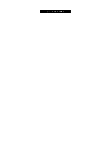#### CHAPTER ONE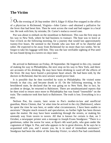### **The Victim**

 $\bigcirc$  On the evening of 26 Sep tember 184 9, Edgar O Allan Poe stopped in the office of a physician in Richmond, Virginia—John Carter—and obtained a palliative for the fever that had beset him. Then he went across the road and had supper in a local inn. He took with him, by mistake, Dr. Carter's malacca sword cane.

Poe was about to embark on the steamboat to Baltimore. This was the first stop on his way to New York, where he had business to transact. The boat was to leave at four o'clock on the following morning, for a journey that would last approximately twenty-five hours. He seemed to the friends who saw him off to be cheerful and sober. He expected to be away from Richmond for no more than two weeks. Yet he forgot to take his luggage with him. This was the last verifiable sighting of Poe until he was found dying in a tavern six days later.

He arrived in Baltimore on Friday, 28 September. He lingered in this city, instead of making his way to Philadelphia, the next stop on his way to New York, and there are accounts of his drinking. He may have been drinking to ward off the effects of the fever. He may have feared a precipitate heart attack. He had been told, by the doctors in Richmond, that his next seizure would prove fatal.

• • •

It is possible that he then travelled by train to Philadelphia. He visited some friends in that city, and became drunk or ill. On the following morning, in his bewildered state, he declared that he was going on to New York. But in fact, by accident or design, he returned to Baltimore. There are unsubstantiated reports that he then tried to return once more to Philadelphia but was found "insensible" on the train. The conductor took him back to Baltimore. The truth is lost. Everything is in a mist.

Neilson Poe, his cousin, later wrote to Poe's mother-in-law and unofficial guardian, Maria Clemm, that "at what time he arrived in the city [Baltimore], where he spent the time he was here, or under what circumstances, I have been unable to ascertain." Despite much research and speculation, no further light has been thrown upon the matter. He may have been wandering through the streets, or making his unsteady way from tavern to tavern. All that is known for certain is that, on 3 October, a newspaper printer sent a message to Joseph Evans Snodgrass: "There is a gentleman, rather the worse for wear, at Ryan's 4th ward polls, who goes under the cognomen of Edgar A. Poe, and who appears to be in great distress, & he says he is acquainted with you, and I assure you, he is in need of immediate assistance." Snodgrass had been the editor of the *Saturday Visiter,* to which Poe had contributed.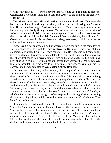"Ryan's 4th ward polls" refers to a tavern that was being used as a polling place for Congressional elections taking place that day; Ryan was the name of the proprietor of the tavern.

The printer's note was sufficiently serious to summon Snodgrass. He entered the barroom and found Poe sitting, stupefied, with a crowd of "drinking men" around him. His odd clothes caught Snodgrass's attention. He was wearing a tattered straw hat, and a pair of badly fitting trousers. He had a secondhand coat, but no sign of waistcoat or neckcloth. With the possible exception of the straw hat, these were not the clothes with which he had left Richmond. Yet, surprisingly, he still held Dr. Carter's malacca cane. In his inebriated and beleaguered state, it might have seemed to him an instrument of defence.

Snodgrass did not approach him, but ordered a room for him in the same tavern. He was about to send word to Poe's relatives in Baltimore, when two of them coinciden-tally arrived. One was Poe's cousin Henry Herring, who had come to the tavern on electoral business. He was related to a local politician. Snodgrass recalled that "they declined to take private care of him" on the grounds that he had in the past been abusive in this state of intoxication; instead they advised that Poe be removed to a local hospital. They managed to get him into a carriage, carrying him "as if a corpse," and he was admitted to Washington College Hospital.

The resident physician, John Moran, later reported that Poe remained "unconscious of his condition" until early the following morning. His stupor was then succeeded by "tremor of the limbs" as well as delirium with "constant talking —and vacant converse with spectral and imaginary objects on the walls." Only on the second day after his admission, Friday, 5 October, did he recover his tranquillity. He began to talk, but he was not coherent. He told the doctor that he had a wife in Richmond, which was not true, and that he did not know when he had left that city. The doctor then reassured him that he would soon be in the company of friends, at which point he broke out in an agony of self-reproach at his degradation, protesting that the best thing a friend might do for him was to blow out his (Poe's) brains. Then he fell into a slumber.

On waking he passed into delirium. On the Saturday evening he began to call out "Reynolds," and did so continually until three on the following Sunday morning. "Having become enfeebled from exertion," the doctor wrote, "he became quiet and seemed to rest for a short time, then gently moving his head he said *'Lord Help my poor Soul'* and expired." This is the testimony of Dr. Moran, written to Maria Clemm five weeks after the events he related. Despite later embellishments by the doctor it is the closest approximation to the truth now available.

• • •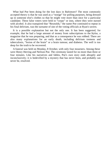What had Poe been doing for the lost days in Baltimore? The most commonly accepted theory is that he was used as a "stooge" for polling purposes, being dressed up in someone else's clothes so that he might vote more than once for a particular candidate. These false voters were held in "coops" or inns, where they were nursed with alcohol. It also transpired that "Reynolds," the name Poe continued to repeat in his final delirium, was the surname of one of the voting officials at Ryan's tavern.

It is a possible explanation but not the only one. It has been suggested, for example, that he had a large amount of money from subscriptions to the *Stylus,* a magazine that he was preparing, and that as a consequence he was robbed. There are also many explanations for an early death, including delirium tremens and tuberculosis, "lesion of the brain" or a brain tumour, and diabetes. The well is too deep for the truth to be recovered.

A funeral was held on Monday, 8 October, with only four mourners. Among these were Henry Herring and Neilson Poe. The ceremony lasted for no more than three or four minutes. Like his narratives and fables, Poe's own story ends abruptly and inconclusively; it is bedevilled by a mystery that has never been, and probably can never be, resolved.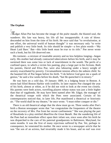#### CHAPTER TWO

#### <span id="page-11-0"></span>**The Orphan**

Edgar Allan Poe has become the image of the *poète maudit,* the blasted soul, the wanderer. His fate was heavy, his life all but insupportable. A rain of blows descended on him from the time of his birth. He once said that "to revolutionise, at one effort, the universal world of human thought" it was necessary only "to write and publish a very little book. Its title should be simple—a few plain words—'My Heart Laid Bare.' But—this little book must be *true to its title*." Poe never wrote such a book, but his life deserved one.

His torment—a mixture of insatiable anxiety and no less helpless longing—began early. His mother had already contracted tuberculosis before his birth, and it may be surmised there was some loss or lack of nourishment in the womb. The perils of a confined space, in which a victim lies panting, play a large part in his fictions. Both his parents, David and Eliza Poe, were also labouring under a heavy weight of anxiety exacerbated by poverty. Circumambient tension affects the unborn child. So the haunted life of Poe began before his birth. "I do believe God gave me a spark of genius," he said a few weeks before his death, "but He quenched it in misery."

He was born on a cold day, 19 January 1809, in a lodging house in Boston. A storm had filled Boston Harbor with icedrifts. In later reports Poe changed the year of his birth, almost at whim, as if he did not wish to look at the event too closely. His parents were both actors, travelling players whose status was just a little higher than that of vagabonds. He may have been named after Mr. Edgar, the manager of the theatrical troupe with which the Poes were associated. Certain of his contemporaries noticed that, in later life, Poe manifested a theatrical or histrionic air. "The world shall be my theatre," he once wrote. "I must either conquer or die."

There is an old theatrical adage that the show must go on. Three weeks after Poe's birth a Boston newspaper wrote that "we congratulate the frequenters of the theatre on the recovery of Mrs. Poe from her recent confinement." She was playing the part of Rosalinda in a play entitled *Abaellino the Great Bandit.* But the wandering life of the Poes had an immediate effect upon their infant son, since soon after his birth he was dispatched to the care of his paternal grandparents in Baltimore, Maryland, for some months. It was the first of many rejections suffered by Poe. Yet, perhaps in consequence, he venerated his mother. He once wrote in a newspaper article that he was "the son of an actress, had invariably made it his boast, and no earl was ever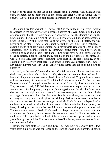prouder of his earldom than he of his descent from a woman who, although well born, hesitated not to consecrate to the drama her brief career of genius and of beauty." He was putting the best possible interpretation upon his mother's behaviour.

• • •

Of course Eliza Poe was not well born at all. She had sailed in 1796 from England to America in the company of her mother, an actress of Covent Garden, in the hope or expectation that there would be greater opportunities for the dramatic arts in the new country. She was only nine at the time of her migration, but she soon became a practised artiste. Within three months of her arrival in the United States, she was performing on stage. There is one extant portrait of her in her early maturity. It shows a pretty if slight young woman, with fashionable ringlets; she has a lively expression, only slightly spoiled by somewhat protuberant eyes. She wears an Empire-line robe and a pert little bonnet. She must have been a competent and pleasing actress, since she gained many plaudits in the newspapers of the time. She was also versatile, sometimes sustaining three roles in the same evening. In the course of her relatively short career she assumed some 201 different parts. One of her fellow players was Mr. Luke Usher, whose name has since come down to posterity.

In 1802, at the age of fifteen, she married a fellow actor, Charles Hopkins, who died three years later. On 14 March 1806, six months after the death of her first husband, the young actress married David Poe in Richmond, Virginia, in what seem to have been hasty circumstances. David Poe had to borrow money for the occasion. He was intended for a legal career, but was diverted from it by theatrical ambitions. They were only partly fulfilled, however, and the newspaper reports suggest that he was no match for his pretty young wife. One magazine decided that he "was never destined for the high walks of drama." He was twenty-two at the time of the marriage, three years older than his wife. But he was already an impetuous and extravagant young man, much given to drinking. Performances were cancelled at short notice because of what the manager called Mr. Poe's "sudden indisposition," a euphemism for total intoxication. It is a matter of debate whether the propensity for heavy drinking, or for alcoholism (which is not the same thing), can be inherited. The only extant letter in David Poe's hand is a desperate plea for money, with the assurance that "nothing but extreme distress would have forc'd me to make this application." It is precisely the kind of letter his son was obliged to write in later years. It might be said that Poe became an echo of his father, as eerie a connection as any in his own fictions.

Henry, the first child of David and Eliza Poe, was born in January 1807. Two years after his birth he was consigned to the care of David Poe's parents, Elizabeth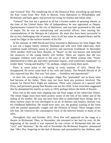and "General" Poe. The wandering life of the theatrical Poes, travelling up and down the East Coast from New York to Boston, from Baltimore to Philadelphia and Richmond, and back again, had proved too tiring for mother and infant alike.

"General" Poe was not a general at all but a former maker of spinning wheels; at the time of the United States War of Independence he was appointed as Deputy Quartermaster General for the city of Baltimore, and was later promoted to the rank of major. Yet he was an enterprising and successful officer, later earning the commendations of the Marquis de Lafayette. He must also have been successful in the no less challenging role of parent, since in all but name he adopted Henry and he cared for Edgar in the earliest months of his life.

In the summer of 1809 David and Eliza returned to Baltimore for little Edgar. But it was not a happy family reunion. Husband and wife were both tubercular, their condition made infinitely worse by poverty and uncertain livelihood. In December 1810, another child was born, Rosalie, or "Rosie" as she was known, and stretched the resources of the young family still further. There are reports that the two youngest children were placed in the care of an old Welsh woman who "freely administered to them gin and other spirituous liquors, with sometimes laudanum" to render them "strong and healthy." Or, perhaps, simply to keep them quiet.

Then, at some point in the spring or early summer of 1811, David Poe disappeared. He never came back to his wife and family. The *Norfolk Herald* of 26 July reported that Mrs. Poe was "left alone … friendless and unprotected."

In later life, according to a colleague, Edgar Poe "pretended" not to know what had become of his father. There may not have been any pretence involved. The reasons for David Poe's flight are unknown. There were rumours of a quarrel with Eliza, and persistent gossip that Rosalie was not his child. It has even been suggested that he abandoned his family as early as 1810, perhaps before the birth of Rosalie.

Eliza was at the same time slipping into the final stages of her tubercular illness. The infant Edgar must have been acutely aware of the loss of his father and of the fading of his mother. He may not have been able to understand these things, but in these earliest years he was enveloped in an air of menace and fatality. Anxiety was his childhood bedfellow. He would have seen, too, the gradual wasting of her form with the painful spasmodic coughs and the effusion of blood. These images never left him. He resurrects the consumptive form of the beloved female in many of his tales.

Throughout July and October 1811, Eliza Poe still appeared on the stage at a theatre in Richmond. Then, in November, she retreated to her bed for ever. At the beginning of the month it was reported by one citizen of Richmond that she was "sick" and "destitute." By the end of November the *Richmond Enquirer* announced that *"Mrs. Poe,* lingering on the bed of disease and surrounded by her children, asks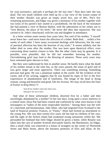for your *assistance;* and *asks it perhaps for the last time*." Nine days later she was dead. The two small children were held up for a last view of the waxen corpse of their mother. Rosalie was given an empty jewel box, one of Mrs. Poe's few remaining possessions, and Edgar was given a miniature of his mother together with two locks of his parent's hair sealed in a pocketbook. On the back of the miniature she had painted a view of Boston Harbor, with the admonition to her infant son to "love Boston, the place of his birth." He never did obey that injunction. She was carried to St. John's churchyard, with her son and daughter in attendance.

In a letter written some twenty-four years later, Poe said of his mother, "I myself never knew her—and never knew the affection of a father. Both died … within a few weeks of each other. I have many occasional dealings with Adversity, but the want of parental affection has been the heaviest of my trials." It seems unlikely that the father died so soon after the mother. Poe was keen upon theatrical effect, even concerning those matters closest to him. But the other claim may be genuine. It is possible, even plausible, that he did not remember knowing his mother. Overwhelming grief may lead to the blessing of amnesia. Those early years may have remained quite obscure to him.

But they were understood by him in another sense. He hardly knew what the death of his mother meant at the time but, as the years passed, the sense of grief and of loss grew larger and more oppressive. There was something missing. Something precious had gone. He was a perpetual orphan in the world. All the evidence of his career, and of his writing, suggests that he was bound by ropes of fire to the first experiences of abandonment and of loneliness. The image of the dead or dying woman, young and beautiful and good, fills his fictions. We may recall here the lines of Exeter in *King Henry V:*

> And all my mother came into mine eyes, And gave me up to tears.

And what of these unfortunate children, deserted first by a father and then unwillingly abandoned by a mother? In her last days, lying upon a straw mattress in a rented room, Eliza Poe had been visited and comforted by what were known in the newspapers as "ladies of the most respectable families." Among these was the wife of a merchant and businessman, John Allan, who had migrated from Scotland to the land of financial promise. Frances, or "Fanny," Allan had formed an attachment to the young Poe. She was then twenty-five years old but had no children of her own, and the sight of the forlorn infant had awakened strong sensations within her. She persuaded her husband that little Edgar should be given a home, while Rosalie was taken into the care of another Scottish mercantile family, the Mackenzies. So Edgar, then a small child, was removed to a house of strangers on the corner of Thirteenth Street and Main Street, above the business premises of Ellis and Allan. At his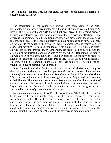christening on 7 January 1812 he was given the name of his surrogate parents: he became Edgar Allan Poe.

• • •

The descriptions of the young boy, during these early years in the Allan household, are uniformly favourable. Neighbours in Richmond recalled him as "a lovely little fellow, with dark curls and brilliant eyes, dressed like a young prince;" he was characterised by charm and cleverness, blessed with an affectionate and generous temperament, noted for a frank and vivacious disposition. It sounds almost too good to be true. Little Lord Fauntleroy was nothing compared to him. He danced on the table, to the delight of Fanny Allan's female companions, and recited *The Lay of the Last Minstrel.* He toasted "the ladies" with a glass of sweet wine and water. He was petted, and dressed up, by Mrs. Allan. He seems also to have gained the affection of her husband. John Allan was thirty-one when Edgar joined the family. He was a man of business, but neither dour nor hard; on the contrary he seems to have been keen to the delights and pleasures of life. He already had two illegitimate children, living in Richmond. He must also have had some fellow feeling with the young Poe, since he himself was an orphan.

Other figures in the Allan family remain anonymous and elusive: they comprise the household of slaves who lived in partitioned quarters. Among them was the "mammy" deputed to care for the young Poe whenever Fanny Allan was elsewhere. We know that in the household lived a young slave called Scipio, and an older slave called Thomas. There were no doubt others. Poe always defended the institution of slavery, for which he seems to have harboured affectionate memories. He owed a larger debt, too, to the small black community in which his imagination was awakened by stories of graves and charnel houses.

Poe's maternal grandmother, Eliza Poe, described him as "the Child of fortune" in being fostered by such a kindly couple. But there is of course no record of *his* feelings on the matter. He must have been aware, however, that he was living on the charity and kindness of those who had no true relationship to him; this instilled in him a sense of uncertainty, or of defensiveness. It made him fearful. There is a childhood story of his being driven past a log cabin surrounded by graves, at the sight of which he screamed out, "They will run after us and drag me down!"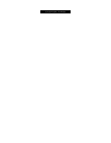#### CHAPTER THREE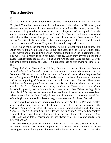## **The Schoolboy**

 $\prod_{n=1}^{\infty}$  In the late spring of 1815 John Allan decided to remove himself and his family to E ngland. There had been a slump in the fortunes of his business in Richmond, and the mercantile climate of London seemed more propitious. He wanted, in particular, to renew trading relationships with the tobacco importers of the capital. So at the end of June the Allans set sail on the *Lothair* for Liverpool, a journey that would take almost five weeks. The party consisted of John Allan, Frances Allan, Anne Moore Valentine in her capacity as sister and companion of Frances, and the black slave known only as Thomas. They took their small charge with them.

Poe was on the ocean for the first time. On the pilot boat, riding out to sea, John Allan reported that "Ned [Edgar] cared but little about it, poor fellow." But the sight of the waves and of the rolling horizon impressed itself upon the imagination of the boy who was to return to it in his future writing. When they arrived on the other shore Allan reported the six-year-old as asking "Pa say something for me: say I was not afraid coming across the Sea." This suggests that he was trying to conceal his fear.

They docked in Liverpool on 29 July, but did not travel directly to London. Instead John Allan decided to visit his relations in Scotland; there were sisters at Irvine and Kilmarnock, and other relatives in Greenock, from where they travelled on to Glasgow and Edinburgh. The Scottish grand tour lasted for some two months, and at the beginning of October the Allans took a carriage to London. They rented lodgings in Southampton Row, just south of Russell Square, where they all soon caught cold from the damp and heavy London air. There is a picture of the household, given by John Allan in a letter, where he describes "Edgar reading a little Story Book." It may be the book that Poe mentioned in an essay some years later, when he remarked on "how fondly do we recur in memory to those enchanted days of our boyhood when we first learned to grow serious over Robinson Crusoe!"

There was, however, more exacting reading. In early April 1816, Poe was enrolled at a boarding school in Sloane Street superintended by two sisters known as the "Misses Dubourg." An extant bill from this establishment includes such items as a "Separate Bed," a "Seat in Church," "Mavor's Spelling" and "Fresnoy's Geography." The rest of the curriculum is unknown, but Poe prospered under its regimen. In June 1818, John Allan told a correspondent that "Edgar is a fine Boy and reads Latin pretty sharply."

His progress was such that, a month later, "Edgar Allan" was enrolled for tuition in another school. He became a pupil of the Manor House School, in Stoke Newington, under the aegis of the Reverend John Bransby. It was located in what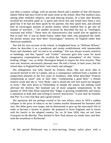was then a country village, with an ancient church and a number of fine old houses; Daniel Defoe had once lived in the same street as the school. Here Poe studied Latin, among other orthodox subjects, and took dancing lessons. At a later date Bransby recalled his erstwhile pupil as "a quick and clever boy and would have been a very good boy if he had not been spoilt by his parents; but they spoilt him, and allowed him an extravagant amount of pocket money, which enabled him to get into all manner of mischief..." On another occasion he described the boy as "intelligent, wayward and wilful." These were all characteristics that would also be applied to Poe in later life. It was no doubt Fanny, rather than John, who pampered the child; the pocket money may have been "extravagant," however, by English rather than American standards.

Poe left his own account of the school, in heightened form, in "William Wilson," where he describes it as a ponderous and roomy establishment with innumerable floors and chambers and "no end to its windings." Poe was always acutely sensitive to buildings, and this "quaint" and "Gothic" structure gave him cause for much imaginative contemplation. He recalled the "dusky atmosphere" of this "mistylooking village," too, so Stoke Newington helped to inspire his first reveries. They were not, however, necessarily pleasant ones. He told a friend, in later years, that his school days in England had been "sad, lonely and unhappy."

His unhappiness was fully shared by Frances Allan. She was never able to reconcile herself to life in London, and as a consequence suffered from a number of unspecified ailments in the five years of residence. John Allan described "Frances complaining as usual" and, at later date, "complaining a good deal;" a female relative wrote that she is "very Weak—and is afraid she will feel much too fatigued to write." She went down to Cheltenham to sample the waters, but nothing could alleviate her distress. Her husband was of more sanguine temperament. In the autumn of 1818 John Allan reported that "Edgar is growing wonderfully and enjoys a reputation as both able and willing to receive instruction." A year later he remarks that Poe "is a very fine Boy and a good scholar."

His optimism did not perhaps extend to his own affairs, since in 1819 a sudden collapse in the price of tobacco on the London market threatened his business with ruin. His debts grew ever larger, and he determined to give up the mercantile life in order to become a farmer or planter. He prepared to leave England, and to return with his family to his adopted country. So, on 16 June 1820, they set sail from Liverpool on the *Martha.* They docked in New York almost six weeks later, and then took the steamboat to Richmond.

• • •

In this period Richmond was a slow-moving, sleepy, sultry place with a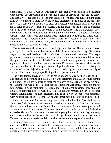population of 10,000. It was in large part an industrial city, but half of its population were slaves. The American South was then a land of servitude, with all the torpor and casual violence associated with that condition. The city was built on eight green hills overlooking the James River, the houses clustered on the sides of the hills; the river was a consolation in what was often an oppressive climate, making its way past small islands and over broken boulders. The landscape at the height of summer, when the Poes returned, was decorated with the peach tree and the magnolia. There were many fine and well-built houses along the main streets of the town, with large gardens filled with roses and linden trees, myrtle and honeysuckle. There was a legislature, and a splendid public library; there were assembly rooms and white wooden churches. But, close to them, were the crumbling tenements and sheds where some of the black population lived.

The streets were filled with goats, and pigs, and horses. There were still cows grazing in Capitol Square as late as the middle of the nineteenth century. There were stage coaches, and carriages, with their black footmen and coachmen. The larger plantation houses were very spacious, with cool verandahs and rooms shielded from the glare of the sun by linen blinds. The men sat in rocking chairs, smoked their cigars and chewed on the local crop of tobacco. Elsewhere there were cabins for the slaves, where black children sprawled and played in the dust. There would always be a sense of settled dejection in such a place, lifted only by the constant supply of sherry cobblers and mint juleps. Drying tobacco poisoned the air.

The Allan family stayed at first in the house of John Allan's partner, Charles Ellis, and perhaps at his urging and instigation it was determined that Allan would remain at his mercantile post in order to steer the business to success. At the beginning of the autumn Poe was sent to a local school, Richmond Academy, where his master remembered him as "ambitious to excel, and although not conspicuously studious, he always acquitted himself well in his classes. He was remarkable for self-respect, without haughtiness;" he also described him as of "a very excitable temperament" with "a great deal of self-esteem." So he was sometimes a difficult and wilful child.

From this age, too, he was writing poetry. His schoolteacher described him as "born poet" who wrote verses *"con amore* and not as mere tasks." John Allan shared the master's high opinion, and showed him a manuscript of young Poe's poems with a view to eventual publication. This was deemed inadvisable, since it might lead to excessive flattery for an already over-excitable young boy. Allan's enquiry, however, emphasises the fact that he took his young charge's literary ambitions very seriously. He was not the authoritarian and distant figure of some biographers' invention.

At school Poe studied the standard classical authors, among them Ovid and Virgil and Cicero. But he also excelled in less scholastic pursuits. He was a good swimmer, and once swam six miles against the tide of the James River watched by masters and pupils alike. He was athletic, wiry and strong; he boxed, and excelled in field sports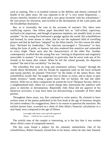such as running. This is in marked contrast to the debility and almost continual ill health of his adult years. He was reported to be of "a very sweet disposition … always cheerful, brimful of mirth and a very great favourite with his schoolmates." He won prizes for elocution, and excelled at the declamation of the Latin poets and the Elizabethan dramatists.

But, as is invariably the case in the accounts of anyone's life, there were conflicting reports. One fellow pupil described him as "self-willed, capricious, inclined to be imperious, and though of generous impulses, not steadily kind, or even amiable." So the young Poe harboured a grudge against the world. His schoolfellows had learned, by some means or other, that he was the orphaned child of travelling players and that he had been "adopted" by the Allan family. For this reason the other boys "declined his leadership." The rejection encouraged a "fierceness" in him, taking the form of pride, or hauteur, but also rendered him sensitive and vulnerable to every slight. These were also the characteristics of the older Poe. Another contemporary recalled that the young Poe was "retiring in disposition and singularly unsociable in manner." It was remarked, in particular, that he never took any of his friends to his home after school. When he left the school grounds, his departure marked "the end of his sociability" for that day.

The schoolboy Poe went on long and sometimes solitary "tramps" through the woods above Richmond; with his friends he organised raids on the local orchards and turnip patches; he planned "fish-fries" by the banks of the James River. One schoolfellow recalls that "he taught me how to shoot, to swim, and to skate, to play bandy etcetera," bandy being a game much like ice hockey. He had one other interest. With two or three companions he joined the local Thespian Society, held in a neighbourhood hall, where for a small charge they entertained the audience with plays or sketches or declamations. Reportedly John Allan did not approve of his theatrical activities; it may have been too disconcerting a reminder of Poe's dead parents.

Throughout these years, too, Poe continued to write poetry. He claimed to have written some of the poems published in his first book at the age of fourteen; despite his native tendency for exaggeration, there is no reason to question the assertion. His earliest known lines, scrawled on a sheet of John Allan's financial calculations in a neat hand, were composed at the age of fifteen:

> Last night with many cares and toils oppress'd Weary … I laid me on a couch to rest.

The wistful tone of the couplet is interesting, as is the fact that it was written above Allan's sums of compound interest.

The boy soon found a subject for his romantic melancholia. One of his schoolfellows, Robert Stanard, invited him to his house, where he met Jane Stanard,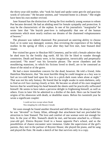the thirty-year-old mother, who "took his hand and spoke some gen-tle and gracious words of welcome." He became smitten, and "returned home in a dream." She might have been his own mother revived.

Jane Stanard has the distinction of being the first motherly young woman to whom Poe became devoted. He had an abiding need for female sympathy and protection. It may be the characteristic of the orphan. In one of his journalistic "marginalia" he wrote later that "the boyish poet-love is indisputably that one of the human sentiments which most nearly realises our dreams of the chastened voluptuousness of heaven."

The pleasure was indeed chastened. Poe possessed an unerring ability to choose frail, or in some way damaged, women, thus revisiting the experience of his fading mother. In the spring of 1824, a year after they had first met, Jane Stanard died insane.

Poe visited her grave in Shockoe Hill Cemetery, and he told a female admirer that he shed tears by the freshly dug earth. All his life he liked to wander through cemeteries. Death and beauty were, in his imagination, inextricably and perpetually associated. "No more" was his favourite phrase. The secret chambers and the mouldering mansions, in which his fictions loved to dwell, are to be construed as those of the mind or of the grave.

He had a more immediate concern for the dead; however. He told a friend, John Hamilton Mackenzie, that "the most horrible thing he could imagine as a boy was to feel an ice-cold hand laid upon his face in a pitch dark room when alone at night." That was not his only fantasy. He feared that he might awake in semi-darkness, only to find an evil face staring closely at him. He became so afraid of his own imagined horrors that he would keep his head beneath the sheets until he practically suffocated himself. He seems to have taken a perverse delight in frightening himself, as well as others. Even in later life he admitted to a dislike of the dark. Here can be found the origins of his obsession with death, or deathlike states. Before his twentieth year he wrote a significant couplet:

> I could not love except where Death Was mingling his with Beauty's breath.

Yet soon enough he found another thwarted and difficult love. He always said that he was "devoted" to Fanny Allan, although that attachment had not precluded his attraction to Jane Stanard. The love and comfort of one woman were not enough for him. In the year of Mrs. Stanard's death he met, and became attached to, a fifteenyear-old girl. Elmira Royster lived in a house opposite Poe's school, and so the possibilities of chance encounter were immense. Under the supervision of the girl's parents, they met in the parlour of Royster House; she played the piano, and he sang and played the flute. He made a sketch of her that survives only in a copy.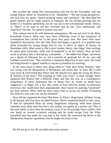She recalled the young Poe remonstrating with her for her friendship with one young woman whom he considered to be "unladylike." "He had strong prejudices," she said after his death. "Hated anything coarse and unrefined." She described his grand manner, and his slight shyness in company. He was already growing into the model of a Southern gentleman, but he was not in the conventional mould. Elmira, or "Myra" as he used to call her, recorded that he was "very enthusiastic and impulsive" but that "his general manner was sad."

That sadness had to do with domestic unhappiness. All was not well in the Allan household. Frances Allan may have been exhibiting some of the symptoms of consumption that carried her to the grave five years later. But there were more immediate discontents. Poe and John Allan had begun to quarrel. It is possible that Allan reminded his young charge that he was in effect an object of charity. In November 1824, Allan wrote to Poe's older brother, Henry, that Edgar "does nothing & seems quite miserable, sulky and ill-tempered to all the Family. How we have acted to produce this is beyond my conception …" He added that Edgar "possesses not a Spark of affection for us, not a particle of gratitude for all my care and kindness towards him." This would be a complaint about Poe in later years. He could not bring himself to appear humble to anyone or thankful for anything.

In the same letter to Henry Poe, Allan refers to "your poor Sister, Rosalie," who was living with the Mackenzies in Richmond, and writes that "at least She is half your sister & God forbid dear Henry that We should visit upon the living the Errors & frailties of the dead." The meaning of "half your sister" is clear enough. Allan supposed that Rosalie had a different father and that she was, as a consequence, illegitimate. If Allan mentioned this to Henry Poe, he would no doubt have suggested it to Edgar. For a boy who seems to have held his mother in particular reverence, this would have been unpardonable. Poe's hatred of anything "unrefined" has been noticed. What could be more coarse than to accuse his mother of bearing the child of a man who was not her husband?

How did the argument develop? Poe knew of Allan's illegitimate children, living in Richmond, and may have ascribed Frances Allan's weakened health to that cause. If then he upbraided Allan for siring illegitimate offspring, what more natural rejoinder from Allan than that Poe's own mother was guilty of a similar sin? This is the most likely to have been the primary cause of an increasingly bitter conflict. Poe was heard on several occasions wishing that he could escape from the Allan household and thus make his own way in the world. He expressed the desire to the Mackenzies, Rosalie's guardians, that he might run away to sea.

• • •

He did not go to sea. He attended university instead.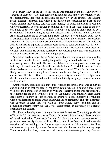In February 1826, at the age of sixteen, he was enrolled at the new University of Virginia in Charlottesville. The cornerstone had been laid nine years previously, but the establishment had been in operation for only a year. Its founder and guiding spirit, Thomas Jefferson, had wished "to develop the reasoning faculties of our youth, enlarge their minds, cultivate their morals," in which ambitions he was not wholly successful. Poe was lodged at number thirteen in the West Range of the new buildings, on the west side of a central lawn, where he roomed alone. Roused by a servant at 5:30 each morning, he began his first classes at 7:00 a.m. in the Schools of Ancient Languages and of Modern Languages. He proved to be a model pupil, adept at translation from Latin as well as Italian. At the end of the year he was recorded as "excelling" in the senior Latin class and the senior French class. He said in a letter to John Allan that he expected to perform well in end of term examinations "if I don't get frightened," an indication of the nervous anxiety that seems to have been his constant companion. He became secretary of the debating club, and was preeminent in the gymnastic exercises of running and jumping.

One fellow student remembered "a sad, melancholy face always, and even a smile, for I don't remember his ever having laughed heartily, seemed to be forced." No one ever really knew him well. He was too defensive, or too proud, to encourage intimacy. He would also "put himself under the influence" of drink in order to "quiet the excessive nervous excitability under which he laboured." The drink in question is likely to have been the ubiquitous "peach [brandy] and honey," a sweet if lethal concoction. This is the first reference to his partiality for alcohol. It is significant that it should have manifested itself at such a relatively early age. He was born, not made, a drinker.

Another fellow student recalls that "Poe's passion for strong drink was as marked and as peculiar as that for cards." Poe loved gambling. When he and a local clerk vied over the purchase of an edition of William Hogarth's prints, Poe proposed that they gamble for the book with dice. Poe lost. He played cards endlessly, often losing large sums of money. In such matters, according to a contemporary, he "plunged with a recklessness of nature which acknowledged no restraint." This "recklessness" was apparent in later life, too, with his increasingly heavy drinking and his sometimes extreme behaviour. Yet it was accompanied, at university, by a steady attention to his studies.

His life at university should in any case be seen in context. The young gentlemen of Virginia did not necessarily obey Thomas Jefferson's injunctions, at least in terms of moral cultivation. There were frequent fist fights, and most students owned a pistol that was readily drawn and fired. The culture of the South still harboured the traditions of the duelling code. Some students came from rich plantation families, and were accompanied by slaves. Some arrived with horses or with hunting dogs. There were drunken forays into the local towns, and inveterate gambling. Poe was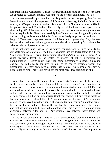not unique in his weaknesses. But he was unusual in not being able to pay for them. He appealed to Allan for money, who sent too little of that commodity too late.

Allan was generally parsimonious in his provisions for the young Poe. In one letter Poe calculated the expenses of life at the university, including board and tuition, at \$350 per annum. Allan had dispatched him to Charlottesville with \$110 in his pocket. As a result Poe had enrolled in only two of the three schools open to him, thus saving \$15. Allan sent him further sums, but they were never enough to allow him to pay his bills. They were certainly insufficient to cover his gambling debts, and according to Poe's complaint he "was immediately regarded in the light of a beggar." There was no apparent reason for Allan's lack of generosity. Only the year before, Allan had inherited a large estate from the will of a wealthy Scottish relative who had also emigrated to America.

It is not surprising that Allan harboured contradictory feelings towards his surrogate son. At a later date Poe himself characterised his foster father to a friend "as a man of gross & brutal temperament though *indulgent to him* at times & at *times* profusely lavish in the matter of money—at others, penurious and parsimonious." It seems likely that Allan came increasingly to resent his young charge. Poe had already appeared to him, as he had to others, arrogant and unthankful. Poe may even have assumed that Allan's wealth would one day be bequeathed to him. This would have been the most hazardous assumption of all.

• • •

When Poe returned to Richmond at the end of 1826, Allan refused to finance any further period of study. Despite dunning letters from the young Poe's creditors, he also refused to pay any more of the debts, which amounted to some \$2,000. Poe had expected to spend two years at the university; he would not have acquired a degree in the modern sense, but it would have been formally recorded that he had completed certain courses. He had an immoderate thirst for reading, but any future world of learning was now foreclosed. He told Allan in a subsequent letter that "in a moment of caprice you have blasted my hope." It was a bitter homecoming in another sense: he learned that his letters to Elmira Royster had been kept from her by her father, and that she was about to be married to another man. There were frequent and sharp arguments between Allan and Poe. Any residual love between foster father and foster son had disappeared.

In the middle of March 1827, Poe left the Allan household forever. He went to the Courthouse Tavern, from where he wrote to his surrogate father that "I have heard you say (when you little thought I was listening, and therefore must have said it in earnest) that you had no affection for me." He added that his guardian "was continually upbraiding me with eating the bread of Idleness." He also objected to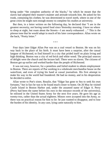being under "the complete authority of the blacks," by which he meant that the slaves had adopted their master's manner and attitude towards him. He asked for his trunk, containing his clothes; he was determined to travel north, where in one of the great cities he might earn enough money to complete his studies at university.

But then, in a letter written on the following day, he declared that "I am in the greatest necessity, not having tasted food since Yesterday morning. I have no where to sleep at night, but roam about the Streets—I am nearly exhausted …" This is the piteous tone that he would adopt in much of his later correspondence. Allan wrote on the back, "Pretty letter."

• • •

Four days later Edgar Allan Poe was on a coal vessel to Boston. He was on his way back to the place of his birth. It must have been a surprise, after the casual languor of Richmond, to find himself in a city that prided itself on plain living and high thinking. Boston was a city of red brick and white wood. The principal sources of delight were the church and the lecture hall. There were no slaves. The citizens of Boston got up earlier and worked harder than the people of Richmond.

It was not easy, however, for a penniless and failed student to obtain employment in Boston. There are reports of Poe working in a wholesale merchandise house on the waterfront, and even of trying his hand at casual journalism. His first attempt to make his way in the world had foundered. He had no money, and in his desperation he decided to enlist.

Allan wrote to Poe's sister, Rosalie, that "Edgar has gone to Sea to seek his own fortunes," but in fact he was to be found much closer to home. On 26 May he visited Castle Island in Boston Harbor and, under the assumed name of Edgar A. Perry (Perry had been the name before his own in the entrance records of the university), he enlisted in the United States Army for the next five years. He gave his age as twenty-two, rather than the actual eighteen. Minors were accepted into the Army, so there was no practical reason for him to lie: he just wanted to disappear, and to lose the burden of his identity. In any case, lying came naturally to him.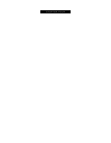#### CHAPTER FOUR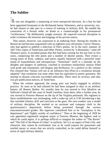### **The Soldier**

 $\int_{0}^{\infty}$ It was not altogether a surprising or even unexpected decision. As a boy he had been appointed lieutenant in the Richmond Junior Volunteers, and at university, too, he had chosen to take part in a course of training in military drill. He needed the constraints of a formal order, no doubt as a counterweight to his pronounced "recklessness." He deliberately sought restraint. He required external discipline in order to balance the miseries and longings of his private nature.

That nature, however, was expressed in an enduring form. During his months in Boston he had become acquainted with an eighteen-year-old printer, Calvin Thomas, who had agreed to publish a selection of Poe's poems. So in the early summer of 1827 fifty copies of *Tamerlane and Other Poems,* written by "a Bostonian," came off Thomas's press. It included poems that Poe had been writing for the last four or five years, comprising the title poem and a number of shorter poems. They evince a strong sense of form, cadence, and metre, equally balanced with a powerful inner mood of mournfulness and introspection. "Tamerlane" itself is a monody on the delights and dangers of ambition, couched in seventeen melancholy stanzas filled with pride and resentment, self-disgust and disillusion. In a preface to the volume Poe claimed that "failure will not at all influence him [Poe] in a resolution already adopted;" that resolution was none other than his aspiration to poetic greatness. His attempt to disarm criticism succeeded admirably. There were no reviews, and only two pre-publication notices, of *Tamerlane.*

When the volume appeared, the young poet was busily engaged in artillery practice. As soon as he had enlisted he had been assigned to duty in an artillery battery off Boston Harbor. Six months later he was moved to Fort Moultrie on Sullivan's Island off the coast of South Carolina; from there, after a further year, he was moved to Fortress Monroe on the tip of the Virginia peninsula. His regimen in these establishments was unchanging, with a wake-up call at 5:30 introducing a day that included infantry drill and exercises at the guns. His own conduct was a model of military discipline. He worked as an assistant and company clerk in the quartermaster's department before being promoted through the various noncommissioned grades. His superiors considered him to be "exemplary in his deportment" and "highly worthy of confidence." Then at the beginning of 1829 he was appointed regimental sergeant major at Fortress Monroe, the highest rank to which he could aspire. It is perhaps difficult to imagine the author of "The Raven" and "The Fall of the House of Usher" in uniform. Yet it is an aspect of Poe's life, and character, that cannot be overlooked. Just as he could express his passionate and morbid nature in verses that are strictly controlled, so he could define himself in terms of rigid military identity.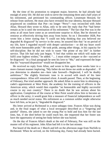By the time of his promotion to sergeant major, however, he had already had enough of army life. He did not wish to serve the remaining three and a half years of his enlistment, and petitioned his commanding officer, Lieutenant Howard, for release from uniform. He must also have revealed his true identity, because Howard acquiesced on condition that Poe—no longer "Perry"—was reconciled with John Allan. Howard then wrote to Allan, only to be sent the reply that Poe "had better remain as he is until the termination of his enlistment." The fact that Poe was in the army at all must have come as an unwelcome surprise to Allan. But he showed no remorse at effectively driving him away from home. So on 1 December 1828, Poe wrote him a letter stating that "I could not help thinking that you believed me degraded & disgraced" by service in the army; he assured him that "at no period of my life, have I regarded myself with deeper satisfaction— or did my heart swell with more honourable pride." He took pride, among other things, in his capacity for self-discipline. But he did not wish to waste "the prime of my life" in further service. That life had only just begun. "I feel that within me which will make me fulfil your highest wishes," he added. "… I must either conquer or die—succeed or be disgraced." In a final paragraph he sent his love to "Ma," and expressed the hope that his "wayward disposition" would not disappoint her.

He received no reply from Allan, and wrote to him again three weeks later in a more clamant manner imploring, "My father do not throw me aside as *degraded*… If you determine to abandon me—here take farewell—Neglected, I will be doubly ambitious." The slightly histrionic tone is in accord with much of his later correspondence. Allan still remained silent. A month passed. Then, at the beginning of February, Poe tried another approach. He asked Allan to assist him in obtaining a cadet's appointment at West Point, the academy for the training of officers in the American army, which would then expedite "an honourable and highly successful course in my own country." There is no doubt that he was serious about his application. Completion of the course at West Point would allow him to become an officer in the army; it would grant him a measure of financial independence as well as much needed social status. His enlistment as a common soldier might otherwise have left him, as he put it, "degraded & disgraced."

His letter arrived at Richmond in a most unhappy time. Frances Allan was dying and, in the final stages of what a local newspaper described as a "lingering and painful" illness, she asked to see the young Poe to hold and kiss him for the last time, but, if she died before he could reach her, she requested that her foster son have the opportunity of seeing her body before she was buried.

On the day of Frances Allan's death at the end of February, Poe was still on the muster roll of his regiment. John Allan had left it to the last minute.

Poe heard of the death on 1 March and left on the afternoon stage from Norfolk to Richmond. When he arrived, on the following day, Fanny had already been buried.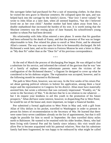His surrogate father had purchased for Poe a suit of mourning clothes. In that dress he visited the new grave in Shockoe cemetery. He collapsed upon the spot, and was helped back into the carriage by the family's slaves. *"Your love* I never valued," he wrote to John Allan at a later date, when all seemed hopeless, "but she I believed loved me as her own child." Another mother had been taken away from him, a double orphanhood that increased the burden of his woe. It is worth noting that the Shockoe cemetery was the resting place of Jane Stanard, his schoolfriend's young mother to whom Poe had been devoted.

His relationship with John Allan entered a new phase. It seems that his guardian had been softened by the death of Fanny, and that the presence of Poe was no longer objectionable to him. Poe related his plans to enroll at West Point, and he obtained Allan's consent. The way was now open for him to be honourably discharged. He left Richmond a week later, and on his return to Fortress Monroe he sent a letter to Allan as "My dear Pa" rather than as the "Dear Sir" of his previous correspondence.

• • •

At the end of March the process of discharging Poe began. He was obliged to find a substitute for his service, and informed the colonel of the garrison that he was "one of a family of orphans whose unfortunate parents were the victims of the conflagration of the Richmond theatre," a flagrant lie designed to cover up what he considered to be his dubious origins. The explanation was accepted, however, and in the following month he returned to Richmond.

The path to West Point, however, was not easy. In the first weeks of his return Poe set about gaining political referees to bolster his application, among them a local major and the representative in Congress for his district. Allan must have materially assisted him, but wrote a reference that was curiously impersonal: "Frankly, sir," he wrote to the Secretary of War, "I do declare that he is no relation to me whatever … but I do request your kindness to aid this youth in the promotion of his future prospects." Allan did have some interest, however, in dispatching Poe to West Point; he would be out of the house and, more important, no longer a financial burden.

Poe submitted a formal application to West Point in May and, with a gift from Allan of fifty dollars in his pocket, travelled to Washington in order to present in person his letters of recommendation to the Secretary of War. He learned that there were some forty-seven candidates already on the list of appointments, but that it still might be possible for him to enroll in September. He then travelled thirty miles north to Baltimore. He wanted to be reunited with his older brother, Henry, who had been living with General Poe and his family since infancy; this visit would also allow Poe to become acquainted with his paternal relatives. Now that his substitute family had been fragmented, he was happy to be embraced by what might be called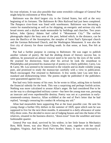his true relations. It was also possible that some erstwhile colleague of General Poe might help his enlistment at West Point.

Baltimore was the third largest city in the United States, but still at the very beginning of its fortunes. The Baltimore & Ohio Railroad had just been completed. The Patapsco river-front was lined with warehouses. Baltimore was becoming a centre for manufacturing as well as for shipping, an energetic and serious city with broad streets and a skyline made memorable by buildings and churches. Two years before, John Quincy Adams had called it "Monument City." The earliest photographs depict the busy area of the port, behind which, in the distance, can be seen the Basilica of the Assumption, the steeples of Saint Paul's Episcopal church and the German Reformed Church, and the Washington Monument. It was also the first city of slavery for those travelling south. In that sense, at least, Poe felt at home.

Poe had a further purpose in coming to Baltimore. He was eager to publish another volume of poetry. He had the abiding dream of literary success but, in addition, he possessed an almost visceral need to be seen by the eyes of the world. He yearned for distinction. Soon after his arrival he took the steamboat to Philadelphia and presented his manuscript of poems to a likely publisher, Carey, Lea & Carey. Mr. Lea seemed to be interested in the volatile and no doubt voluble young poet, and promised to study the manuscript carefully with a view to publication. Much encouraged, Poe returned to Baltimore. A few weeks later Lea sent him a standard and disheartening letter. The poems might be published if the publishers were guaranteed against loss.

Poe had very little money of his own. So he wrote to Allan, asking him to furnish the financial subsidy for the book. This was a surprising and perhaps foolish action. Nothing was more calculated to arouse Allan's anger. He had considered Poe to be on the way to a distinguished military career—but here the young man was, pursuing an insecure and even reprehensible destiny. Poetry was not at a premium in earlynineteenth-century America. Allan scribbled at the end of Poe's letter that he had replied, "strongly censuring his conduct & refusing any aid."

Allan had meanwhile been supporting Poe at the least possible cost. He sent his young charge a further fifty dollars in the summer of 1829, upon which sum he was supposed to live for the next three months. It amounted to a daily allowance of some fifty-three cents. Poe decided to move out of lodging houses and into the home of his relatives, situated in the business district, "down-town" from the wealthier and more fashionable quarter.

General Poe was dead, survived by his widow; in her little house in Mechanics Row, Milk Street, was also Maria Clemm, Poe's aunt, together with her small daughter, Virginia. And here lived Poe's brother, Henry. It was not necessarily a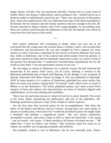happy family: old Mrs. Poe was paralysed, and Mrs. Clemm also in a poor state of health; Henry was dying of tuberculosis, and according to Poe, "entirely given up to drink & unable to help himself, much less me." There was real poverty in Mechanics Row, where Poe experienced a life very different from that of the Allan household in Richmond. Yet his entrance into the family marked a decisive change in his life. He became attached to Maria Clemm, and to her young daughter. In succeeding years these two women would become the lodestones of his life, the harbour into which he crept from the wild waves of the world.

Poe's poetic ambitions left everything in doubt. Allan was now not at all convinced that the young man was serious about a military career, and accused him of shiftiness and prevarication. He was also enraged by Poe's requests for more money, in order to procure a substitute for his service at Fortress Monroe. Poe wrote that, while in Baltimore, one of his cousins had stolen money from his pockets. It must have seemed to Allan that his demands would never cease. In a letter to him of this period, Poe declared that "I would have returned home immediately but for the words in your letter 'I am not particularly anxious to see you.' "

• • •

He was happy to remain in Baltimore for a specific reason. He had retrieved the manuscript of his poetry from Carey, Lea & Carey, offering it instead to the Baltimore publishing firm of Hatch and Dunning. To his delight, it was accepted. *Al Aaraaf, Tamerlane and Minor Poems* by Edgar A. Poe was published in December 1829. In some respects it is a reprise of *Tamerlane,* published two years earlier. But there are many new poems, among them "Al Aaraaf" itself, which owes as much to Milton as to the Romantics. The newly published poems once more evince Poe's mastery of form and cadence; his characteristics are those of intensity aligned with indefiniteness, of lyricism melting into morbidity.

There was one particular person to whom he had yet to prove himself. Poe wrote to his foster father announcing the publication, and one of the publishers, Mr. Dunning, promised to present a copy of the volume to Allan in person.

For the first time, Poe received praise for his accomplishment. John Neal, the editor of the *Yankee and Boston Literary Gazette,* having been sent some poems in advance of publication, wrote that if he "would but do himself justice he might make a beautiful and perhaps a magnificent poem." Poe was always immensely susceptible to praise, and wrote a reply to Neal in which he stated that "I am young —not yet twenty—*am* a poet—if deep worship of all beauty can make me *one…*" He added that "I have no father—nor mother." This insistence upon his status as an orphan was another way of gaining sympathy and attention.

Poe probably wished to stay in Baltimore, but he was miserably poor. Poetry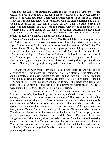could not save him from destitution. There is a record of his selling one of Mrs. Clemm's slaves in December 1829, but in the early months of 1830 he was forced to return to the Allan household. There was nowhere else to go except to Richmond. There he was tolerated rather than welcomed, with the clear understanding that he would be departing for West Point in a relatively short time. The atmosphere in the house was not pleasant, and in a letter to Sergeant Graves, one of his creditors, he confessed that "I have tried to get the money for you from Mr. A[llan] a dozen times —but he always shuffles me off." He also remarked that "Mr. A is not very often sober," an accusation that would later rebound against him.

Poe left Richmond in the middle of May 1830. He told Allan in a subsequent letter that "when I parted from you—at the steamboat, I knew that I should never see you again." He stopped at Baltimore for a day or so, and then went on to West Point. The United States Military Academy, built on a green plain, on high ground some two hundred feet above the Hudson River in New York State, had been established in 1804 for the training of officers. Charles Dickens in his *American Notes* described it as a "beautiful place: the fairest among the fair and lovely highlands of the river: shut in by deep green heights and ruined forts, and looking down upon the distant town of Newburgh, along a glittering path of sunlit water, with here and there a skiff…"

Poe was lodged with three other cadets at 28 South Barracks, and was paid an allowance of \$16 per month. The young poet wore a uniform of blue cloth, with a single-breasted coat; his cap sported a cockade; and he wore his sword in a frog belt under his coat. Reveille was at sunrise. Breakfast was followed by lectures; then at 4:00 p.m. there were various exercises and drills before the cadets were given their supper in a large mess hall and sent back to quarters for further study. The lights were dimmed at 9:30 p.m. There was little time for leisure.

There are contrary reports about Poe from his contemporaries. One cadet recalled him as "a slovenly, heedless boy, very eccentric, inclined to dissipation, and, of course, preferred making verses to solving equations." This does not ring altogether true. Poe was never "slovenly" in dress or demeanour. Another cadet more plausibly described him as "shy, proud, sensitive, and unsociable with the other cadets. He spent more time in reading than in study ..." Yet his study, brief though it may have been, was sufficient. He was always a quick learner. He attended the classes in French and mathematics; at the general examination in the following year, he was placed seventeenth in mathematics and third in French. He cannot have been altogether unsociable, either, since the cadets learned from him some interesting details about his past life. He told them that he had graduated from a college in England, had become one of the crew on a whaler, had visited South America as well as the East. He was a congenital fabulist, a mendacity that suggests insecurity and pride in equal measure.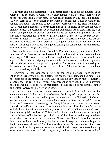The most complete description of him comes from one of his roommates, Cadet Gibson, who recorded "a worn, weary discontented look, not easily forgotten by those who were intimate with him. Poe was easily fretted by any jest at his expense … Very early in his brief career at the Point he established a high reputation for genius, and poems and squibs of local interest were daily issued from Number 28 …" Gibson also added that "I never heard him speak in praise of any English writer living or dead." On occasions Poe accused his contemporaries of plagiarism or, even worse, bad grammar. He always would be scornful of those who might rival him. He also had a reputation for "hoaxes" or practical jokes, a habit he was never really able to break in later life. These jokes tended to be of an eerie or bloody kind. On one occasion he insisted that the corpse of a strangled gander was in fact the severed head of an unpopular teacher. He enjoyed scaring his companions. In this respect, too, he would not altogether change.

Poe soon became weary of West Point life. One contemporary states that within "a few weeks" he "seemed to lose interest in his studies and to be disheartened and discouraged." This was not the life he had imagined for himself. He was also in debt again. So he set about resigning. Unfortunately, such a course could not be pursued without the permission of a parent or guardian; Poe wrote to John Allan asking for his consent, and was "flatly refused." It was clear to Allan that Poe had returned to a capricious and wayward life.

Something else had happened in the Allan household, however, which rendered Allan even less sympathetic than before. He had married again, and had before him the prospect of legitimate children. Why should he any longer help to sustain a scapegrace? The gossip that eventually reached Allan only added to the impression that Poe was malicious as well as mendacious; he had described his surrogate father to Sergeant Graves as "not very often sober."

Allan, in a letter now lost, asked Poe not to trouble him with any "further communication." In his reply Poe rehearsed the litany of complaints against his erstwhile guardian, and justified his previous behaviour at the University of Virginia on the grounds that "it was my crime to have no one on Earth who cared for me, or loved me." He seemed to have forgotten Fanny Allan for the moment, but the note of anguish and self-pity was never far from the surface. He added that "my future life (which thank God will not endure long) must be passed in indigence and sickness. I have no energy left, nor health." This is the first indication that the manifest strength and healthiness of his boyhood years had now left him forever, and it may be related to another observation of his roommate, Gibson, that "I don't think he was ever intoxicated while at the Academy, but he had already acquired the more dangerous habit of constant drinking." Yet Poe was determined. In the absence of express permission from his guardian, he would obtain his discharge from West Point by other means. He told Allan, "I shall neglect my studies and duties at the institution."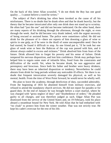On the back of this letter Allan scrawled, "I do not think the Boy has one good quality … I cannot believe a word he writes."

The subject of Poe's drinking has often been invoked as the cause of all his misfortunes. There is no doubt that he drank often and that he drank heavily; but the theory that he became intoxicated after only one drink does not stand up to scrutiny. He often had "just the one" and did not become inebriated. On the other hand, there are many reports of his drinking through the afternoon, through the night, or even through the week. And he did become very drunk indeed, with the urgent necessity of being rescued or assisted home. The police were sometimes called. He did not drink for the pleasure of it—there are reports of him downing a glass of wine or spirits in one gulp, as if he were in the thrall of some unconquerable need. Once he had started, he found it difficult to stop. As one friend put it, "if he took but one glass of weak wine or beer the Rubicon of the cup was passed with him, and it almost always ended in excess and sickness." Drink absolved him from fears of the future. Drink allowed him to forget his poverty and his sense of failure. Drink tempered his nervous disposition, and lent him confidence. Drink may perhaps have helped him to regain some state of infantile bliss, freed from the constraints and difficulties of the world. Yet, when he became drunk, he was aggressive and peremptory and ferocious. Since both his father and brother were heavy drinkers, there may have been an inherited disposition or tendency. Nevertheless he could abstain from drink for long periods without any noticeable ill effects. Yet there is no doubt that frequent intoxication severely damaged his physical, as well as his mental, health. From the time of West Point forward, he would never be wholly well.

His plan to leave the academy, through dereliction of duty, succeeded admirably. From the beginning of 1831 he absented himself from military exercises, and refused to attend the mandatory church services. He did not report for parades or for guard duty. At the end of January he was brought before a court martial, where he was charged with "gross neglect of duty" and "disobedience of orders." He pleaded guilty to all charges, and was therefore judged as such. Edgar Allan Poe was dismissed from the service of the United States and, on 19 February, took his place aboard a steamboat bound for New York. He told Allan that he had embarked with "no cloak" to protect him from the winter weather. That was not strictly true. He kept his cadet's overcoat for the rest of his life.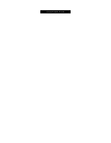#### CHAPTER FIVE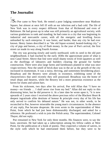### **The Journalist**

So Poe came to New York. He rented a poor lodging somewhere near Madison Square, but almost at once fell ill with an ear infection and a bad cold. The life of New York was in every respect different from that of Richmond and even of Baltimore. He had grown up in what was still primarily an agricultural society, with various gradations in rank and standing; he had come to a city that was beginning its industrial and mercantile career, with all the energetic and levelling forces unleashed by such enterprise. It was faster, and harder, than any city he had ever known. Henry James described it as "the old liquor-scented, heated-looking city," a city of pigs and horses, a city of flash money. In the year of Poe's arrival, the first street car made its way along Fourth Avenue.

The city was growing slowly and surely northward; with its seed in the old port neighbourhood, it had reached by the early 1830s the approximate point of what is now Canal Street. Above that line were small shanty towns of Irish squatters as well as the dwellings of labourers and builders clearing the ground for further construction. There were also large farms and farmhouses planted in what was once virgin territory. Now the smell of brick-dust was in the air as the growth of the city increased in momentum. It was a noisy, thriving, and sometimes bewildering place. Broadway and the Bowery were already in existence, exhibiting some of the characteristics that until recently they still possessed. Broadway was the home of retail shops and theatres, while the Bowery led a more penurious existence as the haven for slums and saloon bars.

From his sickroom, two days after his arrival, Poe told Allan that "I have no money—no friends … I shall never rise from my bed." Allan did not reply to this distressing letter, but he did preserve it. At a later date he wrote upon it, "it is now upwards of 2 years since I received the above precious relict of the Blackest Heart & deepest ingratitude alike destitute of honour & principle every day of his life has only served to confirm his debased nature." He was not, in other words, to be reconciled to Poe, however miserable the young man's circumstances. In the absence of any reply, Poe became desperate. He even wrote to the superintendent of West Point, from which he had just been dishonourably discharged, and asked for a reference. He professed a wish to join the Polish army. The superintendent, Colonel Thayer, did not reply.

Poe remained in New York for only three months. His finances were, to say the least, uncertain. He had taken up a subscription among his fellow cadets at West Point, for the publication of a book of poems. They expected a volume of satires, in the style with which he had entertained them before, but they were to be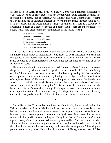disappointed. In April 1831, *Poems by Edgar A. Poe* was published, dedicated to "The U.S. Corps of Cadets." But it was not written with young soldiers in mind. Poe included new poems, such as "Israfel," "To Helen," and "The Doomed City," poems that confirmed his imaginative interest in forlorn and mournful introspection; it was as if he sensed that he would never be happy on this earth. There is a tendency to apostrophise death as a place of repose and consolation. There are other passages of poetry which also offer remarkable intimations of his future writing:

> Be silent in that solitude Which is not loneliness, for then The spirits of the dead who stood In life before thee are again In death around thee, and their will Shall overshadow thee: be still.

This is fine writing, at once forceful and melodic with a sure sense of cadence and an unforced immediacy of meaning. It is one aspect of Poe's misfortune on earth that the quality of his poetry was never recognised in his lifetime He was in a literal sense doomed to be misunderstood. He would not publish another volume of poetry for fourteen years.

He wrote a preface for the volume, entitled "Letter to Mr.—," in which he stated the poetic creed by which he would be guided for the rest of his life. "A poem in my opinion," he wrote, "is opposed to a work of science by having, for its *immediate* object, pleasure, not truth; to romance by having, for its object, an *indefinite* instead of a *definite* pleasure." He went on to claim that poetry is concerned "with *in*definite sensations, to which end music is an *essential,* since the comprehension of sweet sound is our most indefinite conception." This is one of the first statements of the belief in art for art's sake that, through Poe's agency, would have such a profound effect upon the course of nineteenth-century French poetry; his connection of poetry and music here predates Walter Pater's similar sentiments by forty-six years.

• • •

Since life in New York had become insupportable, in May he travelled back to his Baltimore relations. Life in Mechanics Row was no less poor and disorderly than before, but the situation was rendered even more hopeless by the spectacle of his brother dying of consumption. It was the family disease. Poe shared the rear attic room with the invalid, where, in August, Henry Poe died of "intemperance" at the age of twenty-four. In a letter written two years earlier, Poe had confessed that "there can be no tie more strong than that of brother for brother—it is not so much that they love one another as that they both love the same parent." The singular parent here can only mean his mother. In the death of Henry, another part of Eliza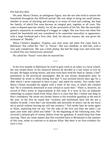Poe had also died.

His aunt, Maria Clemm, an ambiguous figure, was the one who tried to sustain the household throughout this difficult period. She was adept at eking out small means, whether in terms of stitching and sewing or in terms of food and cooking; she kept her family, of which Poe soon became an integral part, together at all costs. Poe came to depend upon her wholly, for all the necessities of his life. But she inevitably gained a reputation as something of a beggar or cadger. She was forty-one when Poe joined the household and was considered to be somewhat masculine in appearance, with a large forehead and a firm chin. And, for obscure reasons, she was given the nickname of "Muddy."

Maria Clemm's daughter, Virginia, was nine years old when Poe came back to Baltimore. Poe called her "Sis" or "Sissie." She was childlike, or doll-like, with a very pale complexion. She was a little plump, but had the large eyes and raven hair to which Poe was instinctively attracted.

He called her "Sissie" even after he married her.

• • •

In his first months in Baltimore he tried to gain work as an usher in a local school, but was turned down. In his financial distress he decided as a last resort to live by his pen. He began writing stories, and may even have tried his hand at "penny a line" journalism in the provincial newspapers. But he was always desperately poor. In November he wrote to Allan telling him that "I was arrested eleven days ago for a debt which I never expected to have to pay" and asked for money. Two weeks later Maria Clemm seconded his appeal with a letter of her own, in which she claimed that "he is extremely distressed at your refusal to assist him." There is, however, no record of Poe's arrest or imprisonment at this time. If it were in fact an elaborate subterfuge to acquire funds from Allan, then it is clear that Mrs. Clemm was deep in Poe's confidence. He wrote two further letters to his erstwhile guardian at the end of the year. In the first he stated that "sickness and misfortune have left me not a shadow of pride. I own that I am miserable and unworthy of notice, but do not leave me to perish without leaving me still one resource." Two weeks later he wrote again to Allan, imploring him for aid, "for the sake of the love you bore me when I sat upon your knee and called you father." At the beginning of the following year, Poe received a belated gift of twenty dollars from his guardian. It would keep him from starving. There are some reports that Poe travelled back to Richmond in the summer of this year, either to confront or to placate Allan. But there is no firm evidence for such a visit.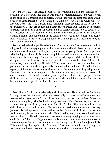In January 1832, the *Saturday Courier* of Philadelphia had the distinction of printing Poe's first published tale. It was entitled "Metzengerstein," and was written in the style of a Germanic tale of horror. During that year the same magazine would print four other stories by Poe, "Duke de L'Omelette," "A Tale of Jerusalem," "A Decided Loss," and "The Bargain Lost." Although these are tales of the horrid or of the supernatural, they are couched in a satirical or parodic vein. He had been reading journals such as *Blackwood's Magazine,* and had quickly learned how to couch a tale of "sensation." But this was not for him the serious work of poetry; it was a way of earning a living, and something of his scorn is conveyed in these adept but deeply ironic exercises in the flesh-creeping genre. Yet, in the garret in Mechanics Row, he had found his true vocation.

We may take the first published of them, "Metzengerstein," as representative. It is a high-spirited and engaging, and at the same time a well-calculated, story of horror and metempsychosis set in Hungary. It concerns the young Baron Metzengerstein who, having lost both of his parents in quick succession, enters upon a stupendous inheritance; here we may, if we wish, see the stirrings of wish fulfilment. In his dissipated career, however, it seems that there are already hints "of morbid melancholy, and hereditary illhealth." The baron burns down the stables of a particular enemy but then, apparently in retribution, a horse stitched within a tapestry of his apartments comes alive with its "sepulchral and disgusting teeth." Eventually the baron rides upon it to his doom. It is all very strident and colourful, and of course not to be taken seriously—except for the fact that its purpose was to thrill and to surprise a large audience of somewhat credulous readers. This was to become the central paradox of Poe's literary career.

• • •

Poe's life in Baltimore is relatively well documented. He attended the Baltimore Library, where he continued what was essentially a course in self-education, and frequented a bookstore on Calvert Street and an oyster parlour on Pratt Street. He courted a young lady who lived in his neighbourhood, Mary Devereaux, who has left a short description of her young beau. Poe "didn't like trifling and small talk. He didn't like dark-skinned people … He had a quick, passionate temper, and was very jealous. His feelings were intense, and he had but little control of them. He was not well balanced; he had too much brain. He scoffed at everything sacred and never went to church … He said often that there was a mystery hanging over him he never could fathom." For all its ingenuousness, this sounds like an accurate remembrance. He would quote Burns to her on their rambles through the city and its adjacent hills. "The only thing I had against him," she added, "was that he held his head so high. He was proud and looked down on my uncle whose business did not suit him."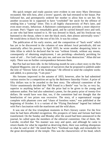His quick temper and ready passion were evident in one story Mary Devereaux recounted. She tells how, after a lovers' quarrel, she had retreated to her house. Poe followed her, and peremptorily ordered her mother to allow him to see her. On another occasion he is supposed to have "cowhided" her uncle for the offence of sending him a "cutting" letter. This is all highly characteristic of Poe's later, and even more erratic, behaviour. A Baltimore contemporary provides a more objective account. Poe's "figure was remarkably good, and he carried himself erect and well, as one who had been trained to it. He was dressed in black, and his frockcoat was buttoned to the throat, where it met the black stock, then almost universally worn." He would dress in black for the rest of his life. It was his colour.

The publication of his early stories, and the composition of "hack work" which has yet to be discovered in the columns of now defunct local periodicals, did not materially affect his poverty. In April 1833, he wrote another despairing letter to John Allan in which he declared that he was "without friends, without any means, consequently of obtaining employment, I am perishing—absolutely perishing for want of aid … For God's sake pity me, and save me from destruction." Allan did not reply. There was no further correspondence between them.

But Poe had not been idle. In the following month he sent a short story to the *New England Magazine,* one of a sequence of narratives that he proposed to publish under the title of "Eleven Tales of the Arabesque." He offered to send the complete works and added, in a postscript, "I am poor."

His fortunes improved in the autumn of 1833, however, after he had submitted various stories for a competition set up by the *Baltimore Saturday Visiter.* A prize of fifty dollars was to be awarded to the best story. The editorial committee of the *Visiter* unanimously decided that "MS Found in a Bottle" was "so far, so very far, superior to anything before us" that the prize had to be given to the young and unknown author. Poe had also submitted a poem, for the poetry prize of twenty-five dollars. He would have won that, too, if the committee had not thought that the benefaction of two prizes was excessive. The story, of a supernatural voyage complete with phantom crew and "chaos of formless water," was published at the beginning of October. It is a variant of the "Flying Dutchman" legend but imbued with Poe's fascination with the maelstrom and the wild abyss.

It was one of the few triumphant moments in Poe's literary career. For the first time he had been afforded recognition. His prospects of fame and fortune had been transformed. On the Sunday and Monday after the award had been announced in the journal, he called upon the members of the editorial committee. One of them, Mr. Latrobe, recalled that "his manner was easy and quiet, and although he came to return thanks for what he regarded as deserving them, there was nothing obsequious in what he said or did." He noted that Poe's "forehead was high, and remarkable for the great development of the temple. This was the characteristic of his head, which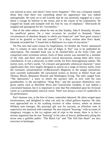you noticed at once, and which I have never forgotten." This was a frequent remark about him—that there was something about his appearance that was indeed unforgettable. He went on to tell Latrobe that he was presently engaged on a story about a voyage by balloon to the moon, and in the course of his explanation "he clapped his hands and stamped with his foot by way of emphasis." Afterwards he laughed and apologised for his "excitability."

One of the other editors whom he met on that Sunday, John P. Kennedy, became his unofficial patron. On a later occasion he recalled to Kennedy "those circumstances of absolute despair in which you found me" and "how great reason I have to be grateful to God and yourself." In a diary written after Poe's death, Kennedy recorded that "I found him in Baltimore in a state of starvation."

Yet Poe now had some reason for hopefulness. In October the *Visiter* announced that "a volume of tales from the pen of Edgar A. Poe" was to be published by subscription. The intended book was to be entitled *Tales of the Folio Club,* and comprised some seventeen stories. Each of these stories was narrated by a member of the club, and there were general critical discussions among them after every contribution. It was a showcase, in other words, for Poe's heterogeneous talents. The stories were, in Poe's words, "of a bizarre and generally whimsical character;" more significantly they were largely designed as satires on a range of literary styles, from the Germanic sensationalism of *Blackwood's Magazine* to the snappy journalistic style currently fashionable. He caricatured writers as diverse as Walter Scott and Thomas Moore, Benjamin Disraeli and Washington Irving. The tales ranged from "The Spectacles," a story in which the narrator falls in love with his own grandmother, to the necrophiliac "King Pest," and the narrators themselves were given names such as Horribile Dictu and Convolvulus Gondola. It was indeed a convoluted humour, but it is important to note that Poe embarked upon his fictional career as a predominantly satirical writer. There was always a trace of vaudeville in his performance.

Poe's humour was, at the best of times, somewhat laboured. He often verged upon facetiousness, and delighted in what can only be called gallows humour. He only ever approached wit in his scathing reviews of other writers, where an almost Wildean note emerges. His principal gift was for sarcasm, an effortless tone of superiority not unmixed with contempt. He also enjoyed "hoaxing," with accounts of imaginary voyages to the icy regions and of trips to the moon; there is in fact a serious argument that he was "hoaxing" in his tales of horror, deliberately piling the terror onto a gullible public. "The Black Cat" and "The Tell-Tale Heart" are also exercises in burlesque.

• • •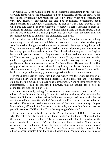In March 1834 John Allan died and, as Poe expected, left nothing in his will to his erstwhile foster child. Yet anticipation did not necessarily soften the blow. "I am thrown entirely upon my own resources," he told Kennedy, "with no profession, and very few friends." Throughout his life Poe continually complained about friendlessness, as if somehow it emphasised his orphan status. There had been a time when Poe had hoped, or even expected, to receive a large inheritance from his guardian. If Frances Allan had lived, he might have gained the entire estate. But in fact he was consigned to a life of penury and, as always, he harboured grief and resentment at being so unluckily and unnaturally cast away.

In addition the publication of *Tales of the Folio Club* had come to nothing, foundering on the reluctance of publishers to take on a volume of short stories by an American writer. Indigenous writers were at a grave disadvantage during this period. They survived only by taking other professions, such as diplomacy and education, or by relying upon an independent income. The cultural palm was given to the English, but, more important, books from England could be pirated and reprinted at no cost at all. There was no copyright legislation in existence. To pay a native writer, for what could be appropriated free of charge from another country, seemed to many publishers to be an unnecessary expense. So Poe suffered. He was one of the first truly professional writers in American literary history, but he was in a marketplace where none came to buy. It has been estimated that the total income from all of his books, over a period of twenty years, was approximately three hundred dollars.

In the unhappy year of 1834, when Poe was twenty-five, there were reports of his suffering a heart attack, of his being incarcerated in a local jail, and of his being employed for a time as a bricklayer or as a lithographer. None of these stories can be substantiated. It can be confirmed, however, that he applied for a post as schoolteacher in the spring of 1835.

A letter to Kennedy, asking for assistance, survives. Kennedy, still one of the editors of the *Baltimore Saturday Visiter,* invited Poe to dinner, after receiving his letter of solicitation, but Poe had to decline on the very good grounds that he had nothing suitable to wear. He only had the one shabby black suit that he donned on all occasions. Kennedy realised at once the extent of the young man's penury. He gave him clothing, afforded him free access to his table, and even lent him a horse for periodic exercise. He lifted him "from the very verge of despair."

Kennedy performed a further favour for Poe in the spring of 1835. He gave him what Poe called "my first start in the literary world," without which "I should not at this moment be among the living." Kennedy recommended him to the editor of the newly established *Southern Literary Messenger,* Thomas Willis White, whose offices were in Richmond. It was the best possible introduction for an aspiring writer. Kennedy advised White that Poe was *"very* poor," and he counselled the editor to accept articles from the talented young man. Poe sent one of his tales of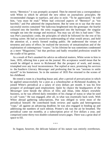terror, "Berenice;" it was promptly accepted. Then he entered into a correspondence with White in which he advised the new editor on journalistic principles. He recommended changes in typeface, and also in style. "To be appreciated," he told him, "you must be read." White had criticised aspects of "Berenice" as "too horrible," and Poe admitted the impeachment. But he went on to say that the most successful stories contained "the ludicrous heightened into the grotesque: the fearful coloured into the horrible: the witty exaggerated into the burlesque: the singular wrought out into the strange and mystical. You may say all this is bad taste." This was Poe's journalistic credo, the principles of which he followed for the rest of his writing career. He had an instinctive understanding of what would attract, and hold the attention of, a newly formed reading public. He understood the virtues of terseness and unity of effect; he realised the necessity of sensationalism and of the exploitation of contemporary "crazes." In his lifetime he was sometimes condemned as a mere "Magazinist," but that perilous and badly rewarded profession would be the cradle of his genius.

As a result of Poe's unasked-for advice on editorial matters, White wrote to him in June, 1835, offering him a post on the journal. His acceptance would mean that he would be obliged to move to Richmond. But the prospect of work, and money, triumphed over any local inconvenience. Poe replied at once, promising his services to the *Southern Literary Messenger* and professing that he was "anxious to settle myself" in his hometown. So in the summer of 1835 Poe returned to the scenes of his childhood.

He rented a room in a boarding house and, after a period of prevarication in which he applied unsuccessfully for a post as a schoolteacher at Richmond Academy, he joined White's periodical at a salary of sixty dollars per month. It was his first prospect of prolonged paid employment. Quite by chance the headquarters of the *Messenger* were beside the offices of Ellis and Allan, John Allan's erstwhile business, so he was offered daily reminders of his change of status or what he used to call "caste." He was engaged, after all, in what was essentially hack work. With White abroad gathering subscriptions, Poe was obliged to write most of the periodical himself. He contributed book reviews and squibs and heterogeneous "copy," all against an advancing deadline; he was also engaged in binding up and addressing the numbers of each edition. Printer's ink was the air he breathed. The periodical came out monthly, at a subscription price of five dollars a year, and comprised some thirty-two double-columned octavo pages. There was a great deal of space to fill.

• • •

In August, however, the delicate balance of his nature was entirely overthrown.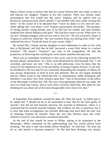Maria Clemm wrote to inform him that his cousin Neilson Poe was ready to take in and educate her daughter Virginia at his own expense. There was already some presumption that Poe would one day marry Virginia, and he replied with an hysterical communication which opened "I am blinded with tears while writing this letter." In the course of it he declared that "I have no desire to live and *will not*," while adding that "you know I love Virginia passionately devotedly." The prospect of losing another young female, just as he had lost his mother and Jane Stanard, rendered him almost helpless with grief. "Oh God have mercy on me. What have I *to live for?* Among strangers with *not one soul to love me*." He also enclosed a letter to Virginia in which he called her "my own sweetest Sissy, my darling little wifey" and implored her not to "break the heart of your cousin. Eddy."

He invited Mrs. Clemm and her daughter to leave Baltimore in order to live with him in Richmond, and lied that he had "procured a sweet little house in a retired situation." The house's "situation" was only in his imagination. He had the propensity of believing that anything he wrote down somehow became true.

There was no immediate resolution to this crisis, and in the following month Poe became deeply melancholic. In a letter from Richmond he told Kennedy that "I am wretched, and know not why." This is an odd admission, since he knew that the reason for his depression lay in the possibility of losing Virginia forever. It can only be attributed to the fact that he was constantly demanding the sympathy of others; he was always desperately in need of love and attention. But he also began drinking heavily. White wrote to one friend that Poe "is unfortunately rather dissipated, and therefore I can place very little reliance upon him." One of the printers in the office of the *Messenger* recalled that "Mr. Poe was a fine gentleman when he was sober. He was ever kind and courtly, and at such times everyone liked him. But when he was drinking he was about one of the most disagreeable men I have ever met."

In September Poe suddenly vacated his desk. He "flew the track," as White put it; he added that "I should not be at all astonished to hear that he has been guilty of suicide." Poe did not kill himself, however. He returned to Baltimore, where it is surmised that he secretly married Virginia. The evidence for this is uncertain, but it is clear that some arrangement was reached. Marriage may have been the only way of retaining Virginia for himself. Since she was only thirteen years old, some element of secrecy was obviously considered desirable.

• • •

At the end of that month he wrote to White, asking to be reinstated at the *Messenger.* White consented on the understanding that Poe would refrain from drinking. "No man is safe who drinks before breakfast," he told him. "No man can do so, and attend to business properly." So Poe had been drinking very deeply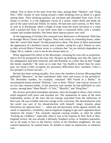indeed. Two or three of his tales from this time, among them "Shadow" and "King Pest," offer visions of men sitting around a table drinking even as death is a guest among them. Their drinking parlours are enclosed and shrouded from view, lit by lamps or torches: it is the nightmare vision of a tavern, where drink and death are part of the same lurid and fitfully lit reality. He had seen such taverns, in New York as well as in Richmond, where a flight of steps from the street led down to a room with a packed dirt floor. It was little more than a converted cellar, with a wooden counter and wooden benches. Poe knew these leprous places very well.

At the beginning of October Poe returned from Baltimore to Richmond. With him he brought Maria Clemm and Virginia. They took rooms in a boarding house, rather than the "sweet little house" he had promised to them. The three of them maintained the appearance of a bachelor cousin, and a mother, caring for a girl. Almost as soon as they arrived Maria Clemm wrote to a relation that "we are entirely dependent on Edgar. He is, indeed, a son to me & has always been so …"

White appointed Poe editor of the *Messenger,* retaining his own role as proprietor, and at first he prospered in his new role. He gave up drinking, now that the cause of his unhappiness had been removed, and told Kennedy in a letter that he had "fought the enemy manfully." He went on to state that "my health is better than for years past, my mind is fully occupied, my pecuniary difficulties have vanished, I have a fair prospect of future success …"

He had also been writing steadily. Ever since the *Southern Literary Messengerhad* published "Berenice," he had contributed other tales and essays to the periodical. The December number, for example, contained "MS Found in a Bottle," an uncompleted drama entitled "Politian," two or three "fillers" and critical reviews of no less than nineteen books. In the previous nine months he had published six new stories, among them "Hans Phaall—A Tale," "Morella," and "King Pest."

His reviews provoked immediate attention, since he brought to them a fine critical mind tempered with satire and mordant wit. The reputations of some of the most fashionable writers of the time did not emerge unscathed from the inflictions of Poe's pen. He was irritable and even savage in his criticisms. His dissatisfaction with the world was part of his dissatisfaction with himself. Jung's remarks about Paracelsus are apposite here: "… when one unconsciously works against oneself, the result is impatience, irritability, and an impotent longing to get one's opponent down whatever the means." Poe certainly enjoyed causing trouble, or what he called "kicking up a bobbery," especially when it was at the expense of New York or New England writers. He was already a defiantly Southern writer, or Southern journalist, not at all ready to bow to the literary claims of his Northern neighbours. He also wanted reputation; he wanted fame; he needed to make an impression, at whatever cost.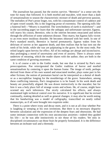The journalism has passed, but the stories survive. "Berenice" in a sense sets the tone for many that followed. It is both morbid and macabre, with more than a dash of sensationalism to season the characteristic mixture of death and perverse passion. The melodies of Poe's prose linger, too, with his consummate control of cadence and of open vowel sounds. His is the lingering prose of extremity. The opening tolls like a funereal bell—"Misery is manifold. The wretchedness of earth is multiform"—and in the succeeding pages we learn that the unhappy and unfortunate narrator, Egaeus, will marry his cousin, Berenice, who in the interim becomes emaciated and infirm through the affliction of some unknown disease. They marry, but Egaeus falls victim to an even more insidious disorder. He becomes obsessed with her teeth. In one of Poe's standard motifs, Berenice is buried prematurely. Egaeus wakes from his delirium of sorrow at her apparent death, and then realises that he has torn out the teeth of his bride, while she was yet palpitating in the grave. So the story ends. Poe relied largely upon brevity for effect. All of his endings are abrupt and inconclusive, thus prolonging a mood of uncertainty and even of anxiety. There is always some undertow of meaning, which the reader shares with the author; they are both in the same condition of growing awareness.

It is of course a tale in the Gothic mode, but one that is striated by Poe's own preoccupations. Poe reinvigorated the Gothic tradition of horror and morbid sensationalism by centering it upon the human frame. The image of teeth, perhaps derived from those of his own wasted and emaciated mother, plays some part in his other fictions; the notion of premature burial can be interpreted as a denial of death or as a necrophiliac longing for the moulderings of the grave. Somewhere, among these conflicting interests, Poe's imagination is to be found. In his work death and beauty are powerfully aligned. He was drawn instinctively to the macabre; but for him it was a holy place full of strange scents and echoes. He, of course, might have scorned any such inferences. Poe nicely calculated his effects, and always maintained tight technical control over his narrative. It is significant that he revised continually, making detailed as well as general changes; it may also be worth noting that his handwriting was a model of calligraphy, transcribed on neatly rolled manuscripts, as if all were brought into exquisite order.

There is a point where irony and decay meet, and it is not at all clear whether Poe is laughing or weeping at his own inventions. But there is no necessary disparity between calculation and the expression of the deepest fears and obsessions. He had some intimate connection with his own unconscious anxieties—indeed they guided his life— so he was able instinctively to stir those of his readers. Yet only in disciplined circumstances can those fears be properly formulated. It is the difference between an inchoate wail and a threnody.

• • •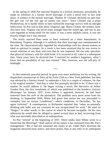In the spring of 1836 Poe married Virginia in a formal ceremony; presumably he made no reference to a former secret marriage, if such a union ever in fact took place. A witness to the formal marriage, Thomas W. Cleland, declared on oath that the girl was "of the full age of twenty one years." Since Cleland was a pious Presbyterian, he is hardly likely to have sullied the marriage service with an outright fabrication. So Poe lied to him about Virginia's age. Maria Clemm, the mother, must also have lied. Virginia was seven years younger than her stated age, and was in any case regarded as being small for her years. It was a most unlikely union. It was not exactly illegal, but it was unusual.

The newly married Poes seem to have ventured on a short honeymoon, in Petersburg, Virginia, although it is unlikely that their marriage was consummated at the time. He characteristically regarded his relationships with his chosen women as ideal or spiritual in temper. As a result it has been surmised that he was averse to sexual relations of any kind, and even that he was impotent. We can only speculate that physical intimacy with his child bride, if it occurred at all, came at a subsequent date. Some years later, he declared that "I married for another's happiness, when I knew that no possibility of my own existed." This, however, was the self-pity of hindsight.

• • •

In this relatively peaceful period, he grew ever more ambitious for his writing. He dispatched a manuscript of *Tales of the Folio Club* to a New York publisher, but then was advised by a literary friend "to undertake a Tale in a couple of volumes, for that is the magical number." And that is what Poe promptly decided to do. If there was a market, he would address it. He began writing a novel, *The Narrative of Arthur Gordon Pym,* the first instalment of which was published in the *Southern Literary Messenger* for January 1837. Even before it appeared, however, he had been removed from the staff of the periodical. The problem once more arose from his drinking. In September 1836, White had given him notice but was persuaded to reemploy him on certain "conditions"—which conditions, in December, "he has again forfeited." A contemporary in Richmond reported that "when occasionally drinking (the habit was not constant) he was incapacitated for work." He went on "binges," in other words, in the course of which he became incapable. On his own admission he would then be obliged to spend several days in bed, recovering from what was inevitably described as an indisposition.

So Poe "retired" at the beginning of 1837. Three weeks later White wrote to a friend that the *Messenger* "shall outlive all the injury it has sustained from Mr. Poe's management." But it had not sustained any injury at all. Under Poe's direction the magazine attracted more notice, and more praise, than at any time in its subsequent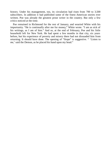history. Under his management, too, its circulation had risen from 700 to 3,500 subscribers. In addition it had published some of the finest American stories ever written. Poe was already the greatest prose writer in the country. But only a few critics noticed at the time.

Poe remained in Richmond for the rest of January, and wearied White with his importunity. "He is continually after me for money," White wrote. "I am as sick of his writings, as I am of him." And so, at the end of February, Poe and his little household left for New York. He had spent a few months in that city, six years before, but his experience of poverty and misery there had not dissuaded him from returning. It should have done. The opening of "Siope" is suggestive. " 'Listen to *me*,' said the Demon, as he placed his hand upon my head."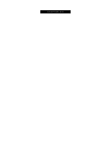### **CHAPTER SIX**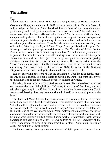# **The Editor**

 $\int_{0}^{\infty}$ The Poes and Maria Clemm went first to a lodging house at Waverly Place, in Greenwich Village, and then later in 1837 moved a few blocks to Carmine Street. A fellow lodger at Waverly Place described Poe as "one of the most courteous, gentlemanly, and intelligent companions I have ever met with;" he added that "I never saw him the least affected with liquor." Yet it was a difficult time, compounded by the fact that in the spring there was a great financial collapse and subsequent panic. In these unpromising circumstances Poe tried to find work as an occasional journalist or reviewer. There is little evidence of any success. Only two of his tales, "Von Jung, the Mystific" and "Siope," were published in this year. The *Messenger* had also given up the serialisation of *The Narrative of Arthur Gordon Pym,* after two instalments. It is not easy to see how Poe and his family survived. It is possible that Mrs. Clemm ran a small boarding house in Carmine Street—a print shows that it would have been just about large enough to accommodate paying guests— but no other sources of income are known. This was a period, after the "crash," when many people literally starved to death. One of the few extant records concerning Poe reveals that, in the winter of 1837, he called at the Northern Dispensary in Greenwich Village to obtain medicine for a severe cold.

It is not surprising, therefore, that at the beginning of 1838 the little family made its way to Philadelphia. Poe had a habit of moving on, wandering from one city to the next in search of good fortune. He never felt at home anywhere.

Philadelphia was built in gridiron fashion and looked like a chessboard stretched out between the rivers Schuylkill and Delaware; it was one of the oldest, and was still the largest, city in the United States. It was booming. It was expanding. But it was not exhilarating. Poe may have considered himself to be a small piece on the board.

The Poes and Maria Clemm lodged once more in a rooming house. They were poor. They may even have been desperate. The landlord reported that they were "literally suffering for want of food" and were "forced to live on bread and molasses for weeks together." They moved to another lodging house a few weeks later, and then at the end of the year moved again. Poe's employment is not known, except for a reference in a letter to "the miserable life of literary drudgery to which I now, with breaking heart, submit." He had obtained some work as a journalistic hack, writing paragraphs and criticisms to order. He was addressing the new Secretary of the Navy, from whom he begged an appointment as a clerk—*"any thing, by sea or land,"* but nothing was forthcoming.

Yet he was writing. He may have moved to Philadelphia precisely because it was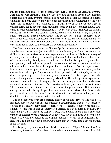still the publishing centre of the country, with journals such as the *Saturday Evening Post* and the *Gentleman's Magazine.* The city also sustained seven daily morning papers and two daily evening papers. But he was not at first successful in finding employment. Some comfort may have been drawn from the publication by the New York firm of Harpers, that summer, of *The Narrative of Arthur Gordon Pym* in volume form. Yet he never seemed much impressed by his first, and last, novel. Two years after its publication he described it as "a very silly book." That was too harsh a verdict. It was a story that certainly strained credulity, filled with what, on the title page, were called "incredible Adventures and Discoveries," but it was possessed by the strange excitement that issued from Poe's own restless and morbid nature. He had also learned from Daniel Defoe's narratives: he tried to maintain the utmost verisimilitude in order to encompass the wildest improbabilities.

The first chapters concern Arthur Gordon Pym's confinement in a crawl space of a ship, between decks, a subject that elicits all the intensity of Poe's own nature. He thrills to, and yet suffers from, the experience of enclosure. His is the poetry of extremity and of morbidity. In succeding chapters Arthur Gordon Pym is the victim of a callous mutiny, is shipwrecked, suffers from famine, is captured by cannibals and generally reduced to a parodic reen-actment of contemporary travellers' adventures. Poe is an artist of the improbable. In one incident Pym attempts to lower himself down a steep precipice, but cannot resist glancing down into the abyss that attracts him; whereupon "my whole soul was pervaded with *a longing to fall;* a desire, a yearning, a passion utterly uncontrollable." This is pure Poe; the unutterable nightmare becomes earnestly wished for. He is the greatest exponent of fantasy fiction in the English language, because he manages to touch upon the most universal or deeply rooted fears. The narrative ends as Pym's boat is drawn towards "the embraces of the cataract," one of the central images of his art. But then there emerges a shrouded being, larger than any human form, whose skin "was of the perfect whiteness of the snow." Poe is drawn to the wildness and mystery of desolation, but he puts no name to it at the end.

The book received what are generally known as "mixed" reviews and was not a financial success. Poe was in such straitened circumstances that he was forced to collude in a slightly shady piece of hack work. He agreed to supply his name, as author, to what was in fact an abbreviated version of a book already in print. *The Conchologist's First Book,* by Edgar A. Poe, was nothing more than a shortened version of Thomas Wyatt's *Manual of Conchology;* Wyatt had hired Poe for the job, because he could not persuade his original publisher to sell an abridgement. It is ironic that it is the only book under Poe's name that ever went into a second edition in his lifetime.

In this year, too, he managed to publish a short story, "Ligeia," in the *American Museum of Literature and the Arts.* It is a tale of metempsychotic horror in which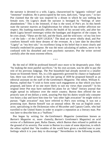the narrator is devoted to a wife, Ligeia, characterised by "gigantic volition" and "immense" erudition. He is preoccupied by her eyes, dark eyes, *"large eyes;"* in fact Poe claimed that the tale was inspired by a dream in which he saw nothing but female eyes. On Ligeia's death the narrator is besieged by "feelings of utter abandonment." This is the leitmotif, if that is the word, of Poe's art. In this bereft state the narrator marries an Englishwoman for whom he has neither affection nor respect. His loathing materially affects the health of his second wife, and after her death Ligeia herself reemerges within the bandages and draperies of the corpse. So he cries aloud, "These are the full, and the black, and the wild eyes—of my lost love —of the lady— of the LADY LIGEIA." The dead are never wholly dead, and Poe comforts himself with these dreams of the revenant. At a later date he described "Ligeia" as "my *best* tale," its excellence lying in his belief that it most clearly and formally enshrined his purpose. He was the most calculating of authors, never to be confused with his disturbed and even psychotic narrators. Poe the writer strived carefully after the most extreme effects.

• • •

By the end of 1838 he professed himself once more to be desperately poor. Only "by making the most painful sacrifices," by his own account, was he able to pay the rent of his previous lodgings. The Poe household had already moved to a smaller house on Sixteenth Street. Yet, in a life apparently governed by chance or haphazard fate, there was relief at hand. In the late spring of 1839 he proposed himself as an editorial assistant on the staff of the *Gentleman's Magazine.* The editor, William E. Burton, replied that "I wish to form some such engagement as that which you have proposed, and know of no one more likely to suit my views than yourself." In his original letter Poe may have outlined his plans for an "ideal" literary journal that might spread its influence over the entire country. Burton then offered the not princely sum of ten dollars a week, assuring Poe that his duties would only consume two hours a day and leave him time for "any other light avocation" he might wish to pursue; "light avocation" may have referred to Poe's own writing. It was not a promising start. Burton himself was an unusual editor. He was an English comic actor, specialising in the Dickensian roles of Micawber and Captain Cuttle, who had travelled to the United States in order to acquire a reputation as a literary man. Poe was later to describe him as a "buffoon."

Poe began by writing for the *Gentleman's Magazine* (sometimes known as *Burton's Magazine* or, more clumsily, *Burton's Gentleman's Magazine)* an acid review of a Baltimore poet, Rufus Dawes, which Burton then refused to publish on the ground of its severity. Poe wrote to Burton in a state of some dejection, to which the editor replied that "the troubles of the world have given a morbid tone to your feelings which it is your duty to discourage." Nevertheless in the following month,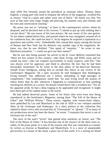June 1839, Poe formally joined the periodical as assistant editor. Thomas Dunn English, a young poet who used to frequent the offices of the magazine, recalled Poe as always "clad in a plain and rather worn suit of black." He noted, too, that "his eyes at that time were large, bright and piercing, his manner easy and refined, and his tone and conversation winning."

His prose was not so "winning," at least to the contemporary writers whom he despised, and he declared that in his reviews "I intend to put up with nothing that I can *put down*." He was aware of his own powers. He was aware of his own genius. To see others ranked before him, and praised where he was castigated, aroused all of his combative fury. He could not bear it. So by degrees he acquired a reputation as a querulous and acerbic critic. Undoubtedly this caused him injury among the *literati* of Boston and New York, but his defiance was another sign of his singularity. He knew, too, that he was disliked. "You speak of 'enemies,' " he wrote to one Baltimore journalist, "—could you give me their names?"

But he was also being praised. An article in the *St. Louis Bulletin* remarked that "there are few writers in this country—take Neal, Irving, and Willis away and we would say *none*—who can compete successfully, in many respects, with Poe." Poe was always avid for approval, and liked to advertise the fact that he had been favourably mentioned. So he wrote to the then editor of the *American Museum,* Joseph Evans Snodgrass, asking him to include this notice in any review of the *Gentleman's Magazine.* On a later occasion he told Snodgrass that Washington Irving himself "has addressed me 2 letters, abounding in high passages of compliment." One contemporary noted that "no man living loved the praises of others better than he did; whenever I happened to communicate to him anything touching his abilities as a writer, his bosom would heave like a troubled sea." For all his apparent pride, he had a deep longing to be applauded and recognised. It might have been part of his orphan status in the world.

He had indeed deserved praise. Some of his finest tales were even now being reproduced in the *Gentleman's Magazine,* among them "The Fall of the House of Usher" and "William Wilson." These stories, together with twenty-three others, were published by Lea and Blanchard at the end of 1839 in two volumes entitled *Tales of the Grotesque and Arabesque.* In a short preface to the collection Poe replied to those critics who accused him of "Germanism" or "gloom." "If in many of my productions terror has been the thesis," he wrote, "I maintain that terror is not of Germany but of the soul."

The story of the soul's "terror" that gained most attention, of course, was "The Fall of the House of Usher." It has become one of the classics of the short story or, rather, of the prose poem. It is one of the reasons why Poe was venerated as a master by writers as diverse as Baudelaire and Maeterlinck. It is a story of unnameable perversities in a house of the mind, a place not of this earth. It is a setting for blood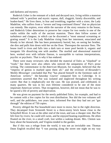and darkness and mystery.

Roderick Usher is the remnant of a dark and decayed race, living within a mansion imbued with "a pestilent and mystic vapour, dull, sluggish, faintly discernible, and leaden-hued." He lives there, in fear and trembling, together with a sister, the Lady Madeline, who suffers from a "severe and long-continued illness" that no physician can remedy. She expires, even while the narrator of the story remains in the house, and Roderick Usher determines to preserve her corpse for two weeks in one of the vaults within the walls of the ancient mansion. There then follow scenes of turbulence and clangour, in which can be discerned a "most unusual screaming or grating sound." It is the Lady Madeline rising from her interment, emaciated and bloody in her shroud. She has been prematurely buried, but, on seeing her brother, she dies and pulls him down with her on the floor. Thereupon the narrator flees. The house itself is riven and falls into a dark tarn or meer pool beside it, organic and inorganic life dissolving one with another. The morbid and obsessional material here, worked over with infinite finesse, is susceptible to various interpretations, psychic or psychotic. That is why it has endured.

There were many reviewers who derided the material of *Tales* as "slipshod" or "trash," but there were also others who noticed the uniqueness of Poe's prose writing. The commentator in the *American Museum,* for example, believed that the "impress of genius is marked upon them all," and the reviewer of *Alexander's Weekly Messenger* concluded that Poe "has placed himself in the foremost rank of American writers;" the *Saturday Courier* compared him to Coleridge. It is sometimes asserted that Poe was isolated and neglected throughout his writing career. But that is emphatically not the case. He was praised, and celebrated, in many quarters. He was in his own lifetime considered to be one of the most important American writers. That recognition, however, did not mean that he was to be spared a life of poverty and deprivation.

He was given no payment for the newly published *Tales,* for example, and had to be content with a few copies for his own distribution. Nor did the two volumes sell well, and the publishers, two years later, informed Poe that they had not yet "got through" the edition of 750 copies.

Poverty obliged the Poe household once more to move, but in the right direction. They decamped from Sixteenth Street to a three-storey brick house close to the Schuylkill River. It was at the other end of the town, and was a cheaper rent. But Poe felt freer by rivers; he could still swim, and he enjoyed boating expeditions. He often floated on the river, in a small craft, lost within a waking dream. Mrs. Clemm was busy about the housework, and Virginia tended to the garden.

But if this was a refuge from the world, it was not an inviolable one. Thomas Dunn English recalled that "I was passing along the street one night on my way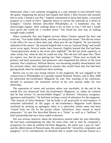homeward, when I saw someone struggling in a vain attempt to raise himself from the gutter. Supposing the person had tripped and fallen, I bent forward and assisted him to arise. I found it was Poe." English volunteered to assist him home, a wayward progress as a result of Poe's "apparent desire to survey the sidewalk by a series of triangles." Charles Dickens described Philadelphia as "a handsome city, but distractingly regular. After walking about it for an hour or two, I felt that I would have given the world for a crooked street." Poe found his own way of making straight roads crooked.

When eventually Poe and English arrived, Maria Clemm opened the door and cried out, "You make Eddie drunk, and then you bring him home." Poe did not return to the office for two or three days and, when next he saw English, "he was heartily ashamed of the matter." He assured English that it was an "unusual thing" and would never occur again. Several weeks later, however, English learned that Poe had been "found gloriously drunk in the street after nightfall." He did not drink regularly, in other words, but, when he did, he could not stop. The red mist fell upon him. There are reports, too, that he was getting into "bad company." These were no doubt the printers and hack journalists and poetasters who frequented the offices of the local journals. Poe's employer, William Burton, was becoming steadily disenchanted with his assistant editor, and complained to anyone who would listen that Poe had been getting drunk when he should have been working.

Burton was in any case losing interest in the magazine. He was engaged in the construction in Philadelphia of a grandly named National Theatre, and in May 1840 he advertised the *Gentleman's Magazine* for sale. Poe, learning of his intentions, decided to announce the imminent arrival of his own journal under his own editorship.

The separation of owner and assistant editor was inevitable. At the end of the month Poe was dismissed from the *Gentleman's Magazine;* or, rather, he claimed that he had retired "in uncontrollable disgust" at Burton's "chicanery, arrogance, ignorance and brutality." He had been writing a serial of adventure for the magazine, "The Journal of Julius Rodman," but he broke it off practically in mid-sentence. It remained unfinished. In the pages of the *Gentleman's Magazine* itself Burton retaliated by printing an apologetic letter to a subscriber whose name had been "erased from our list by the person whose 'infirmities' have caused us much annoyance." In turn Poe described Burton as a "felon" as well as a "buffoon." A brief partnership had once more ended in disaster.

Poe was serious, however, about the alternative journal under his own editorship. He had been contemplating the idea for some time, and in June he composed a prospectus for what he entitled the *Penn Magazine;* the name was a pun on "pen" and the abbreviation of Pennsylvania. He anticipated the "versatility, originality and pungency" of its contributions; he declared that it would soon become known as a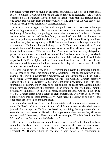periodical "where may be found, at all times, and upon all subjects, an honest and a fearless opinion;" it would belong "to the loftiest regions of literature." And it would cost five dollars per annum. He was convinced that it would make his fortune, and at one stroke remove him from the importunities of any employer. He was sure of his ability to reshape or to reformulate American letters.

Almost at once he began to write to editors, publishers, and journalists in the hope of acquiring a subscription list. He wanted to gather five hundred names by the beginning of December, thus putting his enterprise on a secure foundation. He even wrote to other members of the Poe family in search of financial contributions. He was also gathering material for the first number, which he confidently predicted would be ready by the beginning of 1841. Yet his ambitions, at this stage, outran his achievement. He found the preliminary work "difficult and most arduous," and towards the end of the year he contracted some unspecified ailment that consigned him to bed for a month. This "severe illness," as he called it, effectively delayed his plans for publication. He altered the date of the first issue from January to March 1841. But then in February there was another financial crash or panic in which the major banks in Philadelphia, and the South, were forced to close their doors. It was the worst possible moment for Poe's venture. It collapsed. It was a part of the ill fortune that followed him everywhere.

So how was he now to live? In a life of unrest and poverty he depended upon the merest chance to rescue his family from devastation. That chance returned in the shape of the erstwhile *Gentleman's Magazine.* William Burton had sold the journal to a young lawyer from Philadelphia, George Rex Graham. Graham promptly changed the title to *Graham's Lady's and Gentleman's Magazine,* but, with little journalistic or literary experience, he needed someone to assist him. Burton himself might have recommended the assistant editor whom he had fired eight months previously. Animosities, in this world, rarely endured for long. And so, in the spring of 1841, Graham offered Poe a salary of eight hundred dollars a year as editor of the book reviews. Poe accepted immediately—with "great pleasure," as he put it—and once more set to work on another's behalf.

A somewhat sentimental and saccharine affair, with well-meaning verses and tame "thrillers" and illustrations of pets and children, it was not the ideal literary journal of his prospectus. Yet Poe dismissed any misgivings he might have felt, and over the next two years published in its pages some nine new stories, fifty-one reviews, and fifteen essays. Here appeared, for example, "The Murders in the Rue Morgue" and "A Descent into the Maelstrom."

He considered it a temporary appointment, however, designed to shield him from immediate hardship. Just five months after accepting the post he was actively seeking a clerkship in a political office in Washington. The intermediary was Frederick W. Thomas, whom he had met a year before at a convention in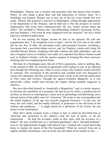Philadelphia. Thomas was a novelist and journalist who had known Poe's brother, Henry; he also drank a great deal, and had aspirations to literary fame. So a friendship was formed. Thomas was in fact one of the few close friends Poe ever made. Thomas had acquired a sinecure in Washington, sifting through applications to the department of the Treasury, and he held out to Poe the prospect of similar employment. Poe wrote back enthusiastically. He was "really serious about the office." He confided to Thomas that "notwithstanding Graham's unceasing civility, and real kindness, I feel more & more disgusted with my situation." He was a hired hand on a mediocre publication.

Yet he was earning the largest income he had so far enjoyed. He told one acquaintance that "I am temperate even to rigor," and for the first time in his adult life he was free of debt. He purchased some unaccustomed luxuries, including a four-poster bed, a porcelain dinner service, and, for Virginia, a piano and a harp. He attended literary dinners, mingling with other authors and other publishers, and was also a frequent visitor at Graham's own table. It is reported that Maria Clemm would wait in Graham's kitchen, with the express purpose of keeping Poe from excessive drinking and of accompanying him home.

The hope of a Washington post, like all of Poe's aspirations, came to nothing. But, in the autumn of 1841, he reached an agreement with Graham to stay at his editorial post through the following year. There is every reason why Graham would wish him to continue. The circulation of the periodical had climbed from five thousand to twenty-five thousand, and that rise had more than a little to do with the publication of Poe's tales and reviews. Through his agency *Graham's Magazine,* as it was universally called, would soon become the largest selling monthly magazine in America.

Poe once described himself as "essentially a Magazinist," and, in certain respects, he did have the sensibility of a journalist. He had an eye for effect, a predilection for novelty, an interest in contemporary crazes such as phrenology and ballooning, and a shrewd notion of the public taste for "sensation." He wrote to one correspondent that the whole tendency of the age was towards magazine literature—"to the curt, the terse, the well timed, and the readily diffused, in preference to the old forms of the verbose and ponderous …" It might almost be a definition of his fiction. He was always in the marketplace.

After Poe's death, Graham wrote a tribute to him in which he described him as "punctual and unwearied in his industry—*and the soul of honor,* in all his transactions … He kept his accounts, small as they were, with the accuracy of a banker." He also extolled him as a "polished gentleman" and a "devoted husband," even in "his high-hearted struggle with adverse fate." Graham left a small detail that helps to explain the nature of the Poe household: "What he received from me in regular monthly instalments, went di-rectly into the hands of his mother-in-law …"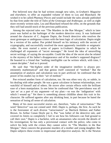Poe believed now that he had written enough new tales, in *Graham's Magazine* and elsewhere, to offer an expanded volume of them to Lea and Blanchard. He wished it to be called *Phantasy Pieces* and would include the tales already published by that firm under the title of *Tales of the Grotesque and Arabesque,* as well as eight more recently written tales. Lea and Blanchard refused the offer, on the grounds that they still had unsold stock of the previous publication.

Among the rejected tales was "The Murders in the Rue Morgue," which in later years was hailed as the harbinger of the modern detective story. It was fashioned around the character of C. Auguste Dupin, the French detective who resolves the most grotesque or ambiguous crimes with the keen logic of calculation. Dupin might be a version of his author. Poe prided himself on his intimacy with the secrets of cryptography, and successfully resolved the most apparently insoluble or enigmatic codes. He even started a series of papers in *Graham's Magazine* in which he challenged all exponents of "secret messages." He loved the idea of unravelling secret writings, of saying the un-sayable. Could the idea of the secret also be related to the mystery of his father's disappearance and of his mother's supposed disgrace? He boasted to a friend that "nothing intelligible can be written which, with time, I cannot decipher." And so it proved.

He said that "the *highest* order of the imaginative intellect is always preeminently mathematical" and that genius itself consisted of "method." But the assumption of analysis and calculation was in part artificial: he confessed that the power of his studies lay in their *"air* of method."

Poe evinced another form of calculation, too. He was often very sly, or subtle, in his dealing with other people. He was a great calculator in human relationships, ever watchful of himself and of others. He strove after certain effects with the brilliant ease of a born manipulator. In one letter he confessed that "the peevishness was all 'put on' as a part of my argument—of my plan:—so was the 'indignation' with which I wound up." Yet there is something almost childlike about this trait in his character. He suffered agonies after any drinking bout, in part because he hated the sensation of losing all sense of calculation.

Many of his most successful stories are, therefore, "tales of ratiocination." The word "detective" was not coined until 1843. Dupin is, perhaps, the first. As such he is the forerunner of such diverse "ratiocinators" as Sherlock Holmes and Father Brown. As Arthur Conan Doyle put it, Poe "was father of the detective tale, and covered its limits so completely I fail to see how his followers can find ground to call their own." Dupin is a bachelor, with an amanuensis who records the details of his investigation; he has only a provisional contact with the police, who come to solicit his help with the crimes they cannot solve. In "The Murders in the Rue Morgue," these concern the gruesome murders of a mother and young daughter. But Dupin subjects these events to impersonal and objective analysis. He is the Newton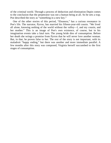of the criminal world. Through a process of deduction and elimination Dupin comes to the conclusion that the perpetrator was not a human being at all. So he sets a trap. Poe described the story as "something in a new key."

One of the other stories of this period, "Eleanora," has a curious resonance in Poe's life. The narrator, Pyrros, has married his fifteen-year-old cousin. "We lived all alone, knowing nothing of the world without the valley—I, and my cousin, and her mother." This is an image of Poe's own existence, of course, but in his imagination events take a fatal turn. The young bride dies of consumption. Before her death she wrings a promise from Pyrros that he will never love another woman. But, in that, he proves false to her. The rest of the story is not important, with its maladroit "happy ending," but there was another and more immediate parallel. A few months after this story was composed, Virginia herself succumbed to the first stages of consumption.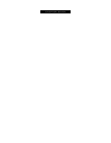### CHAPTER SEVEN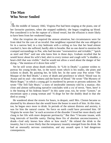# **The Man Who Never Smiled**

 $\prod$ n the middle of January 1842, Virginia Poe had been singing at the piano, one of her favourite pastimes, when she stopped suddenly; she began coughing up blood. Poe considered it to be the rupture of a blood vessel, but the effusion is more likely to have been from her weakened lungs.

After the irruption she required the utmost attention, but circumstances were far from ideal for the care of an invalid. One neighbour reported that she was obliged to lie in a narrow bed, in a tiny bedroom with a ceiling so low that her head almost touched it; here she suffered, hardly able to breathe. But no one dared to mention the cramped surroundings to Poe, who had become "oversensitive and irritable;" "quick as steel and flint" said one who knew him in those days. Graham recalled that he would hover about his wife's bed, alert to every tremor and cough with "a shudder, a heart-chill that was visible." And he would not allow a word about the danger of her dying—"the mention of it drove him wild."

Yet he still wrote about death endlessly. In "Life in Death," a painter wishes to portray his young bride; but, in the turret room which is his studio, she pines and sickens to death. By painting her, he kills her. In the same year Poe wrote "The Masque of the Red Death," a story of death and pestilence in which "blood was its Avatar and its seal—the redness and the horror of blood." He wrote "The Mystery of Marie Roget," in which a young girl is murdered by person or persons unknown. He wrote "The Tell-Tale Heart," a story of intolerable intensity told by a maniac; this close and almost suffocating narrative concludes with a cry of terror, "here, here! it is the beating of his hideous heart!" In this same year, too, he wrote "Lenore," an encomium upon a young woman and "A dirge for her the doubly dead in that she died so young."

He wandered about the streets for hours, in despair, until Mrs. Clemm became so alarmed by his absence that she would leave the house in search of him. At this time, too, he began once more to drink. In periods of the utmost distress and anxiety, it was for him the natural course. No force on earth could have prevented him. Of Virginia he wrote that "at each accession of the disorder I loved her more dearly and clung to her life with more desperate pertinacity." But then "I became insane, with long intervals of horrible sanity. During these fits of absolute unconsciousness, I drank—God only knows how often or how much." He related the drink to the insanity, but it is more likely that the temporary insanity emerged from the drink. He had an unusually nervous constitution, and any assault upon it had dangerous consequences.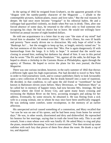In the spring of 1842 he resigned from *Graham's,* on the apparent grounds of his "disgust with the namby-pamby character of the Magazine … I allude to the contemptible pictures, fashion-plates, music and love tales." But the real reasons lie deeper. He had once more become "irregular" in his editorial habits. He and a colleague had quarrelled violently, no doubt when Poe was in drink. Then, after one forced absence of some days, he returned to the office only to find someone else occupying his chair. He had no choice but to leave. He would not willingly have forfeited an annual income of eight hundred dollars.

He told one acquaintance in a letter that in any case "the state of my mind" had forced him to abandon "all mental exertion." His wife's illness, his own ill health and poverty "have nearly driven me to distraction. My only hope of relief is the 'Bankrupt Act'… but the struggle to keep up has, at length, entirely ruined me." In the last sentences of this letter he wrote that "Mrs. Poe is again dangerously ill with haemorrhage from the lungs. It is folly to hope." It seemed that the world was closing in around him; nothing but darkness lay ahead of him. It was in this period that he wrote "The Pit and the Pendulum." Yet, against all the odds, he did hope. He hoped to obtain a clerkship in the Customs House at Philadelphia, again through the agency of Thomas. He hoped to revive the plans for his own journal, the *Penn Magazine.*

There was one curious incident, however, in the early summer of 1842 that throws a different light upon his high expectations. Poe had decided to travel to New York in order to find journalistic work, and to contact publishers likely to look favourably upon a new collection of his stories. But he drank himself into a state of inanition. He decided, in that condition, to call upon the old friend or "sweetheart" he had known in Baltimore eleven years before; Mary Devereaux, or "Baltimore Mary" as he called her in memory of happier times, had now become Mrs. Jennings. He had forgotten where she lived in Jersey City, and spent many hours crossing and recrossing the Hudson River on the ferry, accosting strangers and asking for her address. Eventually, by some miracle, he obtained it. He was fleeing from a sick wife to a young woman, one to whom he may once have been unofficially engaged. He was seeking some comfort, some recompense, in the memory of an earlier affection.

His unexpected arrival caused something of a commotion, and Mary recalled that "we saw he was on one of his sprees, and he had been away from home for several days." He was, in other words, disoriented and dirty and dishevelled. He reproached his hostess for her marriage, saying that in truth she loved him only. This is an odd remark, from a man whose own wife was fatally ill. He asked Mary to sing and play the piano, meanwhile becoming "excited in conversation." Poe then minced up some radishes with such fury that pieces of them flew about the room. He drank a cup of tea, and departed.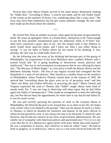Several days later Maria Clemm arrived at the same house, desperately looking for "Eddie dear." According to Mary, "a search was made, and he was finally found in the woods on the outskirts of Jersey City, wandering about like a crazy man." The story may have been elaborated, but the gist seems authentic enough. No one could have made up the detail about the radishes.

• • •

He visited New York on another occasion, when again he became incapacitated by drink. He wrote an apologetic letter to a friend there, asking him to be "kind enough to put the best possible interpretation upon my behaviour while in N-York? You must have conceived a *queer* idea of me—but the simple truth is that Wallace [a poet] would insist upon *the juleps,* and I knew not what I was either doing or saying." It was his habit to blame others for the extent of his drinking. It was, perhaps, the only way he could make sense of it.

By the following year the news of his drinking had become part of the gossip of Philadelphia. An acquaintance of his from Baltimore days, Lambert Wilmer, told a mutual friend that "he is going headlong to destruction, moral, physical and intellectual." Poe was in such straitened circumstances that he was offering his latest tale, "The Mystery of Marie Roget," at a low price to both the Boston *Notion* and the *Baltimore Saturday Visiter.* The loss of any regular income had consigned the Poe household to a state of real distress. They moved to a smaller house on the outskirts of Philadelphia, where Frederick Thomas visited them in the autumn of 1842. He noticed that "everything about the place wore an air of pecuniary want" and that "there was delay and evident difficulty in procuring the meal." Maria Clemm and Virginia expressed the wish to Thomas that "Eddie" might obtain some kind of steady work, but "I was not long in observing with deep regret that he had fallen again into habits of intemperance." They made an arrangement to meet the following day, but Poe did not keep the appointment; he wrote later to say that he had fallen ill. It was his usual excuse.

He was still actively pursuing the position of clerk in the Customs House at Philadelphia. He believed the post to be assured but, as so often in his life, his hopes were raised "only to be dashed to the ground." That was the phrase he used in a letter to Thomas, in which he detailed the insolence and hauteur of the petty official in whom he had placed his trust. It was always his fate to be thwarted. It cannot be said, however, that he had any interest in any form of government administration. He was wholly out of sympathy with American politics and questioned once "Is it or is it not a fact that the air of a Democracy agrees better with mere Talent than with Genius?" He was a proponent of slavery, and a believer in what he called "caste." He had no faith in progress, or in democracy, and so was in a real sense divorced from the life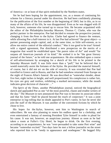of America—or at least of that spirit embodied by the Northern states.

Yet he had been hoping for the appointment, too, as a means of continuing his scheme for a literary journal under his direction. He had been confidently planning for the publication of the first number at the beginning of 1843; but in this, as in so many of the affairs of his life, he was disappointed. Even as he was dogged with ill luck, however, someone else turned up to rescue him. He became acquainted with the editor of the Philadelphia *Saturday Museum,* Thomas C. Clarke, who was the perfect partner in the enterprise. Poe had decided to rename the prospective journal, changing it from the *Penn* to the *Stylus.* Clarke had agreed to finance the venture, while allowing Poe a half-interest in it. At last Poe had achieved "the great object—a partner possessing ample capital, and, at the same time, so little self-esteem, as to allow me entire control of the editorial conduct." Was it too good to be true? Armed with a signed agreement, Poe distributed a new prospectus on the merits of a magazine that would be established upon "the purest rules of Art" and would "far surpass all American journals of its kind." He wished it to be "the great literary journal of the future," as he told one acquaintance. He also embarked upon a course of self-advertisement by arranging for a sketch of his life to be printed in the *Saturday Museum* itself. It was little more than a "puff," but he believed that it would materially assist the fortunes of the *Stylus.* He provided the material himself, of course, but it did not err on the side of veracity. It was revealed that Poe had travelled to Greece and to Russia, and that he had somehow returned from Europe on the night of Frances Allan's funeral. He was described as "somewhat slender, about five feet, eight inches in height, and well proportioned; his complexion is rather fair, his eyes are grey and restless, exhibiting a marked nervousness; while the mouth indicates great decision of character …"

The *Spirit of the Times,* another Philadelphian journal, noticed the biographical sketch and applauded Poe as one "of the most powerful, chaste and erudite writers of the day." The *Museum* in turn announced that Poe was to become its associate editor and that his fame "shall be placed beyond the reach of conjecture." It was a joint enterprise in log-rolling that no doubt appealed to Poe's vanity. In fact he never did join the staff of the *Museum.* It was another of the convenient fictions by which he chose to live.

His hopes for the *Stylus,* however, sent him to Washington in search of subscribers. He was also planning to renew his endless quest for a clerkship, and even entertained a fantasy of meeting President Tyler himself in order to plead for his cause. It was not, however, an auspicious journey. Almost as soon as he had taken a room at Fuller's City Hotel, he began to drink. On the first evening, according to an acquaintance, he was "over-persuaded to take some Port wine" and became "somewhat excited." Two days later he met a fellow journalist on the street who reported him to be "seedy in appearance and woebegone." He begged fifty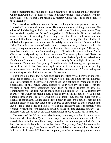cents, complaining that "he had not had a mouthful of food since the day previous." On the following day Poe himself wrote to his new partner, Thomas Clarke, with the news that "I believe that I am making a *sensation* which will tend to the benefit of the Magazine."

This was sheer self-delusion on his part, although he was perhaps creating a "sensation" in quite a different sense. He was once more drinking to excess. The editor of the Washington *Index,* Jesse Dow, had known Poe four years before. They had worked together on *Burton's* magazine in Philadelphia. Now he had the unenviable job of escorting Poe through the city. Dow tried to escape the responsibility by writing a solemn letter to Clarke, telling him that "I think it advisable for you to come on and see him safely back to his home." Dow added that "Mrs. Poe is in a bad state of health, and I charge you, as you have a soul to be saved, to say not one word to her about him until he arrives with you." Three days later Poe boarded the train from Washington to Philadelphia, where he found Maria Clemm anxiously waiting for him at the station. That evening he visited Clarke, no doubt in order to dispel any unfortunate impressions Clarke might have derived from Dow's letter. "He received me, therefore, very cordially & made light of the matter," he wrote to Thomas and Dow jointly. "I told him what had been agreed upon—that I was a little sick & that Dow, knowing I had been, in times past, given to spreeing upon an extensive scale, had become unduly alarmed etcetera …" So he had agreed upon a story with his intimates to cover his excesses.

But there is no doubt that he was once again mortified by his behaviour under the influence of drink. To Dow he wrote "thank you a thousand times for your kindness & great forbearance, & don't say a word about the cloak turned inside out, or other peccadilloes of that nature. Also, express to your wife my deep regret for the vexation I must have occasioned her." Then he asked Thomas to send his compliments "to the Don, whose mustachios I do admire after all… express my regret to Mr. Fuller for making such a fool of myself in his house …" So he had paraded through the streets wearing his cloak inside out, and had made fun of a Spaniard's moustache. He had also behaved badly in someone's house. These are not hanging offences, and may have been a source of amusement to those around him. But he had a deep sense of pride, as well as an instinctive sense of formality and control. When these were abrogated and injured, he fell into sickness and grief. His illnesses were caused not by physical overindulgence but by guilty self-laceration.

The result of the Washington debacle was, of course, that he did not gain an interview with President Tyler or retain any hope of obtaining the clerkship. It is also doubtful whether he enlisted many subscribers for the new periodical. Or, if he had, that he would be able to remember them. "Did you say Dow," he wrote to his friend in a postscript, "that Commodore Elliot had desired me to put down his name? Is it so or did I dream it?" Poe was completely unsuited to arranging the economic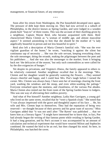management, or financial future, of any enterprise.

• • •

Soon after his return from Washington, the Poe household decamped once again. The pressure of debt kept them moving on. They had now arrived in a suburb of Philadelphia, in the district known as Spring Garden, and were lodged in a wooden plank-built "lean-to" of three rooms. This was the account of their dwelling given by a neighbour, Captain Wayne Reid, who became acquainted with them. Reid characterised Maria Clemm as "a woman of middle age, and almost masculine aspect." It seemed astonishing to him that she should be the mother of "a lady angelically beautiful in person and not less beautiful in spirit."

Reid also left a description of Maria Clemm's familial role. "She was the ever vigilant guardian of the home," he wrote, "watching it against the silent but continuous sap of necessity … She was the sole servant, keeping everything clean; the sole messenger, doing the errands, making the pilgrimages between the poet and his publishers … And she was also the messenger to the market; from it bringing back not 'the delicacies of the season,' but only such commodities as were called for by the dire exigencies of hunger."

Yet despite its privations, and Virginia's illness, the family appeared to others to be relatively contented. Another neighbour recalled that in the mornings "Mrs. Clemm and her daughter would be generally watering the flowers …They seemed always cheerful and happy, and I could hear Mrs. Poe's laugh before I turned the corner. Mrs. Clemm was always busy. I have seen her of mornings clearing the front yard, washing the windows and the stoop, and even white-washing the palings." Everyone remarked upon the neatness, and cleanliness, of the various Poe abodes. Maria Clemm also rented out the front room of the Spring Garden house to lodgers. This was one way of alleviating their endless poverty.

And what of Poe himself? Another neighbour, Lydia Hart Garrigues, a young girl who lived on the same street, recalled that he "wore a Spanish cloak." She noted that "I was always impressed with the grave and thoughtful aspect of his face … He, his wife and Mrs. Clemm kept to themselves. They had the reputation of being very reserved— we thought because of their poverty and his great want of success." Miss Garrigues added that "it was not until after 'The Raven' was published … that we knew him as a literary figure." It might have interested her to know that, in fact, Poe had already begun the writing of that famous poem while residing in Spring Garden. It had a long gestation, and by Poe's account it was accompanied by an amount of calculation and technical experiment that would have wearied Milton and Sophocles combined. He wanted the bird to be an owl, but then changed his mind. So here, in Philadelphia, was hatched the raven.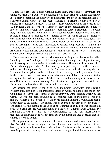There also emerged a prize-winning short story. Poe's tale of adventure and detection, "The Gold Bug," won a hundred dollar prize from the *Dollar Newspaper.* It is a story concerning the discovery of hidden treasure, set in the neighbourhood of Sullivan's Island, where Poe had been stationed as a private soldier fifteen years before. The subtropical beaches, with their "dense undergrowth of the sweet myrtle … burthening the air with its fragrance," provide the atmosphere for a tale of invisible ink and cryptography, enigmatic codes and secret instructions. "The Gold Bug" may not hold sufficient interest for a contemporary audience, but Poe's first readers deemed it "a production of superior merit" in which all the pleasures of verisimilitude were maintained within the context of a quest for fabled gold. Poe could quite rightly be construed as a second Defoe, whose *Robinson Crusoe* he had praised very highly for its constant pursuit of veracity and probability. The *Saturday Museum,* Poe's usual champion, described the story as "the most remarkable piece of American fiction that has been published within the last fifteen years." The edition of the *Dollar Newspaper* containing the first part was sold out.

There was one reader, however, who was not so impressed by what he called "unmitigated trash" and a piece of "humbug"—the "humbug" consisting of that very air of veracity cast over a series of remarkable events. The author of this attack, F.H. Duffee, then suggested that Poe had actually been paid only ten or fifteen dollars rather than the supposed full prize. So Poe sued him for libel, claiming that his "character for integrity" had been injured. He hired a lawyer, and signed an affidavit in the District Court. There were many who made fun of Poe's sudden sensitivity, noting that he had in the past published "severe and scorching criticisms" of his own. But the action came to nothing. A week after Poe's appearance in court, he and Duffee met, resolved their differences, and signed an agreement.

On hearing the news of the prize from the *Dollar Newspaper,* Poe's cousin, William Poe, sent him a congratulatory letter in which he hoped that the money would help to relieve "the sickness & despondency you were suffering when you last wrote." So Poe had been announcing his feelings even to members of his own family. William Poe also wished to caution his cousin against that "which has been a great enemy to our family." The enemy was, of course, a "too free use of the Bottle." The Bottle was the demon of the Poes. In the summer of 1843 Poe was satirised in print as a drunkard. He was lampooned in a novel by Thomas Dunn English, *The Drunkard's Doom,* in which he was characterised as "the very incarnation of treachery and falsehood." It was the first, but by no means the last, occasion that Poe entered a work of fiction.

His appearance was also the object of much comment and speculation. He was five feet eight inches in height, and held himself erect with an almost military bearing; he invariably wore black, with a black frockcoat and black cravat as if he were in perpetual mourning. He was of slender, or slight, build; he had dark brown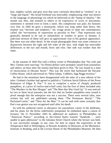hair, slightly curled, and grey eyes that were variously described as "restless" or as "large and liquid." His broad forehead was noticeable, emphasising what was known in the language of phrenology (in which he believed) as the "bump of ideality." His mouth was thin, and seemed to others to be expressive of scorn or discontent; sometimes it seemed even to form a sneer. His complexion was pale, his features very fine. In 1845 he grew a moustache, which was long rather than heavy. His manner was "nervous and emphatic," his visage prone to what one contemporary called the *"nervousness* of expression so peculiar to Poe." That expression was generally deemed to be sad or melancholy or sombre or grave or dreamy. A judicious mixture of these will give an approximate clue to his general appearance. But there was one other detail. In the extant photographs there was some contrast or disjunction between the right and left sides of the face, with slight but noticeable differences in the eye and mouth, brow and chin. One side was weaker than the other.

• • •

In the autumn of 1843 Poe told a fellow writer in Philadelphia that "his wife and Mrs. Clemm were starving." So fifteen dollars were promptly raised from journalists and others; an hour after the money had been given to Poe, "he was found in a state of intoxication in Decatur Street." This was the street that harboured the Decatur Coffee House, which advertised its "Mint Juleps, Cobblers, Egg Noggs etcetera."

He had in the meantime been disappointed with the sales of a new edition of his tales. Graham's brother had agreed to publish a "Uniform Serial Edition of the Prose Romances of Edgar A. Poe." It was to comprise a series of cheaply produced pamphlets, at a price of twelve-and-a-half cents, but the first of them included only "The Murders in the Rue Morgue" and "The Man that Was Used Up." It was noticed by two or three local journals, but the fact that no further pamphlets were issued is proof enough that the enterprise was not a success. There were several tales, now written but still not published—among them "The Premature Burial." "The Purloined Letter," and "Thou Art the Man." It can be said with some certainty that Poe's true genius was not recognised until after his death.

So with his authorial career in abeyance, his journalistic career in the doldrums, and his plans for the *Stylus* indefinitely postponed, he embarked upon a course of lectures. On 21 November 1843 he addressed an audience in Philadelphia on "American Poetry;" according to the *United States Gazette* "hundreds … were unable to gain admission" to the Julianna Street Church where the lecture was held. It was successful enough, in any case, for him to repeat the experience in the Temperance Hall in Wilmington, at Newark Academy in Delaware, at the Mechanics Institute in Reading, and at the Lecture Room of the Philadelphia Museum. He then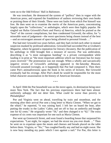went on to the Odd Fellows' Hall in Baltimore.

He was trenchant. He denounced the system of "puffery" then in vogue with the American press, and exposed the fraudulence of authors reviewing their own books or praising those of their friends. These were not faults from which Poe himself was free. He then went on to examine the merits of the American poets, concentrating largely upon the "collections," or anthologies, which were then highly popular. He singled out Rufus Griswold's *Poets and Poetry of America,* which he praised as the "best" of the current compilations, but then condemned Griswold, the editor, for "a miserable want of judgement—the worst specimens being chosen instead of the best —and an extravagant amount of space being allotted to personal friends ..."

Poe had met Griswold two years before, and they had circled each other in mutual suspicion masked by professed admiration. Griswold had succeeded Poe at *Graham's Magazine,* where he gained a reputation for literary chicanery. But the publication of his anthology in 1842 brought him a measure of success. Poe was ambivalent, describing it as "a most outrageous humbug" to a private correspondent while lauding it in print as "the most important addition which our literature has for many years received." The protestation was not enough. When a wholly and sarcastically negative review of Griswold's anthology appeared in the *Saturday Museum,* Griswold assumed (wrongly, as it happened) that Poe had composed it. Then there came Poe's animadversions upon the book in his series of lectures. But Griswold eventually had his revenge. After Poe's death he would be responsible for the most lethal character assassination in the history of American literature.

• • •

In April 1844 the Poe household was on the move again, its destination being once more New York. The fact that his previous experiences there had been almost uniformly unhappy did not deter him. What could be worse than poverty in Philadelphia?

Poe and Virginia went on ahead, travelling by train and steamboat, and the morning after their arrival Poe sent a long letter to Maria Clemm. "When we got to the wharf," he reported, "it was raining hard. I left her on board the boat, after putting the trunks in the Ladies' Cabin, and set off to buy an umbrella and bought one for 62 cents." He originally wrote "56," and then changed it to "62." The extra expense of six cents was important for one such as Maria Clemm.

Poe went up Greenwich Street, and soon found a boarding house that surpassed his expectations. "Last night, for supper, we had the nicest tea you ever drank …" Then he went on to expatiate upon the meats and cheeses and breads placed on the table before them. Virginia, or "Sis," "has coughed hardly any and had no night sweat. She is now busy mending my pants which I tore against a nail." For Poe, this letter is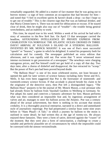remarkably unguarded. He added in a matter of fact manner that he was going out to borrow money—a sign of how common an occupation that had become for him and noted that "I feel in excellent spirits & haven't drank a drop—so that I hope so to get out of trouble." This is the clearest sign that Poe was an habitual drinker, and that Maria Clemm knew it. There was no need for obfuscation or excuse. If he stayed clear of drink, then he might also stay out of "trouble"—the trouble being general wretchedness, and an inability to work.

This time, he stayed true to his word. Within a week of his arrival he had sold a story of sensation to the *New York Sun.* On April 13 that newspaper carried the headline, ASTOUNDING INTELLIGENCE BY PRIVATE EXPRESS FROM CHARLESTON VIA NORFOLK! THE ATLANTIC OCEAN CROSSED IN THREE DAYS!! ARRIVAL AT SULLIVAN S ISLAND OF A STEERING BALLOON INVENTED BY MR. MONCK MASON!! It was one of Poe's most successful "spoofs" or "hoaxes," a game in which he delighted. It suited his propensity both for calculation and for comedy. The newspaper published an extra edition that afternoon, and it was rapidly sold out. Poe wrote that "I never witnessed more intense excitement to get possession of a newspaper." The newsboys were charging outrageous prices, and Poe himself could not get hold of a copy all that day. Two days later, after a chorus of disbelief and disapproval, the *Sun* retracted its "scoop." But the power of Poe's pen had been proved beyond doubt.

"The Balloon Hoax" is one of his most celebrated stories, not least because it opened the path for later writers of science fantasy including Jules Verne and H.G. Wells. It has even been suggested that Poe is the forerunner of nineteenth- and twentieth-century science fiction. If that accolade is placed beside his claim to be the originator of the detective story, then Poe left a distinguished legacy. "The Balloon Hoax" purports to be the journal of Mr. Monck Mason, a real aeronaut who had already flown by balloon from Vauxhall Gardens to Weilberg in Germany. So Poe adopts his name and contrives a fantastic adventure for him; Mason performs what was then considered an impossible feat and, by ingenious arrangement of valves and air, manages to steer his balloon across the Atlantic. Poe was a century ahead of the actual achievement, but there is nothing in his account that strains credulity. It is a thoroughly practical enterprise, narrated in a direct and unmediated style of journalistic reportage. Poe had perpetrated a similar hoax some nine years before in "Hans Phaall—A Tale," in which a journey by balloon to the moon is outlined in some detail; he had written this at the age of twenty-six. He always enjoyed these fantasies. They were a form of satire, directed against the "crazes" of the moment. But they were also a form of ratiocination, a challenge to create a suitable and perfectly plausible set of circumstances by which the impossible could be conveyed with the utmost verisimilitude.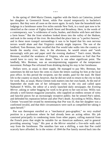In the spring of 1844 Maria Clemm, together with the black cat Catterina, joined her daughter in Greenwich Street, while Poe stayed temporarily in bachelor's quarters. But they were all soon on the move again. In early June the household took lodgings in a farmhouse some five miles outside New York, in a rural spot now to be identified as the corner of Eighty-fourth Street and Broadway. Here, in the words of a contemporary, was "a wilderness of rocks, bushes, and thistles with here and there a farm house." But the front windows looked down into the valley of the Hudson, and took in the sweep of the river. He described the place later as "a perfect heaven," and in these more tranquil surroundings it was to be hoped that his own nervous terrors would abate and that Virginia's malady might improve. The son of the landlord, Tom Brennan, later recalled that Poe would take walks into the country or beside the nearby river; then, in the afternoon, he would return and "work unceasingly with pen and paper until the evening shadows." Tom's sister, Martha Brennan, recalled the weakness of Virginia, who was sometimes so frail that Poe would have to carry her into dinner. There is one other significant point. The landlady, Mrs. Brennan, was an uncompromising supporter of the temperance movement. Perhaps Poe refrained from drinking during his stay in her farmhouse.

Dollars were, as usual, in short supply. He managed to pay Mrs. Brennan, but sometimes he did not have the cents to claim the letters waiting for him at the local post office. In this period the recipient, not the sender, paid for the mail. He liked life in the country so much, however, that he did not wish to return to the city to look for work. But, as usual, Maria Clemm took matters into her own hands. At the end of September she made one of her infrequent visits to the city and called upon Nathaniel P. Willis, the editor of a newly launched daily newspaper, the *Evening Mirror,* asking or rather begging for work to be given to her son-in-law. Willis was already a well-known magazine journalist, who supplied an endless stream of witty and fanciful pieces for an increasingly receptive public; but he sensed Poe's talent, and defended his reputation before and after Poe's death. According to Willis, Maria Clemm "excused her errand by mentioning that Poe was ill, that her daughter was a confirmed invalid, and that their circumstances were such as compelled her taking it upon herself."

Poe was thereupon enrolled as a "mechanical para-graphist," no very exalted position in a profession where he had already been an acting editor. His job consisted principally in condensing items from other papers, culling material from the French press that might be suitable for an American audience, and in general providing amusing "copy." His post at the *Mirror* entailed a five-mile walk each way from the farmhouse. The omnibus fare was a shilling, a sum that Poe could scarcely have afforded. So in the winter of 1844 the Poe family moved back into the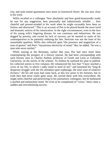city, and took rented apartments once more in Greenwich Street. He was now close to his work.

Willis recalled to a colleague "how absolutely and how good-humouredly ready he was for any suggestion, how punctually and industriously reliable … how cheerful and present-minded in his work when he might excusably have been so listless and abstracted." This is an account of Poe to be placed beside the more lurid and dramatic notices of his intoxication. In the right circumstances, even in the face of his young wife's lingering disease, he was courteous and industrious. He was dogged by poverty, and cursed by lack of success; yet he seemed to some of his contemporaries to be patiently enduring his fate. Stoicism was not the least of his remarkable qualities. Willis also reflected upon "the presence and magnetism of a man of genius" and Poe's "mysterious electricity of mind." But, he added, "he was a man who never smiled."

While staying at the Brennans, earlier that year, Poe had once more been contemplating the prospect of a literary journal. He had been corresponding with such literary men as Charles Anthon, professor of Greek and Latin at Columbia University, on the merits of the scheme. To Anthon he outlined his plan to publish his collected stories in five volumes. He volunteered the fact that "I have reached a crisis of my life, in which I sadly stand in need of aid," and lamented his "long & desperate struggle with the ills attendant upon orphanage, the total want of relatives etcetera." All his old woes had come back, at this low point in his fortunes, but in truth they had never really gone away. He carried them with him everywhere. He might seem cheerful and persevering to his journalistic colleagues, but he harboured a morbid and melancholy mind. Yet even as he complained of "crisis," there came a sudden and overwhelming success.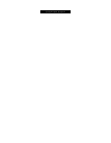### CHAPTER EIGHT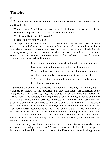# **The Bird**

 $A_t$  the beginning of 1845 Poe met a journalistic friend in a New York street and confided in him.

"Wallace," said Poe, "I have just written the greatest poem that ever was written." "Have you?" replied Wallace. "That is a fine achievement."

"Would you like to hear it?" asked Poe.

"Most certainly," said Wallace.

Thereupon Poe recited the verses of "The Raven." He had been working on it during the period of retreat in the Brennan farmhouse, and he put the last touches to it in the apartment on Greenwich Street. On January 29 it was published in the *Evening Mirror,* and was reprinted in other New York periodicals. It became a sensation. It was his most celebrated poem, and indeed remains one of the most famous poems in American literature:

Once upon a midnight dreary, while I pondered, weak and weary,

Over many a quaint and curious volume of forgotten lore—

While I nodded, nearly napping, suddenly there came a tapping,

As of someone gently rapping, rapping at my chamber door.

" Tis some visitor," I muttered, "tapping at my chamber door—

Only this and nothing more."

So begins the poem that is a reverie and a lament, a threnody and a hymn, with its cadences so melodious and powerful that they still haunt the American poetic imagination. And there is, too, the plangency of the continual refrain of "Nevermore." The narrator, mourning the death of a loved one, is visited by the bird of ill omen whose baleful presence increases his loneliness and desolation. The poem was extolled by one critic as "despair brooding over wisdom." Poe described the black bird as an evocation of *"Mournful and Neverending Remembrance."*The *New York Express* acclaimed it as surpassing "anything that has been done even by the best poets of the age," while the *Richmond Examiner* proclaimed it to have "taken rank over the whole world of literature." The *New World,* more plainly, described it as "wild and *shivery*." It was reprinted ten times, and soon earned the tribute of numerous parodies.

A contemporary noted that "soon the Raven became known everywhere, and everyone was saying 'Nevermore.' " Actors introduced it into their dialogue. It became a catchword. Poe became known as "the Raven," and his habitual appearance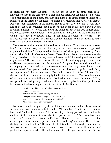in black did not harm the impression. On one occasion he came back to his newspaper office in the company of a then-famous actor. Poe sat at his desk, brought out a manuscript of the poem, and then summoned the entire office to listen to a rendition of the verses by the actor. The office boy recorded that "I was entranced." Poe was soon celebrated in the literary salons of the city, too, and at very little notice he could be prevailed upon to recite the poem in his own particular and mournful manner. He "would turn down the lamps till the room was almost dark," one contemporary remembered, "then standing in the center of the apartment he would recite those wonderful lines in the most melodious of voices … So marvellous was his power as a reader that the auditors would be afraid to draw breath lest the enchanted spell be broken."

There are several accounts of his sudden prominence. "Everyone wants to know him," one contemporary wrote, "but only a very few people seem to get well acquainted with him." He appeared at the salons of Miss Lynch on Waverly Place and of Mrs. Smith in Greenwich Street. These literary ladies were known as the "starry sisterhood." He was always neatly dressed, with "the bearing and manners of a gentleman." He was never drunk. He was "polite and engaging … quiet and unaffected, unpretentious, in his manner." Virginia Poe would sometimes accompany her husband to these *conversaziones,* as they were known, and demonstrated "the greatest admiration for her husband's genius, and fairly worshipped him." She was not alone. Mrs. Smith revealed that Poe "did not affect the society of men, rather that of highly intellectual women … Men were intolerant of all this, but women fell under his fascination and listened in silence." They recognised his need, perhaps, and his orphan's sense of privation. One specimen of his conversation has been preserved in the diary of Mrs. Smith:

> "Ah Mr. Poe, this country affords no arena for those who live to dream." "Do you dream? I mean sleeping dream?" "Oh yes, I am a perfect Joseph in dreaming, except that my dreams are of the unknown, the spiritual." "I knew it. I knew it by your eyes."

Poe was no doubt delighted by the acclaim and attention. He had always wished for fame and now, in a way he had found it. "No man lives," he is once reported to have said, "unless he is famous." He also enjoyed being praised. Nevertheless he contrived to be somewhat ironical about the poem's success. "The Raven has had a great 'run,' Thomas," he wrote to Frederick Thomas, "—but I wrote it for the express purpose of running—just as I did the 'Gold-Bug' you know. The bird beat the bug, though, all hollow." The tone of calculation here is thoroughly familiar. He was writing poetry exactly as most people perceived poetry to be. He was writing poetry for a specific market. He told a journalistic colleague that he wished "to see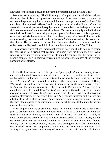how near to the absurd I could come without overstepping the dividing line."

Poe even wrote an essay, "The Philosophy of Composition," in which he outlined the principles of his art and provided an anatomy of the poem stanza by stanza. He set down the proper length of a poem, and the most appropriate tone of "sadness;" he elucidated the required "effects," and the importance of a significant refrain. He stated that the work proceeded, step by step, to its completion with the precision and rigid consequence of a mathematical problem. "It was a thoroughly methodical and technical handbook for the writing of a great poem. In the course of this supposedly objective analysis he announced that "the death, then, of a beautiful woman is, unquestionably, the most poetic topic in the world" without revealing his reasons for the choice. He set down, in order, his tricks and devices; it was a need for orderliness, similar to that which had sent him into the Army and West Point.

This apparently cynical and impersonal account, however, should be placed beside the confession to a friend that reciting the poem "set his brain on fire." What remains is not its technical audacity, or its melodic control, but the horror of its morbid despair. Poe's impersonality resembles the apparent calmness of the frenzied narrators of his stories.

• • •

In the flush of success he left his post as "para-graphist" on the *Evening Mirror* and joined the rival *Broadway Journal,* where he began to reprint some of his earlier published tales and poems. He also continued a round of literary hostilities, initiated in the *Evening Mirror,* in which he attacked the poetry and reputation of Henry Wadsworth Longfellow. Longfellow was at this time one of the senior poetic figures in America, but his status was only likely to excite Poe's wrath. Poe reviewed an anthology edited by Longfellow, *The Waif,* and accused the older poet of excluding any poets deemed to rival Longfellow himself; he also accused him of gross and obvious plagiarism. He described him as a "determined imitator and a dexterous adapter of the ideas of other people," and denounced him for plagiarism of Tennyson that was "too palpable to be mistaken … [and] which belongs to the most barbarous class of literary robbery."

It was in part a means of providing "copy" for his new journal. But it was also a ploy to provoke public attention; he even went so far as to compose an imaginary riposte to his own charges, under the name of "Outis," or "Nobody," simply to continue the public debate for a little longer. He succeeded in that, at least, and the onesided battle between Poe and Longfellow rendered it one of the most famous literary feuds in American literary history. Poe's writing on the subject amounted to one hundred pages. He compounded the offence by lecturing at the New York Society Library on "Poets and Poetry of America." This had been the title he had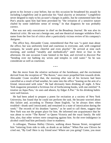given to his lecture a year before, but on this occasion he broadened his assault by including Longfellow and in particular his "fatal alacrity at imitation." Longfellow never deigned to reply to his accuser's charges in public, but he commented later that Poe's attacks upon him had been provoked by "the irritation of a sensitive nature chafed by some indefinite sense of wrong." In that diagnosis he was probably correct.

Poe was not only executioner in chief on the *Broadway Journal.* He was also its theatrical critic. He was not a benign one, and one theatrical manager withdrew Poe's name from the free list of critics after a particularly vicious review of his company's *Antigone.*

The office boy, Alexander Crane, remembered that Poe was "a quiet man about the office, but was uniformly kind and courteous to everyone, and, with congenial company, he would grow cheerful and even playful." He arrived at nine each morning, and worked "steadily and methodically" until three or four in the afternoon. On one occasion Crane fainted in the heat, and revived to discover Poe "bending over me bathing my wrists and temples in cold water." So he was considerate as well as courteous.

• • •

But the move from the relative seclusion of the farmhouse, and the excitement derived from the reception of "The Raven," once more propelled him towards drink. Alexander Crane recalled that, the morning after one of his lectures had been cancelled as a result of bad weather, he came into the office "leaning on the arm of a friend, intoxicated with wine." He had obviously been drinking all night. A New York magazine presented a fictitious list of forthcoming books, with one entitled "A treatise on Aqua Pura,' its uses and abuses, by Edgar A Poe." So his drinking habits were well known.

He had been asked to prepare a poem for recitation at a society of New York University, but found that he could not perform the task. He became worried about this failure and, according to Thomas Dunn English, "as he always does when troubled—drank until intoxicated; and remained in a state of intoxication during the week." The records of his drunken "sprees," as he used to call them, suggest that New York was not the proper place for him. He informed one acquaintance that he was about to recite "The Raven" to Queen Victoria and the royal family. He told him, also, that other writers were conspiring against him. So the over-indulgence in alcohol could lead him perilously close to madness.

A colleague, Thomas Holley Chivers, walking down Nassau Street, recognised him "tottering from side to side, as drunk as an Indian." When Poe saw Chivers he cried out, "By God! Here is my friend now! Where are you going? Come, you must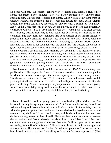go home with me." He became generally over-excited and, seeing a rival editor across the street a few minutes later, was barely restrained by Chivers from attacking him. Chivers then escorted him home. When Virginia saw them from an upstairs window, she retreated into her room and locked the door. Maria Clemm greeted her errant son-in-law, according to Chivers, with a refrain of "Oh! Eddy! Eddy! Eddy! Come here, my dear boy. Let me put you to bed." She also apparently confided to Chivers, "I do believe that the poor boy is deranged!" It is clear enough that Virginia, wasting from day to day, could not bear to see her husband in this condition. She may even have believed that Poe's despair at her illness helped to provoke his heavy drinking. She may just have been too frail to cope with her husband's frantic and tiresome behaviour. According to Chivers, Maria Clemm lamented the illness of her daughter, with the claim that "the Doctors can do her no good. But if they could, seeing this continually in poor Eddy, would kill her … would to God that she had died before she had ever seen him." The memory of Maria Clemm's words may not be altogether accurate, but she was clearly blaming Poe in part for Virginia's suffering. Another colleague wrote in a diary entry at this time, "There is Poe with coolness, immaculate personal cleanliness, sensitiveness, the gentleman, continually putting himself on a level with the lowest blackguard through a combination of moral, mental and physical drunkenness."

Poe knew as much himself, and in the summer of 1845 *Graham's Magazine* published his "The Imp of the Perverse." It was a narrative of rueful contemplation in which the narrator muses upon the human capacity to act in a contrary manner "for the reason that we should *not."* To do that which is forbidden—to do that which goes against all our instincts of self-love and self-preservation—therein lies the power of the imp. Never to stay long in any employment; to be drawn towards young women who were dying; to quarrel continually with friends; to drink excessively, even when told that the indulgence would kill him. Therein dwells the imp.

• • •

James Russell Lowell, a young poet of considerable gifts, visited the Poe household during this spring and summer of 1845. Some months before, Lowell had written a long and favourable criticism of Poe's work for *Graham's Magazine,* in which he gave the opinion that "we know of none who has displayed more varied and more striking abilities." It was the first long article about Poe that had not been deliberately engineered by Poe himself. There had been a correspondence between the two writers, and Lowell already considered Poe to be a "dear friend." But their encounter was not altogether a success. Poe was "a little tipsy, as if he were recovering from a fit of drunkenness." He seemed to Lowell to be in an unhappy and sarcastic mood. His manner was "rather formal, even pompous." He was not at his best. Lowell noticed, too, that Poe's ailing wife had an "anxious expression." (Five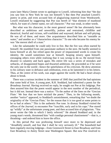years later Maria Clemm wrote to apologise to Lowell, informing him that "the day you saw him in New York he was not himself.") But then Poe attacked Lowell's poetry in print, and even accused him of plagiarising material from Wordsworth. Lowell retaliated by suggesting that Poe was bereft of "that element of manhood which, for want of a better name, we call character." Poe was weak, in other words.

But what was his character, in the most general sense? He has alternately been described as ambitious and unworldly, jealous and restrained, childlike and theatrical, fearful and vicious, self-confident and wayward, defiant and self-pitying. He was all of these, and more. One acquaintance described him as "unstable as water," and another as a "characterless character." To one who became his enemy he was "the merest shell of a man."

Like the salamander he could only live in fire. But the fire was often started by himself. He stumbled from one passionate outburst to the next. He hardly seemed to know himself at all, but relied upon the power of impassioned words to create his identity. He would sometimes tear at himself, heaping misery upon himself, estranging others even while realising that it was wrong to do so. He moved from disaster to calamity and back again. His entire life was a series of mistakes and setbacks, of disappointed hopes and thwarted ambitions. He proceeded as if he were the only one in the world—hence the spitefulness of his criticism. He drew attention to his solitary state in defiance and celebration, even as he lamented it in his letters. Thus, at the centre of his work, was anger against the world. He had a heart always about to break.

There was a curious incident in the summer of 1845 that justified the bad opinions that some held of him. A young poet, R.H. Stoddard, had submitted a poem for the *Broadway Journal.* Having received no reply, he sought out Poe at his lodgings. Poe then assured him that the poem would appear in the next number of the periodical, but it did not. Instead there was a notice: "To the author of the lines on the 'Grecian Flute.' We fear that we have mislaid the poem." Then, in the following month, another "notice" appeared, to Stoddard's astonishment, remarking that "we doubt the originality of the 'Grecian Flute,' for the reason that it is too good at some points to be so bad at others." This is the authentic Poe tone. In dismay Stoddard visited the offices of the *Journal,* to encounter Poe "irascible, surly and in his cups." Poe stared up "wildly" at the unfortunate young poet, and then accused him of plagiarism. "You never wrote the Ode to which I lately referred." He abused Stoddard and, in the young man's words, threatened him "with condign personal chastisement"—that is, a thrashing—and ordered him to leave the office.

In this period Poe was professing himself once more to be depressed and "dreadfully unwell, and fear that I shall be very seriously ill." The household had been regularly moving lodgings—from Greenwich Street to East Broadway and from East Broadway to Amity Street near Washington Square. But now Poe resolved to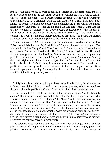return to the countryside, in order to regain his health and his composure, and as a result wished to give up his post on the *Broadway Journal.* He was trying to sell his "interest" in the newspaper. His partner, Charles Frederick Briggs, was not unhappy to see him leave. Poe's drinking had made him unreliable. "I shall haul down Poe's name," he wrote. "He has lately got into his old habits and I fear will injure himself irretrievably." But then Poe changed his mind. He had told Thomas Dunn English that the "comparative failure" of *t*he *Journal* was a consequence of "the fact that he had it not all in his own hands." He is reported to have said, "Give me the entire control, and it will be the great literary journal of the future." So he had transferred his hopes for an ideal literary magazine to the *Broadway Journal*itself.

In the summer of 1845, too, there appeared a volume of twelve stories by Poe. *Tales* was published by the New York firm of Wiley and Putnam, and included "The Murders in the Rue Morgue" and "The Black Cat." If it was an attempt to capitalise on the fame Poe had achieved with "The Raven," it succeeded in part. The small volume was praised by the *American Review* as "one of the most original and peculiar ever published in the United States," and by *Graham's Magazine* as "among the most original and characteristic compositions in American letters." Of all the books published in Poe's lifetime, it was the most successful. Four months after publication, according to his own estimate, it had sold approximately fifteen hundred copies, thus earning Poe a royalty of over one hundred dollars. It was not munificent, but it was gratefully received.

In July he made an unexpected trip to Providence, Rhode Island, for which he had to borrow ten dollars from a friend. It was a secret journey, which he could not finance with the help of Maria Clemm. Poe had in mind a form of assignation.

• • •

In one of his drunken fits he had divulged that he was involved "in the damnedst amour." His wife, of course, was not to be told. The lady in question was Mrs. Frances Osgood, a literary "blue-stocking" (or "blue," as the race was known), who composed verses and tales for New York periodicals. Poe had praised "Fanny" Osgood in his lecture on American poets, and eventually met her in the drawing room of the Astor Hotel in New York. She recalled the meeting at a later date with all the enhanced recollection of hindsight. "With his proud and beautiful head erect," she said, "his dark eyes flashing with the elective light of feeling and thought, a peculiar, an inimitable blend of sweetness and hauteur in his expression and manner, he greeted me calmly, gravely, almost coldly …"

The coldness must soon have vanished, however. They exchanged verses, and Poe printed several of her poems in the *Broadway Journal.* It was a highly public and publicised romance, if romance it was. It is more likely to have been a fussy and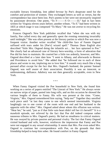excitable literary friendship, lent added fervour by Poe's desperate need for the comfort and protection of women. They exchanged letters as well as verses, but the correspondence has since been lost. Poe's poems to her were not necessarily inspired by passionate devotion. One poem, "To F———S O———D," had in fact been written for Virginia eleven years before; another tribute, "To F," had been written in 1835 at which stage it was composed "To Mary." He was not averse to recycling his emotions.

Frances Osgood's New York publisher recalled that "when she was with my family, Poe called every day and generally spent the evening remaining invariably until midnight." She was often present at the literary parties to which Poe was now a frequent visitor. Another writer recalled "the child-like face of Fannie Osgood suffused with tears under his [Poe's] wizard spell." Thomas Dunn English also described "little Mrs. Osgood doing the infantile act… her face upturned to Poe." She clearly had an advanced case of literary hero-worship, a form of adoration that Poe did his best to maintain. He courted her a little too ardently, however, and Mrs. Osgood described at a later date how "I went to Albany, and afterwards to Boston and Providence to avoid him." She added that "he followed me to each of these places and wrote to me, imploring me to love him." It sounds very much like a long pursued affair except for the fact that Mrs. Osgood's husband, the painter Samuel Osgood, was well aware of their association. Possibly it was an innocent, or unthreatening, dalliance. Adultery was not then generally acceptable, even in New York.

• • •

When Fanny Osgood visited the Poe household in New York, she found him working on a series of papers entitled "The Literati of New York." He always wrote on narrow strips of paper, pasted into long rolls, and on this occasion he showed the various lengths of them to Fanny. His wife was present at the time. "Come, Virginia," Mrs. Osgood remembered him saying, "help me!" Together they unrolled each piece until "at last they came to one which seemed interminable. Virginia laughingly ran to one corner of the room with one end and her husband to the opposite with the other." Mrs. Osgood asked about whom this effusion was written. "Hear her," he said, "just as if that little vain heart didn't tell her it's herself!" It is a mawkish episode, not relieved by the fact that Poe did indeed compose rather nauseous tributes to Mrs. Osgood's poetry. He had no steadiness in critical matters. He was swayed by private passion and personal rivalry. The fact that Fanny Osgood visited husband and wife, however, reinforces the impression that Fanny and Poe were not engaged in any sexual relationship. It seems that Mrs. Poe even asked Mrs. Osgood to continue her correspondence with Poe, on the grounds that their friendship helped to keep him sober. He found comfort in Fanny Osgood.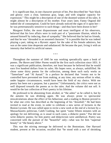It is significant that, in one character portrait of her, Poe described her "hair black and glossy: eyes a clear, luminous gray, large, and with singular capacity for expression." This might be a description of one of the doomed women of his tales. It might almost be a description of his mother. Four years later, Fanny Osgood did indeed die of consumption. Could he have already noticed the signs of it upon her he was preternaturally sensitive to such things—and thus have been drawn to her?

Margaret Fuller, the most dispassionate and most intelligent of his observers, believed that his love affairs were in truth part of a "passionate illusion, which he amused himself by inducing, than of sympathy." She believed that he had no friends, and that he was "shrouded in an assumed character." It is possible that he was indeed playing a part, taking on a Byronic aspect for the sake of his female admirers, but was at the same time desperate and unbalanced. He became the part, living it with an intensity that belied its artificial nature.

• • •

Throughout the summer of 1845 he was working sporadically upon a book of poems. *The Raven and Other Poems* would be the first such collection since 1831. It was a significant publication, therefore, not least because he believed that he would earn five hundred dollars from its sales. His hopes were, as always, unfulfilled. He chose some thirty poems for the collection, among them such early works as "Tamerlane" and "Al Aaraaf." In a preface he declared that "events not to be controlled have prevented me from making, at any time, any serious effort in what, under happier circumstances, would have been the field of my choice. With me poetry has been not a purpose, but a passion." Unfortunately, the critics were not as well disposed towards the poems as to the tales. And the volume did not sell. It would be the last collection of Poe's poetry in his lifetime.

He professed to be abstaining from alcohol, or "the ashes" as he called it, but by the autumn he was drinking again. He was always prone to spectacular miscalculations about the effect of his behaviour, and a reading in Boston proved to be what one critic has described as the beginning of his "downfall." He had been invited to read at the event, in order to celebrate a new series of lectures in the Boston Lyceum. He was called upon to recite a new work at the end of a lecture by a Massachusetts politician, Caleb Cushing, but spent "some fifteen minutes with an apology for not delivering, as is usual in such cases, a didactic poem." Poe did not write didactic poems; for him poetry and didacticism were antithetical. Poetry was concerned with the pursuit of the "beautiful" only—what was for him "supernal beauty" or "the beauty above."

This was the stirring message he delivered to the Bostonians. One Harvard student, present at the occasion, recalled that "he stood with a sort of shrinking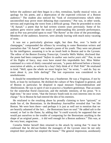before the audience and then began in a thin, tremulous, hardly musical voice, an apology for his poem, and a deprecation of the expected criticism of a Boston audience." The student also noticed his "look of oversensitiveness which when uncontrolled may prove more debasing than coarseness." Poe was, in other words, nervous and expecting the worst from a difficult group. Then he proceeded to recite "Al Aaraaf," a poem that he had written sixteen years previously. Some of his auditors grew restive under the strain of understanding this juvenile performance, and so Poe was prevailed upon to read "The Raven" at the close of the proceedings. Members of the audience, however, were already leaving with much noisy vacating of seats.

It was not a particularly glorious night, but then Poe, over "a bottle of champagne," compounded the offence by revealing to some Bostonian writers and journalists that "Al Aaraaf" was indeed a poem of his youth. They were not pleased by the intelligence, assuming it to be an insult both to Boston and to the Lyceum. The editor of the *Boston Evening Transcript,* Cornelia Wells Walter, disclosed that the poem had been composed *"before its author was twelve years old."* Poe, in one of his flights of fancy, may even have stated this improbable fact. Miss Walter continued in a vein of thinly concealed sarcasm, "a poem delivered before a literary association of adults, as written by a boy! Only think of it! Poh! Poh!" He retaliated in kind. "Well, upon the whole we must forgive her," he wrote, "—and do. Say no more about it, you little darling!" The last expression was considered to be unwholesome.

It should be remembered that Poe was a Southerner. He was a Virginian, if not by birth, at least by inclination. He disliked the culture of New England in general, and of Boston in particular; he despised in equal measure Transcendentalism and Abolitionism. He was in spirit if not in practice a Southern gentleman. That accounts for the somewhat florid classicism, and the melodic intensity, of his prose. "It is high time," he once wrote, "that the literary South took its own interests into its own charge." So in Boston he had entered the den of his enemies.

He retaliated to the resulting abuse by proudly claiming to have "quizzed," or made fun of, the Bostonians. In the *Broadway JournalPoe* revealed that "we like Boston. We were born there—and perhaps it is just as well not to mention that we are heartily ashamed of the fact… the Bostonians have no soul." He added salt to the wound, or fuel to the flame, by adding that "it *could* scarcely be supposed that we would put ourselves to the trouble of composing for the Bostonians anything in the shape of an original poem… it did well enough for a Boston audience." This was, at the very least, ungracious.

Cornelia Walter herself then returned to the attack by noting that "it must be confessed that he did *out-Yankee* the managers of the Lyceum since he not only emptied their pockets but emptied the house." The general impression, assiduously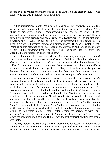spread by Miss Walter and others, was of Poe as unreliable and discourteous. He was not serious. He was a charlatan and a drunkard.

• • •

In this inauspicious month Poe also took charge of the *Broadway Journal.* In a series of negotiations and schemings he bought out his erstwhile partners. "By a flurry of manoeuvres almost incomprehensible to myself," he wrote, "I have succeeded, one by one, in getting rid, one by one, of all my associates." He also raised funds from friends and even issued an advertisement in the *Journal* itself proclaiming "A RARE OPPORTUNITY" for an investment in the enterprise. He begged money, he borrowed money, he promised money. Then, on 25 October 1845, Poe's name was blazoned on the masthead of *the Journal* as "Editor and Proprietor." "I have to do *everything myself"* he wrote, "edit the paper—get it to press—and attend to the multitudinous *business* besides."

One of his erstwhile partners, Charles Frederick Briggs, was happy to relinquish any interest in the magazine. He regarded Poe as a liability, calling him "the merest shell of a man," "a drunken sot," and the "most purely selfish of human beings." He added for good measure that Poe quoted from the German without being able to understand a word of the language. This is likely to have been true. Briggs also believed that, in retaliation, Poe was spreading lies about him in New York: "I cannot conceive of such wanton malice, as Poe has been guilty of towards me."

As sole proprietor, Poe was not a success. He curtailed the coverage of *the Journal,* for want of funds, and could not afford to pay any decent contributors. He republished his own work, and printed the poems of the "starry sisterhood" and other poetasters. The magazine's circulation was uneven, and its publication was fitful. Six weeks after acquiring the editorship he sold half of his interest to Thomas H. Lane, a Customs House employee he had met in Philadelphia. "For the first time during two months," he told one acquaintance, "I find myself entirely myself— dreadfully sick and depressed, but still myself. I seem to have just awakened from some horrible dream… I really believe that I have been mad." He had been "mad" at the Lyceum, "mad" in his pursuit of Mrs. Osgood, "mad" in his decision to take up the editorship of the *Journal.* The madness, if such it was, had come from the combined effects of drink and intolerable strain. A month after signing the agreement with Lane, according to English, Poe succumbed to "one of his drunken sprees." Lane closed down the magazine on 3 January 1846. It was the last editorial position Poe would ever hold.

The day before the *Broadway Journal* closed Poe witnessed an agreement by which Maria Clemm relinquished her claim to a piece of Baltimore property, worth twenty-five dollars; the family must have been desperate indeed to sign away their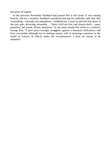last piece of capital.

In the previous November Stoddard had passed Poe in the street. It was raining heavily, and for a moment Stoddard considered sharing his umbrella with him. But "something—certainly not unkindness—withheld me. I went on and left him there in the rain, pale, shivering, miserable … There I still see him, and always shall,— poor, penniless, but proud, reliant, dominant." In the same month Poe wrote to a relation, George Poe, "I have perse-veringly struggled, against a thousand difficulties, and have succeeded, although not in making money, still in attaining a position in the world of Letters, of which, under the circumstances, I have no reason to be ashamed."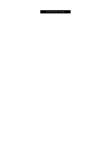### CHAPTER NINE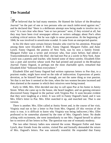## **The Scandal**

**P** oe believed that he had many enemies. He blamed the failure of the *Broadway*<br>
in the facing many and **Property** the *n Journal* "on the part of one or two persons who are much imbit-tered against me," and he declared that "there is a deliberate attempt now being made to involve me in ruin." It is not clear who these "one or two persons" were, if they existed at all, but they may have been rival newspaper editors or writers unhappy about Poe's often scathing critical notices. But he was right to sense persecution. At the beginning of 1846, he was involved in unwelcome scandal. It came from an unexpected quarter.

In his life there were certain literary females who vied for his attention. Principal among them were Elizabeth F. Ellet, Fanny Osgood, Margaret Fuller, and Anne Lynch. Fanny Osgood, the poetess of New York, was by now a family friend. Margaret Fuller was a writer and reviewer who, four years before, had edited a Transcendentalist quarterly the *Dial;* she had met Poe at a soirée in New York. Anne Lynch was a poetess and teacher, who hosted some of these soirées. Elizabeth Ellet was a poet and novelist whose work Poe had printed and praised in the *Broadway Journal.* Fanny Osgood, in perhaps not the most charitable spirit, remarked that Elizabeth Ellet "followed him everywhere."

Elizabeth Ellet and Fanny Osgood had written rapturous letters to Poe that, to a prurient reader, might have erred on the side of indiscretion. Expressions of poetic devotion, as he himself knew well enough, are not the same thing as true passion. Yet that is not how it seemed at the time, when the two women became incensed and then alarmed at the manner in which their missives were being treated.

Early in 1846, Mrs. Ellet decided one day to call upon Poe at his home in Amity Street. When she came up to the house, she heard laughter, and on gaining entrance discovered Fanny Osgood in the parlour with Virginia Poe. It soon became evident that they were laughing at a letter. It was still in Fanny Osgood's hand, and it was Mrs. Ellet's letter to Poe. Mrs. Ellet snatched it up, and marched out. That is one version.

There is another. Mrs. Ellet called at Amity Street and, in the course of her visit, Virginia read out to her a letter to Poe from Mrs. Osgood. (If this version of the story is true, it is difficult to know why Virginia was being indiscreet.) Mrs. Ellet professed to be somewhat alarmed by the tone of Mrs. Osgood's letter. No doubt aching with excitement, she went immediately to see Mrs. Osgood herself to advise her to retrieve all her letters to Poe. The question was one of womanly modesty.

The two other literary ladies now entered the scene. Margaret Fuller and Anne Lynch, dear friends from the soirées, visited Poe and formally demanded the return of Mrs. Osgood's letters. Poe was naturally resentful. He responded that Fanny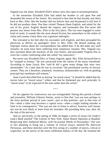Osgood was not alone. Elizabeth Ellet's letters were also open to misinterpretation.

In the meantime Elizabeth Ellet had asked her brother to call upon Poe and demanded the return of her letters. Poe insisted to him that he had already sent them back to Mrs. Ellet. But the brother did not believe him and threatened to kill him if he did not produce them. Poe then visited Thomas Dunn English, and asked for the use of his pistol. English denied the request, and insinuated that Poe never did possess any letters from Mrs. Ellet in the first place. The two men engaged in some kind of tussle. It sounds like the most absurd fiction, but somewhere in the welter of claim and counter-claim there was a genuine imbroglio.

Poe retreated to his bed after his encounter with English, and then persuaded his physician to deliver an apologetic letter to Mrs. Ellet. He denied making any improper claims about her correspondence but added that, if he did make any such remarks, he must have been suffering from temporary insanity. Mrs. Osgood was also incensed about the mockery of her own letters, and persuaded Virginia Poe to write her a letter confirming what she called "my innocence."

Poe never saw Elizabeth Ellet, or Fanny Osgood, again. Mrs. Ellet declared him to be "steeped in infamy." He was ostracised from the salons of the starry sisterhood. According to Anne Lynch, Poe "said & did a great many things that were very abominable." At a later date he was to excoriate "the pestilential society of *literary women.* They are a heartless, unnatural, venomous, dishonorable *set,* with no guiding principle but inordinate self-esteem."

Anne Lynch described him as having "no moral sense." It should be added that his stories have no "moral sense," either, and that he disdained any such principle. Is "moral sense" to be expected of the man rather than the writer?

• • •

Yet his appetite for controversy was not extinguished. During this period a friend and journalist, William Gilmore Simms, wrote to him that "you are now perhaps in the most perilous period of your career—just in that position—just at that time of life—when a false step becomes a capital error—when a single leading mistake is fatal in its consequences." Poe was not one to listen to advice, however well meant; nor was he ever likely to learn from his mistakes. His presiding deity was, after all, the imp of the perverse.

And so, perversely, in the spring of 1846, he began a series of essays for *Godey's Lady's Book* entitled "The Literati of New York: Some Honest Opinions at Random Respecting their Authorial Merits, with Occasional Words of Personality." Poe was in fact planning to bring out a volume of critical essays, entitled *The American Parnassus,* and these sketches were the first airing of a number of pieces, critical or respectful, on the merits of the more celebrated authors of the day. He resented the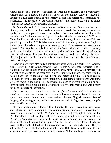undue praise and "puffery" expended on what he considered to be "unworthy" writers and, as a result, he could at times be exceedingly satirical. Indeed he launched a full-scale attack on the literary cliques and circles that controlled the publication and reception of American literature; they represented what he called "the corrupt nature of our ordinary criticism."

Of Lewis Gaylord Clark, the editor of the *Knickerbocker,* Poe wrote that "as a literary man, he has about him no determinateness, no distinctiveness, no point—an apple, in fact, or a pumpkin has more angles … he is noticeable for nothing in the world except for the marked-ness by which he is noticeable for nothing." Of Thomas Dunn English, erstwhile friend but now confirmed enemy, Poe wrote that "I do not personally know him." This false denial was followed up by a swipe at English's appearance: "he exists in a perpetual state of vacillation between moustachio and goatee." Poe excelled at this kind of ad hominem criticism; it was immensely readable at the time, of course, with three editions of some issues being printed to keep up with sales. Poe was the most controversial, and most widely discussed, literary journalist in the country. It is not clear, however, that his reputation as a writer was improved.

Some of his victims also had an unfortunate habit of fighting back. Lewis Gaylord Clark retorted, in the *Knickerbocker,* that Poe was "a wretched inebriate" and a "jaded hack." He quoted from an unnamed source, most likely Clark himself, that "he called at our office the other day, in a condition of sad imbecility, bearing in his feeble body the evidences of evil living and betrayed by his talk such radical obliquity of sense … He was accompanied by an aged female relative who was going a weary round in the hot streets, following his steps to prevent his indulging in a love of drink; but he had eluded her watchful eye by some means, and was already far gone in a state of inebriation."

There was worse to come. Thomas Dunn English also responded in kind with an attack upon Poe in the *New York Mirror,* in which severe remarks about his personal appearance were mingled with more serious charges; English accused Poe of forgery, of acquiring money under false pretences and of plagiarism. Poe promptly sued the *Mirror* for libel.

He had already removed himself from the city. The streets were too treacherous, and offered too many temptations. The tranquillity and purer air of the countryside were also deemed necessary for Virginia Poe's slowly fading health. In February the Poe household settled near the East River. A nine-year-old neighbour recalled how Poe would "run over every little while to ask my father to lend him our rowboat, and then how he would enjoy himself pulling at the oars over to the little islands just south of Blackwell's Island, for his afternoon swim." Poe loved the water. The girl added that "I never liked him. I was afraid of him. But I liked Mrs. Clemm, she was a splendid woman, a great talker and fully aware of 'Eddie's failings'—as she called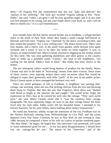them." Of Virginia Poe she remembered that she was "pale and delicate" but "patient in her suffering." The little girl recalled Virginia talking to Poe. "Now, Eddie," she said, "when I am gone I will be your guardian angel, and if at any time you feel tempted to do wrong, just put your hands above your head, so, and I will be there to shield you." It is a sad remembrance.

• • •

Four months later the Poe family moved further out to Fordham, a village thirteen miles to the north of New York, where they found a small cottage half-buried in blossom and fruit trees. Virginia was "charmed" by the place, according to Poe, and they rented the property "for a very trifling sum." The house faced west. There were lilac bushes, and a cherry tree, in the small front garden, while beyond were apple orchards and a wood. It was to be their last home on earth together. It was, as always, an impoverished one. Maria Clemm resorted to digging up the turnips meant for the cattle. She was seen gathering dandelions and other greens in the country lanes to make up a palatable salad. "Greens," she used to tell neighbours, "are cooling for the blood. Eddie's fond of them." But Eddie had little choice in the matter.

The not infrequent callers would bring baskets of produce for the family. Maria Clemm was also in the habit of "borrowing" money from their visitors. Since some of these visitors were aspiring writers there were occasions when Poe would be obliged to repay their generosity with little "puffs" of his own in the public prints. Maria Clemm seems to have managed the business very well.

There are small glimpses of life at Fordham. A neighbour was passing their cottage, one morning, when she saw Poe picking cherries from the tree and throwing them down to Virginia. But then she saw that Virginia's white dress was "dashed with blood as bright as the cherries she had caught." She would never forget the expression on Poe's face as he carried his wife into the cottage. "They were awful poor," she said. Maria Clemm wrote that it "was the sweetest little cottage imaginable. Oh, how supremely happy we were in our dear cottage home! We three lived only for each other. Eddie rarely left his beautiful home. I attended to his literary business; for he, poor fellow, knew nothing about money transactions."

He could not, however, wholly escape the attentions of the city. Fordham was on the Harlem Railroad, running from Williamsbridge to City Hall, and the trains departed every four hours. Certainly he was in New York on one evening in June 1846, because he composed a letter to his wife on a piece of pocket notebook paper. "My dear Heart," he began. He hoped that "the interview I am promised, will result in some *substantial good* for me … in my last great disappointment, I should have lost my courage *but for you*." The nature of the "interview," and of the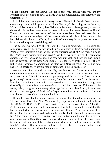"disappointment," are not known. He added that "my darling wife you are my *greatest* and *only* stimulus now. To battle with this uncongenial, unsatisfactory and ungrateful life."

It had become uncongenial in every sense. There had already been rumours circulating in the public prints about Poe's "insanity." According to the *Saturday Visiter* of Baltimore, in April, Poe "labors under mental derangement, to such a degree that it has been determined to consign him to the Insane Retreat at Utica." These tales were the direct result of the unfortunate letter Poe had persuaded his doctor to write, on the subject of the correspondence with Mrs. Ellet, in which he had claimed that he was suffering from a fit of temporary insanity. As the news of his explanation spread, so did the gossip.

The gossip was fanned by the libel suit he was still pursuing. He was suing the *New York Mirror,* which had published English's claims of forgery and plagiarism. Poe's lawyer submitted a suit for libel in the Superior Court of New York, claiming that Poe's "good name, fame and credit" had been wilfully injured; he demanded damages of five thousand dollars. The case was put back, and then put back again, but the coverage of the New York journals was generally hostile to Poe. "This is rather small business," commented the New York *Morning News,* "for a man who has reviled nearly every literary man of eminence in the United States."

Poe was now physically, if not mentally, unstable. He was forced to turn down a commencement event at the University of Vermont, as a result of "serious and, I fear, permanent ill health." One newspaper interpreted this as "brain fever." It is as good an explanation as any. That summer, from the cottage at Fordham, he wrote a long letter to Chivers in which he confessed that "I have been for a long time dreadfully ill." He spoke of those intending to "ruin" him. "My dreadful poverty," he wrote, "also, has given them every advantage. In fact, my dear friend, I have been driven to the very gates of death and a despair more dreadful than death …" So did fate choose to pursue Poe throughout his life.

He and his household now also became the object of sustained press attention. On 15 December 1846, the New York *Morning Express* carried an item headlined ILLNESS OF EDGAR A. POE. "We regret to learn," the journalist wrote, "that this gentleman and his wife are both dangerously ill with the consumption, and that the hand of misfortune lies heavy upon their temporal affairs—We are sorry to mention the fact that they are so far reduced as to be barely able to obtain the necessaries of life." The same facts were reprinted, with one or two embellishments, in several other newspapers. Even the *Mirror,* against which he had issued the libel writ, came to his aid with an appeal for contributions. Money was indeed taken up on the family's behalf. One newspaper editor collected fifty or sixty dollars, and anonymous donors sent gifts of ten dollars or more.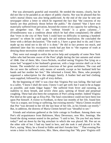Poe was alternately grateful and resentful. He needed the money, clearly, but he did not like to be paraded as an object of public charity. Nor was he pleased that his wife's mortal illness was also being publicised. At the end of the year he sent one newspaper editor a letter in which he regretted the fact that "the concerns of my family are thus pitilessly thrust before the public." He claimed "that I have ever materially suffered from privation, beyond the extent of my capacity for suffering, is not altogether true. That I am 'without friends' is a gross calumny…" (Friendlessness was a condition about which he had often complained.) He added that "even in the city of New York I could have no difficulty in naming a hundred persons" to whom he could apply for aid without humiliation. He concluded the letter with a defiant declaration. "The truth is, I have a great deal to do; and I have made up my mind not to die till it is done." He did in fact protest too much, and admitted later that his exculpatory words had put him to "the expense of truth at denying those necessities which were but too real."

They were real enough to enlist the active help and sympathy of some New York ladies who had become aware of the Poes' plight during the late autumn and winter of 1846. One of them, Mrs. Gove-Nichols, recalled seeing Virginia Poe lying on a straw bed "wrapped in her husband's greatcoat, with a large tortoise shell cat in her bosom. The wonderful cat seemed conscious of her great usefulness. The coat and the cat were the sufferer's only means of warmth, except as her husband held her hands and her mother her feet." She informed a friend, Mrs. Shew, who promptly organised a subscription for the unhappy family. A feather bed and bed clothing were supplied, followed by a gift of sixty dollars.

By the beginning of 1847 it was clear that Virginia Poe was failing. She had said to a caller, "I know I shall die soon; I know I can't get well; but I want to be as happy as possible, and make Edgar happy." She suffered from fever and sweating, an inability to draw breath, and severe chest pain, spitting of blood and perpetual coughing. These had also been the symptoms of Poe's ailing mother. Indeed Virginia Poe died at the same age as Eliza Poe. The fatal coincidence could not have been lost upon Poe himself. A visitor to Fordham, in these last months of her life, found him "lost in a stupor, not living or suffering, but existing merely." Maria Clemm recalled that Poe "was devoted to her till the last hour of her life, as his friends can testify." But, in addition, the distress of Maria Clemm herself was "dreadful to see."

Friends and relations gathered at the little cottage in Fordham. Among them was Poe's old acquaintance from Baltimore, Mary Devereaux, now Mrs. Jennings. She found the dying woman seated in the parlour. "I said to her, 'Do you feel any better today?' and sat down by the big armchair in which she was placed. Mr. Poe sat on the other side of her. I had my hand in hers, and she took it and placed it in Mr. Poe's, saying 'Mary, be a friend to Eddie and don't forsake him.' " That evening Poe wrote a letter to his benefactress, Mrs. Shew, observing that "My poor Virginia still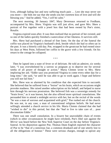lives, although fading fast and now suffering much pain … Lest she may never see you more— she bids me say that she sends you her sweetest kiss of love and will die blessing you." And he added, "Yes, I *will* be calm."

The next morning, 30 January 1847, Mary Devereaux returned to Fordham, accompanied by Mrs. Shew. Virginia was still just alive, and gave Mrs. Shew a portrait of Poe together with a jewel box that had been owned by Poe's sister, Rosalie.

Virginia expired soon after. It was then realised that no portrait of her existed, and so one of the ladies quickly finished a watercolour of her likeness. It survives still.

Mrs. Shew had purchased a shroud of fine linen. On the day of the funeral the coffin was placed on Virginia's husband's desk, beside which she had so often sat in the past. It was a bitterly cold day. Poe, wrapped in the greatcoat he had owned since his days at West Point, followed her coffin to the grave with a few friends. On his return to the cottage he collapsed.

• • •

Then he lapsed into a state of fever or of delirium. He told an admirer, six weeks later, "I was overwhelmed by a sorrow so poignant as to deprive me for several weeks of all power of thought or action." Maria Clemm wrote to Mrs. Shew imploring her aid. "Eddie says you promised Virginia to come every other day for a long time," she said, "or until he was able to go to work again. I hope and believe you will not fail him."

Mrs. Shew was so alarmed by his condition that she expected him to succumb. She believed that he suffered from a "lesion" on his brain, which on occasions might provoke madness. She raised another subscription on his behalf, and helped to nurse him through his nervous prostration. She believed fish was a sovereign remedy for "brain fever," as it was known, but she also offered more spiritual consolations. She persuaded him to attend a midnight service with her, but on the recital of the words "he was a man of sorrows and acquainted with grief," Poe rushed out of the church. He was not, in any case, a man of conventional religious beliefs. He had never willingly attended a church service in his life. Maria Clemm claimed that she had "wished to die" in this period, but that she *"had to* live to take care of… poor disconsolate Eddie."

There was one small consolation. In a bizarre but unavoidable chain of events (which in other circumstances he might have relished), Poe's libel suit against the *Mirror* was heard before the New York Superior Court on the day before Virginia's funeral. In his deposition against Poe, Thomas Dunn English reported the character of Poe to be "that of a notorious liar, a common drunkard and of one utterly lost to all the obligations of honour." These were serious charges, enough to uproot any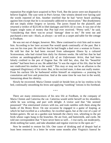reputation Poe might have acquired in New York. But the jurors were not disposed to believe English. The case went in Poe's favour. One witness denied ever having said the words reported of him. Another testified that he had "never heard anything against him except that he is occasionally addicted to intoxication." But drunkenness did not imply either forgery or larceny. The jurors found for the plaintiff, and returned a verdict of \$225.06 in libel damages and \$101.42 in costs. It was one of the largest single sums of money that Poe had ever received. "Pretty well," he said, "considering that there was *no* actual 'damage' done to me." He went out and purchased a new suit—black, as always—as well as a carpet and table for the cottage in Fordham.

He was not out of danger, however. Mrs. Shew continued to visit him and to nurse him. According to her later account Poe would speak continually of the past. But it was not his true past. He told her that he had fought a duel over a woman in France. He told her that he had been rescued from subsequent illness by a cultured Scotswoman, who had visited him daily for thirteen weeks. He told her that he had written an autobiographical novel, *Life of an Unfortunate Artist,* that had been falsely credited to the pen of Eugene Sue. He told her, also, that his "beautiful mother" had been born at sea. He added that "it was the regret of his life, that he had not vindicated his mother to the world." This may or may not be an allusion to the supposed illegitimacy of his sister. But, in his excited state, it does not really matter. From his earliest life he harboured within himself an emptiness—a yearning for consolation and love and protection. And at the same time he was lost in the world, fantasising about his identity.

Slowly he recovered. Maria Clemm would sit beside him as he lay restless in his bed, continually smoothing his brow and applying "soothing" lotions to his forehead.

• • •

There are many reminiscences of his new life at Fordham, in the company of Maria Clemm and Catterina the cat. Catterina would settle herself on his shoulders, while he was writing, and purr with delight. A visitor said that "she seemed possessed." Poe entertained visitors with tea, and took rambles with them along the banks of the Bronx River. On one occasion he engaged in a game of leaping, at which he had excelled as a schoolboy; he excelled again, but at the cost of a pair of broken gaiters. He sat on a garden seat beneath the cherry tree, whistling to the pet birds whose cages hung in the branches. He ate fruit, and buttermilk, and curds. He told one correspondent that "I have never been so well… I rise early, eat moderately, drink nothing but water, and take abundant and regular exercise in the open air."

Now he needed to restore his life. One cause of drinking and of despair had at least been removed. In a letter he wrote some months after Virginia's funeral he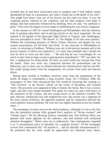revealed that he had been intoxicated even to madness and "I had indeed, nearly abandoned all hope of a permanent cure when I found one in the *death* of my wife." This might have been a line out of his fiction, but the truth was there. It was the crippling anxiety induced by her condition, and the fatal progress from hope to despair, that had materially influenced his drinking. Now, he said, "my ambition is great." Once more he began to revive hopes of publishing his own literary magazine.

In the summer of 1847 he visited Washington and Philadelphia with the intention both of gaining subscribers and of placing articles in the local magazines. He was spotted in the garden of the Episcopal High School in Virginia, near Washington, and was persuaded to recite "The Raven" to "the delight of all who were present." Without the restraining presence of Maria Clemm, however, and despite his own earnest protestations, he fell back into drink. To one associate in Philadelphia he wrote, on returning to Fordham, "Without your aid, at the precise moment and in the precise manner in which you rendered it, it is more than probable that I should not now be alive to write you this letter …" He said that he was "exceedingly ill—so much so that I had no hope except in getting home immediately." "Ill" was often, for Poe, a euphemism for being drunk. No force on earth could now restrain him from the bottle. There was never any connection between his protestations and his behaviour, just as there was no relation between his reminiscences and his real life. His words sprang freely from his imagination, his actions from need and obscure desire.

During these months at Fordham, however, away from the temptations of the bottle, he began to contemplate a long scientific essay. On 3 February 1848, the newspapers of New York announced that Poe would be lecturing that evening on "The Universe" at the Society Library on the corner of Broadway and Leonard Street. The proceeds were supposed to help to finance the *Stylus.* But it was a stormy night, and only sixty people attended. Poe spoke for some two and a half hours on the mysteries of the cosmos, and one young lawyer in the audience recalled "his pale, delicate, intellectual face and magnificent eyes. His lecture was a rhapsody of the most intense brilliancy. He appeared inspired, and his inspiration affected the scant audience almost painfully. He wore his coat tightly buttoned across his slender chest…"

The newspaper accounts were on the whole laudatory, although it is not at all clear that the journalists present fully grasped Poe's analysis of "divine essence" and "infinite space." Yet the *Morning Express* concluded that "this brilliant effort was greeted with warm applause by the audience, who had listened with enchained attention throughout." Others were not so enthusiastic. One contemporary regarded it as "a mountainous piece of absurdity for a popular lecture." Of the newspaper reviews Poe commented that "all praised it… and all absurdly misrepresented it." He predicted that his work would be appreciated two thousand years hence.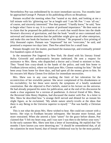Nevertheless Poe was emboldened by its more immediate success. Two months later he approached George P. Putnam in his publishing offices on Broadway.

Putnam recalled the meeting when Poe "seated at my desk, and looking at me a full minute with his 'glittering eye' he at length said 'I am Mr Poe.' I was 'all ear,' of course, and sincerely interested." Poe then paused. "I hardly know," he said, "how to begin what I have to say. It is a matter of profound importance." He then went on to claim that he proposed the publication of a work that would throw into the shade Newton's discovery of gravitation, and that the book "would at once command such universal and intense attention that the publisher might give up all other enterprises, and make this one book the business of his lifetime." He proposed a first printing of fifty thousand copies. Putnam was "impressed" but not "overcome," he said, and promised a response two days later. Then Poe asked him for a small loan.

Putnam thought over the matter, purchased the manuscript, and eventually printed five hundred copies of *Eureka.*

In the meantime Poe lingered in New York. He dined with his literary friend Rufus Griswold and unfortunately became inebriated. He sent a request for assistance to Mrs. Shew, who dispatched a doctor and a friend to minister to him. They "found him crazy-drunk in the hands of the police, and took him home to Fordham (eleven miles), where we found poor Mrs. Clemm waiting for him." He had been away from home for three days, and had spent all the money given to him. So his rescuers left Maria Clemm five dollars for immediate necessities.

Mrs. Shew was in any case reaching the limit of her toleration for the eccentricities of her erstwhile patient. She never complained of his drunkenness or his excitability; for her these were merely the symptoms of a fatally weakened constitution. But she objected to Poe's beliefs, stated in his lecture on the universe. He had already prepared his notes for publication, and at the end of his discussion he made a clear argument for a version of pantheism. A clerical friend of Mrs. Shew, the Reverend John Henry Hopkins, had discussed the matter with Poe. In a letter to Mrs. Shew he described how "a strange thrill nerved and dilated for an instant his slight figure, as he exclaimed, 'My whole nature utterly *revolts* at the ideas that there is any Being in the Universe superior to *myself.'* " Poe was hardly a Christian at all.

This is not what the pious Mrs. Shew wished to hear. She could not consort with a heretic. Her trips to Fordham became infrequent. She became more formal, and more restrained. When she uttered a faint "amen" for the grace before dinner, Poe claimed that "I felt my heart stop, and I was sure I was then to die before your eyes." In the early summer Mrs. Shew sent him a letter of leavetaking. He replied that "for months I have known you were deserting me." It should be remembered that, of all the calamities he most feared, that of female withdrawal was by far the most painful.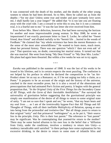It was connected with the death of his mother, and the deaths of the other young women to whom he had been devoted. So to Mrs. Shew he called out as from the depths—"for me alas! Unless some true and tender and pure womanly love saves me, I shall hardly last a year longer!" He added that "it is too late you are floating away with the cruel tide. I am a coward to write this to you, but it is not a common trial, it is a fearful one to me." It was the last letter she ever received from him.

Even before Mrs. Shew's defection, however, Poe had been surveying the horizon for another and more impressionable young woman. In May 1848, he wrote an impassioned if not exactly passionate letter to Jane E. Locke; he called her "Sweet friend, dear friend" and alluded ruefully to his "hermit life …buried in the woods of Fordham." He claimed that "my whole existence has been the merest Romance—in the sense of the most utter unworldliness." He wanted to learn more, much more, about her personal history. There was one question "which I 'dare not even ask' of you." That question was, no doubt, concerning her marital status. It turned out that she was married. She went from being "My Dear Friend" to "My Dear Mrs. Locke." His plans had again been thwarted. But within a few weeks he was set to try again.

• • •

*Eureka* was published in the summer of 1848. It was the last of his works to be issued in his lifetime, and is in certain respects the most puzzling. The confusion is not helped by his preface in which he declared the composition to be "an Art-Product alone: let us say as a Romance; or, if I be not urging too lofty a claim, as a Poem." It purports to be an account of the origin and the history of the universe, couched in the most recondite prose, but it is also a record of the obsessions and preoccupations that had animated Poe's fiction and poetry. It begins with the general proposition that, *"In the Original Unity of the First Things lies the Secondary Cause of All Things, with the Germ of their Inevitable Annihilation."* Poe surveyed the universality of gravitation before suggesting that the gravitational principle was simply one manifestation of the desire of all things to return to some original state of unity. "I am not so sure that I speak and see," he wrote, "that my heart beats and my soul lives … as I am of the irretrievably bygone *Fact* that All Things and All Thoughts of Things, with all their ineffable Multiplicity of Relation, sprang at once into being from the primordial and irrelative *One"* But all things yearn to return to that original "unity" and that primaeval "nothingness" or, as he put it, "their source lies in the principle, *Unity. This* is their lost parent." The reference to "lost parent" may be significant. Was he contemplating that yearned-for return to the mother? There may be some buried allusion to his own loss in the belief that a "diffusion from Unity, under the conditions, involves a tendency to return into Unity—a tendency ineradicable until satisfied." Is there perhaps here some explanation for his excessive drinking, in the desire to return to some state of infantile bliss and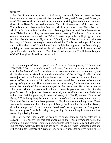tactility?

But then in the return to that original unity, that womb, "the processes we have here ventured to contemplate will be renewed forever, and forever, and forever; a novel Universe swelling into existence, and then subsiding into nothingness, at every throb of the Heart Divine. And now—this Heart Divine—what is it? *It is our own"* The tell-tale heart beats within Poe, and within every one of us. The universe is within us. It is an ancient doctrine, which Poe might have derived from Paracelsus or from Blake, but it is likely to have been found anew by Poe himself. In a letter to one correspondent he stated that "What I have propounded will (in good time) revolutionise the world of Physical and Metaphysical Science. I say this calmly but I say it." Some cosmologists have claimed that Poe is the harbinger of Einstein and the first theorist of "black holes," but it might be suggested that Poe is simply applying his ever restless and perplexed imagination to the world of matter and of spirit. He added, in this context, "The plots of God are perfect. The Universe is a plot of God." Poe gives himself too little credit.

• • •

In the same period Poe composed two of his most famous poems, "Ulalume" and "The Bells," that come as close to "sound poetry" as any verse he ever wrote. It is said that he designed the first of them as an exercise in elocution or recitation, and that in the other he wished to reproduce the effect of the pealing of bells. He told some journalists in Richmond that he wished "to express in language the exact sounds of bells to the ears." In both cases he succeeded, but at the cost of sense and perhaps of significance. They are exercises in "pure poetry," where cadence and the suggestive melody of rhyme are employed for their own sake. He wished to create "this poem which is a poem and nothing more—this poem written solely for the poem's sake." Its object was pleasure, not truth, and its effect was one of indefinite rather than definite pleasure; it consisted solely in "the *Rhythmical Creation of Beauty*." This theory is equivalent to the doctrine of art for art's sake, adumbrated by Pater and Swinburne for a later generation. Yet there was something more. There was also his statement that "the origin of Poetry lies in a thirst for a wilder Beauty than Earth supplies," for a "supernal Loveliness" to be glimpsed in "the glories beyond the grave;" he is invoking the yearning for something irremediably lost, something missing for ever.

His late poems, then, could be seen as complementary to his speculations in *Eureka.* It was poetry like this that appealed to the French Symbolist poets and guaranteed his preeminent reputation among poets such as Baudelaire and Mallarmé. But the same work was less enthusiastically received by Anglo-American poets and critics, who have deemed it "juvenile" or a form of "nonsense poetry" in the line of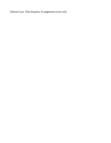Edward Lear. That disparity of judgement exists still.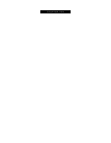### CHAPTER TEN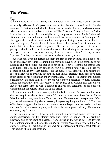### **The Women**

 $T$  he departure of Mrs. Shew, and the false start with Mrs. Locke, had not materially affected Poe's passionate desire for female companionship. In the summer of 1848 he visited Mrs. Locke and her husband at Lowell, in Massachusetts, where he was about to deliver a lecture on "The Poets and Poetry of America." Mrs. Locke then introduced him to a neighbour, a young woman named Annie Richmond. At a later date, in a fictional essay, he claimed that he was smitten at first sight. "As she approached, with a certain modest description of step almost indescribable, I said to myself, Surely here I have found the perfection of natural, in contradistinction from artificial *grace*… So intense an expression of *romance,* perhaps I should call it, or of unworldliness, as that which gleamed from her deepset eyes, had never so sunk into my heart of hearts before." Her eyes were "spiritual." Perhaps he deemed her even capable of an early death.

After he had given his lecture he spent the rest of that evening, and much of the following day, with Annie Richmond. He may also have been in the company of her husband and her brother, but that does not seem to have lessened his enthusiasm. Jane Locke had already been forgotten. Annie Richmond herself recalled that "he seemed so unlike any other person… all the events of his life, which he narrated to me, had a flavour of *unreality* about them, just like his stories." They may have been much closer to his fiction than she ever imagined. He was per-manently incomplete, passionately attaching himself to anyone who showed affection or even kindness. Hence his espousal of abstract "beauty" as the source of all wisdom and consolation. But at the same time he was a ferocious analyst and calculator of his position, examining all the objects that made up his prison.

In the same month as his meeting with Annie Richmond, for example, he made discreet enquiries about Sarah Helen Whitman, a poet from Providence, Rhode Island, who had lately sent him a Valentine poem. He asked one correspondent, "Can you not tell me something about her—anything—everything you know …" The tone of his letter suggests that he was in a state of some desperation: he needed the love and comfort of someone, anyone, with whom he felt a poetic affinity. He was the orphan crying for more.

Then in July he travelled down to Richmond, his boyhood home, ostensibly to gather subscribers for his literary magazine. There are reports of his drinking, however, and of his reciting passages from *Eureka* in the public bars and taverns. One contemporary, the editor of the *Southern Literary Messenger,* reported that "his entire residence in Richmond of late was but a succession of disgraceful follies." This sounds like an exaggeration.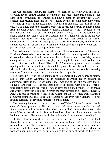He was collected enough, for example, to seek an interview with one of his erstwhile loves. Elmira Royster, by whom he had been enamoured before he had gone to the University of Virginia, had now become an affluent widow, Mrs. Shelton. She recalled later that Poe was excited by their meeting after many years. "He came up to me in the most enthusiastic manner and said, 'Oh!, Elmira, is this you.'" It is likely that he considered proposing to her, but a newly composed poem from the other widow, Sarah Helen Whitman, changed his plans. It concluded with the immortal line, "I dwell with *'Beauty which is Hope*.' " After he received the poem, through the agency of Maria Clemm, he left Richmond and made his way towards Providence. We may apply to him what he wrote to an earlier correspondent: "You need not attempt to shake off, or to banter off, Romance. It is an evil you will never get rid of to the end of your days. It is a part of your self—a portion of your soul." And so it proved for Poe.

Mrs. Whitman possessed an ethereal temper. She was known as the "Seeress of Providence"—whether the town, or futurity itself, is open to question. She was distracted and absentminded; she swathed herself in veils, which invariably became entangled, and was continually dropping or losing little items such as fans and shawls. She was said to flutter "like a bird." She was a great exponent of table rapping and other communications beyond the grave. She was also addicted to ether, with which she liberally soaked her handkerchiefs in more than usually distressing moments. There were many such moments ready to engulf her.

Poe reached New York at the beginning of September 1848, and wished to satisfy himself that Helen Whitman was in residence at Providence by sending an anonymous letter asking for her autograph. It was one of the little "hoaxes" that he enjoyed. Two weeks later he presented himself in person, with a formal letter of introduction from a mutual friend. Then he gave her a signed volume of *The Raven and Other Poems* with a dedication "from the most devoted of her friends. Edgar A. Poe." The next morning they visited the Athenaeum Library where Mrs. Whitman, somewhat disingenuously, asked him whether he had ever read "Ulalume." To her infinite surprise, Poe revealed himself to be the author.

That evening Poe was introduced to the circle of Helen Whitman's closest friends. One of those present recalled that "Poe and Helen were greatly agitated. Simultaneously both arose from their chairs and walked towards the center of the room. Meeting, he held her in his arms, kissed her; they stood for a moment, then he led her to her seat. There was a dead silence through all this strange proceeding."

On the following day they visited a local cemetery, overlooking the Seekonk River. In these affecting surroundings Poe proposed marriage. Helen Whitman recalled later that "he endeavoured … to persuade me that my influence and my presence would have power to lift his life out of the torpor of despair which had weighed upon him, and give an inspiration to his genius, of which he had as yet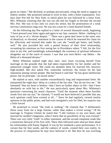given no token." She declined, or perhaps prevaricated, citing the need to support an elderly mother. She promised instead to write to him, with a fuller explanation. Two days later Poe left for New York, to which place he was followed by a letter from Mrs. Whitman claiming that she was too old and too fragile to become the second Mrs. Poe. She was in fact only six years his senior, but the protestation of a weak nervous constitution rings true. He was not a man for a faint-hearted female.

On the following day Poe replied in a letter of several thousand words, beginning "I have pressed your letter again and again to my lips, sweetest. Helen—bathing it in tears of joy or of a 'divine despair.' " There was a great deal more in the same vein of theatrical, or elevated, sentiment in the course of which he renewed his claim for her affections and insisted that under his care she "would get better, and finally well." He also provided her with a potted history of their brief relationship, recounting his emotions on first seeing her in Providence where "I felt, for the first time in my life, and tremblingly acknowledged, the existence of spiritual influences altogether out of the reach of reason. I saw that you were *Helen*—*my* Helen— the Helen of a thousand dreams."

Helen Whitman replied eight days later, once more excusing herself from marriage on the grounds that she had taken responsibility for her mother and her unmarried younger sister. She could not abandon them for married life, however high-minded. She also asked Poe, somewhat tactlessly, the reason for his bad reputation among certain people. She had heard it said that "he has great intellectual power, but *no* principle—*no* moral sense."

He replied at once, with another extraordinarily long and impassioned letter. He interpreted the eight days' delay as a token of the fact that *"You do not love me."* He lamented "that my heart is broken—that I have no farther object in life—that I have absolutely no wish but to die." He was particularly upset about Mrs. Whitman's questions concerning his moral character. "Until the moment when these horrible words first met my eye," he claimed, "I would not have believed it possible that any such opinions could have existed at all…" Since he had regularly viewed similar opinions in the public prints, and had even instigated a suit for libel, his surprise was a little forced.

He promised to reveal "the truth or nothing." He claimed that "I deliberately threw away from me a large fortune, rather than endure a trivial wrong." Of his marriage to Virginia Clemm he stated that "I did violence to my own heart, and married for another's happiness, when I knew that no possibility of my own existed." There was very little "truth" in either statement, and the second complaint reads like a monstrous betrayal of his first wife. There then followed some obscure hints about his relationship with Fanny Osgood. It was by his standards a poor performance. It is certain that for him words, and the cadence of words, created their own reality. In the process of composition he may have believed it all. But here he was rewriting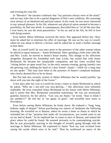and revising his own life.

In "Berenice" the narrator confesses that "my passions always were of the mind," and we may infer this to be a partial diagnosis of Poe's own condition. His yearnings were always of an idealised and spiritual nature. In his work, he was never interested in any sensual pleasure. In his life, whenever any physical union seemed to become a possibility, he fled into drink. A contemporary described him as "of all the men that I ever knew, he was the most *passionless*." In his art and in his life, he fell in love with dying women.

Even before Helen Whitman received the letter, Poe appeared before her. Once more he asked her to entertain his offer of marriage. He was on his way to Lowell, where he was about to deliver a lecture, and he asked her to send a further message to him there.

But, at Lowell itself, he was once more in the presence of the other woman whom he adored in equal measure— Annie Richmond. After spending a little time with Mr. and Mrs. Locke, he moved to Annie's house nearby. This change in his affections altogether disrupted his friendship with Jane Locke, but sealed that with Annie Richmond. He became her inseparable companion, and her sister recalled him "sitting before an open wood fire, in the early autumn evening, gazing intently into the glowing coal, holding the hand of a dear friend—Annie'—while for a long time no one spoke." This may have been in the presence of Annie's compliant husband, who clearly deemed Poe to be no threat.

But Poe had also recently written to Helen Whitman that he would joyfully "go down *with* you into the night of the Grave."

A few days after his visit to Lowell he wrote a letter to Annie Richmond in which he asked, "Why am I not *with* you now *darling*…" His affections were infinitely malleable. He even consulted Annie Richmond on his future with Helen Whitman, and it seems that Mrs. Richmond counselled matrimony. He was not necessarily grateful, however, for her advice. *"Can* you, *my* Annie," he wrote, "bear to think I am another's?" He left her in "an agony of grief," and travelled once more to Providence.

Even before seeing Helen Whitman, he broke down. He endured a "long, long, hideous night of despair" before purchasing two ounces of laudanum the following morning. He travelled on to Boston, where he wrote a letter to Annie in which he reminded her of her "promise that under all circumstances, you would come to me on my bed of death." So he implored her to come at once to Boston, and named the place where he could be found. He seemed seriously to be contemplating suicide. But he was principally reacting to the thought of actually going through with the marriage to Helen Whitman. He explained to Annie "how my soul revolted from saying the words which were to be said." Then he swallowed an ounce of the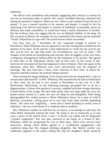laudanum.

The effects were immediate and profound, suggesting that contrary to rumour he was not an inveterate taker of opium. His cousin, Elizabeth Herring, indicated that during the period of Virginia's illness he was "often in sad condition from the use of opium." It was a natural reaction to his anxiety and despair. It would in fact be surprising if he had not used opium or tincture of laudanum occasionally, given its efficacy and ready availability. It would have been a useful alternative to alcohol. But the evidence does not suggest that he was an habitual imbiber of the drug. On this occasion in Boston, for example, he lost command of his reason and an unnamed "friend" helped him to cope with "the awful horrors which succeeded."

Two days later, on 7 November, he was composed enough to journey to Providence. Helen Whitman was too agitated to see him, having been troubled by his absence of two days. So he sent her a note ordering her to "write me *one word to* say that you *do* love me and that, *under all circumstances,* you will be mine." The changes in his mood are bewildering and extreme; they do suggest, at the very least, a temporary derangement fuelled either by the laudanum or by alcohol. She agreed to meet him, at the Athenaeum library, half an hour later. In the course of this interview he recounted all that had happened to him in Boston. They met again in the afternoon, when Mrs. Whitman once more prevaricated over his proposal of marriage. She also read him a letter, from someone in New York, in which his character had been abused. He seemed "deeply pained."

That evening Poe began drinking. In his intoxicated state he despatched a "note of renunciation and farewell" to Mrs. Whitman. She assumed that he had travelled back to New York, but he had in fact stayed at Providence in the care of a Mr. MacFarlane. MacFarlane, on the following morning, persuaded Poe to sit for a daguerreotype. It shows him quizzical, sarcastic, subdued with that strange alteration in both halves of his visage. His face looks puffy, there are rings under his eyes, his mouth seems twisted in a sneer, his eyes are deep-set and thoughtful. After being photographed Poe rushed around to Helen Whitman's house "in a state of wild & delirious excitement, calling upon me to save him from some terrible impending doom." His voice was "appalling … never have I heard anything so awful, even to sublimity." He was in the throes of a condition akin to madness.

Mrs. Whitman's mother sat with him for two hours, in an attempt to calm him, but when Helen eventually entered the room "he clung to me so frantically as to tear away a piece of the muslin dress I wore." A doctor was called, and he diagnosed "cerebral congestion." Poe was then removed to the house of a friend of Mrs. Whitman, where he recuperated for two or three days. There were several more interviews, during which Helen agreed to a "conditional engagement"—the condition being that Poe stopped drinking altogether. But Helen's mother was stubbornly opposed to the match, telling Poe that her daughter's death would be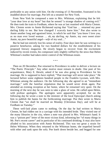preferable to any union with him. On the evening of 13 November, frustrated in his muddled desire for marriage, Poe left on a steamer for New York.

From New York he composed a note to Mrs. Whitman, explaining that he felt "your dear love at my heart" but that he sensed "a strange shadow of coming evil." He then took the train to Fordham, where he was at last reunited with Maria Clemm. Mrs. Clemm wrote to Annie Richmond saying that "God has … returned my poor darling Eddy to me. But how changed! I scarcely knew him." Poe also wrote to Annie another long and agonised letter, in which he said that "you *know* I love you, as no man ever loved woman … oh, *my darling, my* Annie, my own sweet *sister* Annie, *my pure* beautiful angel—*wife* of my soul…"

But he had not entirely lost his sense of reality. Four days later he was writing to a putative benefactor, asking for two hundred dollars for the establishment of his proposed literary magazine. He slowly began to recover from the excitement induced by recent events, his composure only slightly ruffled by the news that Helen Whitman's mother had taken entire control of the Whitman estate.

• • •

Then on 20 December, Poe returned to Providence in order to deliver a lecture on "The Poetic Principle." Any other motive must remain in doubt. One poet of his acquaintance, Mary E. Hewitt, asked if he was also going to Providence for his marriage. He is supposed to have replied, "That marriage will never take place." He lectured before some eighteen hundred people in the Franklin Lyceum, with Mrs. Whitman among the audience. On the following day she agreed to an "immediate marriage," with the familiar stipulation that he would never drink again. Poe attended an evening reception at her home, where he remained very quiet. On the morning of the next day he was seen to take a glass of wine. He called upon Helen, with profuse apologies. The apologies were apparently accepted, for on the following day he wrote a note to the minister of the local Episcopal church asking him to publish the banns for the forthcoming marriage. Poe then wrote to Maria Clemm that "we shall be married on Monday [Christmas Day], and will be at Fordham on Tuesday."

These well-laid plans came to nothing. On the day he had written to Maria Clemm, he had ridden out in a carriage with his intended bride. They visited one of the many libraries in the city, where a note was placed in Mrs. Whitman's hand. It was a "poison pen" letter of the most vicious kind, informing her "of many things in Mr. Poe's recent career" and in particular of his continued drinking. It may also have alluded to his association with Annie Richmond. This was too great a strain for Helen Whitman. When they returned to the Whitman home, she stupefied herself with ether and sank upon the sofa. Poe knelt down beside her, and begged for one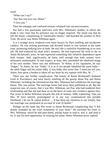word.

"What *can* I say?" "Say that you love me, Helen."

*"I love you."*

Then the unhappy and confused woman collapsed into unconsciousness.

Poe had a less passionate interview with Mrs. Whitman's mother, in which she made it very clear that his presence was no longer required. The result was that he left the house, complaining of "intolerable insults," and boarded the steamer to New York. He never saw Helen Whitman again.

It is a strange story, rendered even more bizarre by Poe's baffling and incoherent conduct. He was writing passionate and devoted letters to two women at the same time, promising undying love to both. He was like a cuttlefish floundering in its own ink. He had traduced his dead wife's memory. He had expressed the wish to die in Annie Richmond's arms; he had expressed something like infantile dependence upon both women. And, significantly, he knew well enough that both women were ultimately unobtainable. In that respect, at least, they resembled the idealised image of his own mother. There was one difference. To Helen, in his signatures, he was "Edgar." To Annie, he was "Eddy." It is as if two people inhabited the same body the adult Edgar and the infant Eddy. It was Eddy who wrote that "I need not tell you, Annie, how great a burden is taken off my heart by my rupture with Mrs. W…"

There was one further complication. The family of Annie Richmond's husband lived in Providence, and were busily retelling all the gossip about Poe and Helen Whitman, including the information that Mrs. Whitman had withdrawn the marriage banns. This was untrue. The marriage banns had never been published at all. But the suspicion was, of course, that it was Mrs. Whitman, not Poe, who had sundered their relationship and that she had done so on the basis of some new evidence against him. Poe wrote to Helen Whitman towards the end of January 1849, explaining "that *you* Mrs. W have uttered, promulgated or in any way countenanced this pitiable falsehood, I do not & cannot believe … It has been my intention to say simply, that our marriage was postponed on account of your ill health."

Perhaps on the same day Poe wrote to Annie Richmond complaining that "I felt *deeply* wounded by the cruel statements of your letter." He enclosed his letter to Mrs. Whitman, which he had post-dated, asking Annie to read it, seal it, and send it on. It was his best opportunity of clearing his name. Helen Whitman never replied.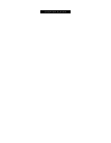### CHAPTER ELEVEN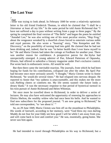# **The Last Year**

 $H_{e}$  was trying to look ahead. In February 1849 he wrote a relatively optimistic letter to his old friend Frederick Thomas, in which he claimed that "I shall be a *litterateur* at least all my life." In the same period he told Annie Richmond that "I have not suffered a day to pass without writing from a page to three pages." By the spring he completed the final version of "The Bells" and began the poem he entitled "Annabel Lee;" he was also writing one of his most peculiar stories, "Hop Frog," about the vengeance wreaked by a dwarfish clown forced to entertain various noble and royal patrons. He also wrote a "hoaxing" story, "Von Kempelen and His Discovery," on the possibility of turning lead into gold. He claimed that he had not been drinking and, indeed, that he was "in better health than I ever knew myself to be." He and Maria Clemm had taken the cottage at Fordham for another year. There was another reason for confidence. A prospective patron for the *Stylus* had unexpectedly emerged. A young admirer of Poe, Edward Patterson of Oquawka, Illinois, had offered to subsidise a literary magazine under Poe's exclusive control. Poe wrote back in enthusiastic terms. All would be well.

But then there came the inevitable reaction. The journals, from which he had been hoping for funds for his contributions, collapsed one after the other. By April Poe had become once more seriously unwell. "I thought," Maria Clemm wrote to Annie Richmond, "he would *die* several times." He had relapsed into nervous despair. He reported to Annie that "my sadness is *unaccountable,* and this makes me the more sad. *Nothing* cheers or comforts me. My life seems wasted—the future looks a dreary blank." It was the necessary response to that period of hysterical turmoil in his twin pursuit of Annie Richmond and Helen Whitman.

Yet once more he travelled down to Richmond, in order to deliver a series of lectures. He may also have welcomed the opportunity of renewing his approaches to Elmira Shelton, the wealthy widow who had once been his belle. And he wanted to find new subscribers for the proposed journal. "I am now going to Richmond," he told one correspondent, "to 'see about it.' "

So, on 29 June 1849, Maria Clemm saw him off on the steamboat to Philadelphia. His words of farewell, according to her memory, were "God bless my own darling Muddy do not fear for your Eddy see how good I will be while I am away from you, and will come back to love and comfort you." He was, essentially, going home. She never saw him again.

• • •

He had intended to travel through Philadelphia on his way to Richmond, but a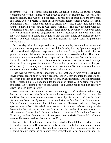recurrence of his old sickness detained him. He began to drink. His suitcase, which contained two of the lectures he was about to deliver at Richmond, was lost at the railway station. This was not a good sign. The next two or three days are enveloped in a haze. Poe told Maria Clemm, in an hysterical letter written a week later from Philadelphia, that "I have been taken to prison once since I came here for getting drunk; but *then* I was not. It was about Virginia." The only problem with his confession is that the available prison records show no evidence of Poe ever being arrested. In turn it has been suggested that he was detained for his own safety; that he was recognised in court, and acquitted. But the most likely explanation seems to be that Poe was suffering from delirium tremens or some form of paranoiac hallucination.

On the day after his supposed arrest, for example, he called upon an old acquaintance, the engraver and publisher John Sartain, looking "pale and haggard, with a wild and frightened expression in his eyes." He pleaded with him for protection and explained that "some men" were about to assassinate him. Then in his tormented state he entertained the prospect of suicide and asked Sartain for a razor. He wished only to shave off his moustache, however, so that he could escape detection from the possible murderers. Sartain then performed the deed with a pair of scissors. (Here we may entertain a cavil of doubt about Sartain's memory. Poe had a moustache on his arrival in Richmond soon afterwards.)

That evening they made an expedition to the local waterworks by the Schuylkill River where, according to Sartain's account, foolishly they mounted the steps to the reservoir. Poe then confided to him his visions, or hallucinations, while incarcerated in the Philadelphia jail. They included the sight of Maria Clemm being frightfully mutilated. He went into a "sort of convulsion," and Sartain had to help him carefully down the steep steps to safety.

Poe stayed with his protector for two or three nights, and on the second morning he was recovered sufficiently to leave the house unaccompanied. On his return he confided that his recent delusions were "created by his own excited imagination." Sartain may have already come to that conclusion. A few days later Poe wrote to Maria Clemm, complaining that "I have been so ill—have had the cholera, or spasms quite as bad." He asked her to come to him immediately on receipt of the letter, with the ominous warning that "we can but die together. It is no use to reason with me *now;* I must die." He sent the letter to the care of Sarah Anne Lewis, in Brooklyn, but Mrs. Lewis wisely did not pass it on to Maria Clemm. Mrs. Clemm, meanwhile, fretted and worried about poor Eddy.

Poe was still ill and impoverished. He visited a Philadelphia reporter, George Lippard, in his offices. He was wearing only one shoe. He had no money, and had not eaten. He said that he had no friends, having conveniently forgotten about Sartain. Lippard quickly raised some money from sympathetic local publishers, and Poe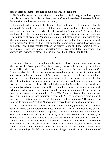finally scraped together the fare to make his way to Richmond.

He found his suitcase at the railway station; but, to his dismay, it had been opened and his lectures stolen. It is not clear what thief would have been interested in Poe's lucubrations on the state of American poetry.

Richmond had been his destination all along, but he arrived much later than he expected. The whole experience in Philadelphia became for him a phantasmagoria of suffering, brought on by what he described as *"mania-a-potu,"* or alcoholic madness. It is the first indication that he realised the nature of his true condition. The sequence of events in Philadelphia is not at all clear, and it is not wise to take the later recollections of Sartain or of Lippard at face value. There is always much myth-making in stories of Poe. That he did face some kind of crisis, however, is not in doubt. Lippard later recalled that, on their leave-taking at Philadelphia, "there was in his voice, look and manner something of a Presentment that his strange and stormy life was near its close." This is known as the benefit of hindsight.

• • •

As soon as Poe arrived in Richmond he wrote to Maria Clemm, explaining that for the last weeks "your poor Eddy has scarcely drawn a breath except of intense agony." He added towards the end that "my clothes are *so horrible,* and I am so *ill*." Then five days later, he seems to have recovered his spirits. He was in better health and wrote to Maria Clemm that "all may yet go well. I will put forth all my energies." He had the most extraordinary powers of recuperation—or it may be that the wild alterations in his moods (and in his physical well-being) had more to do with words than with realities. He took lodgings in the Swan Tavern, and paid calls upon old friends and acquaintances. He renewed his ties with his sister, Rosalie, with whom he had previously lost contact. And he began earning money by lecturing. He was, in fact, something of a public figure. "Mr. Poe is a native of this city and was reared in our midst," one newspaper reported, "… he reappears among us with increased reputation, and a strong claim upon public attention." He reported to Maria Clemm, in August, that "I *never was* received with so much enthusiasm."

There are several descriptions of him in Richmond, generally of a contrary quality. To one contemporary he seemed "invariably cheerful, and frequently playful in mood." To another his mouth displayed "firmness mingled with an element of scorn and discontent." In general he was, when sober, cordial and courteous; he seemed rarely to smile, but to exercise an overwhelming self-control. There was "much sadness in the intonation of the voice." There were times when he lapsed into old habits. On one occasion he was taken so ill from excessive consumption of alcohol that he had to be nursed by friends. It was said by a Richmond contemporary that for some days "his life was in imminent danger" and that it was the opinion of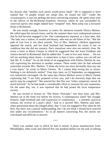his doctors that "another such attack would prove fatall." He is supposed to have replied that "if people would not tempt him, he would not fall." Under the circumstances, it was not perhaps the most convincing response. He spent some time in the offices of the *Richmond Examiner,* however, where he was surrounded by convivial spirits who might indeed have "tempted" him. Mint julep was a favourite drink in Richmond.

He was sturdy enough, however, to renew his advances towards Elmira Shelton. He called upon her several times, and by the summer there were widespread rumours that he had become engaged to her. One contemporary reported, at a later date, that "the lady was a widow, of wealth and beauty, who was an old flame of his." But the path of true love is not often smooth. Two of Mrs. Shelton's children apparently opposed the match, and her dead husband had bequeathed his estate to her on condition that she did not remarry. Poe's intentions were also not entirely clear. He wrote a letter to Maria Clemm in which he suggested that she leave Fordham and remove herself to Richmond. And he added that "I want to live near Annie … Do not tell me anything about Annie—I cannot bear to hear it now—unless you can tell me that Mr. R. is dead." So on the brink of an engagement with Elmira Shelton he was still expressing his devotion to another woman. Three weeks later he had softened somewhat towards Mrs. Shelton. "I think she loves me more devotedly than any one I ever knew," he wrote to Maria Clemm, "& I cannot help loving her in return. Nothing is yet definitely settled." Four days later, on 22 September, an engagement was tentatively envisaged. On the same day Elmira Shelton wrote to Maria Clemm explaining that "I am fully prepared to *love* you, and I do sincerely hope that our spirits may be congenial." She assured her that Poe was "sober, temperate, moral, & much beloved." So he had made a considerable effort to reassure his new inamorata. On the same day, too, it was reported that he had joined the local temperance society.

He was invited to lecture on "The Poetic Principle," two days later, and Mrs. Shelton sat in the front row before his lectern. A contemporary noted "her straight features, high forehead and cold expression of countenance … a sensible, practical woman, the reverse of a poet's ideal." And so it proved. Mrs. Shelton said later, when questioned about the alleged affair, that "I was not engaged to Poe when he left here, but there was a partial understanding, but I do not think I should have married him under any circumstances." As in all matters concerning Poe, the stories are convoluted and difficult to unravel.

• • •

There was another task to which he had to attend. A piano manufacturer from Philadelphia, John Loud, had offered Poe one hundred dollars for the task of editing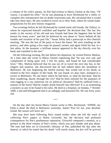a volume of his wife's poems. As Poe had written to Maria Clemm at the time, "Of course, I accepted his offer." So he was planning to leave Richmond for a while, to complete this remunerative but no doubt wearisome task. He calculated that it would take him three days. He also wished to travel on to New York, where he would make preparations for his new literary magazine.

Two evenings before he left Richmond he visited some old friends, the Talleys, to whom he expressed himself confident and hopeful. He declared that "the last few weeks in the society of his old and new friends had been the happiest that he had known for many years" and that he believed he was about to "leave behind all the trouble and vexation of his past life." Susan Talley had a postscript to this cheerful meeting. "He was the last of the party to leave the house. We were standing on the portico, and after going a few steps he paused, turned, and again lifted his hat, in a last adieu. At the moment, a brilliant meteor appeared in the sky directly over his head, and vanished in the east."

On the following evening, the last before his departure, he visited Elmira Shelton. At a later date she wrote to Maria Clemm explaining that "he was very sad, and complained of being quite sick. I felt his pulse, and found he had considerable fever." Mrs. Shelton believed that he was too ill to travel the next day but, to her chagrin and surprise, she discovered that he had indeed taken the steamboat to Baltimore. He was beginning the fateful journey that would end in his death, as related in the first chapter of this book. He was found, six days later, slumped in a tavern in Baltimore. No one knew where he had been, or what he had done. Had he been wandering, dazed, through the city? Had he been enlisted for the purposes of vote-rigging in a city notorious for its political chicanery? Had he suffered from a tumour of the brain? Had he simply drunk himself into oblivion? It is as tormenting a mystery as any to be found in his tales. He died in a hospital, on Sunday, 7 October 1849, a sad and beleaguered end to an unhappy and harassed life. He was forty years old.

• • •

On the day after his burial Maria Clemm wrote to Mrs. Richmond, "ANNIE, my Eddy *is dead.* He died in Baltimore yesterday. Annie! Pray for me, your desolate friend. My senses *will leave me*."

She may have been following Poe's stated wishes when she left the work of collecting Poe's papers to Rufus Griswold, but the decision had profound consequences for Poe's posthumous reputation. Griswold composed a memoir, as a preface to the third volume of Poe's works, which was part slander and part abuse. The tone had been set in Griswold's obituary of Poe, published the day after the funeral, in which he stated that his death "will startle many, *but few will be grieved*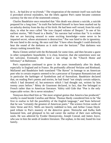*by it… he had few or no friends*." The vituperation of the memoir itself was such that it provoked several rejoinders, but the libels against Poe's name became common currency for the rest of the nineteenth century.

Charles Baudelaire once remarked that "this death was almost a suicide, a suicide prepared for a long time." In truth Poe believed himself to have been marked out by an unlucky destiny from the day of his birth. He had been well versed, from his early days, in what he once called "the iron clasped volume of Despair." In one of his earliest stories, "MS Found in a Bottle," his narrator had written that "it is evident that we are hurrying onward to some exciting knowledge—some never to be imparted secret, whose attainment is destruction." Poe was fated to die in ignominy. He was fated to die raving. He once said that "I have often thought I could distinctly hear the sound of the darkness as it stole over the horizon." That darkness was always rushing towards him.

Maria Clemm settled with the Richmonds for some time, and then became a guest in other sympathetic households; it is clear, however, that she sometimes wore out her welcome. Eventually she found a last refuge in the "Church Home and Infirmary" at Baltimore.

Poe's reputation continued to grow in the years immediately after his death, especially in England and in France. He profoundly affected Verlaine and Rimbaud; Mallarmé and Baudelaire both translated "The Raven" in homage to an American poet who in certain respects seemed to be a precursor of European Romanticism and in particular the harbinger of Symbolism and of Surrealism. Baudelaire declared that, on reading Poe's poems and stories, he had found "not simply certain subjects, which I had dreamed of, but *sentences* which I had thought out, written by him twenty years before." Rémy de Gourmont declared, in fact, that Poe belonged to French rather than to American literature. Valéry told Gide that "Poe is the only impeccable writer. He is never mistaken."

Tennyson described him as "the most original genius that America has produced," worthy to stand beside Catullus and Heine. Thomas Hardy considered him to be "the first to realise in full the possibility of the English language," and Yeats believed that he was "certainly the greatest of American poets." The science fiction works of Jules Verne and H.G. Wells are heavily indebted to him, and Arthur Conan Doyle paid tribute to Poe's mastery of the detective genre. Nietzsche and Kafka both honoured him, and glimpsed in his sad career the outline of their own suffering souls. He was admired by Fyodor Dostoyevsky, Joseph Conrad, and James Joyce, who saw in him the seeds of modern literature. The orphan, in the end, found his true family.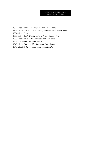#### POE'S PRINCIPAL PUBLICATIONS

- 1827—Poe's first book, *Tamerlane and Other Poems*
- 1829—Poe's second book, *Al Aaraaf, Tamerlane and Minor Poems*
- 1831—Poe's *Poems*
- 1838 (July)—Poe's *The Narrative of Arthur Gordon Pym*
- 1839—Poe's *Tales of the Grotesque and Arabesque*
- 1843 (July)—Poe's *Prose Romances*
- 1845—Poe's *Tales* and *The Raven and Other Poems*
- 1848 (about 15 July)—Poe's prose poem, *Eureka*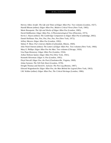#### **BIBLIOGRAPHY**

Hervey Allen: *Israfel. The Life and Times of Edgar Allan Poe.* Two volumes (London, 1927). Harold Bloom (editor): *Edgar Allan Poe, Modern Critical Views* (New York, 1985). Marie Bonaparte: *The Life and Works of Edgar Allan Poe* (London, 1985). David Halliburton: *Edgar Allan Poe, A Phenomenological View* (Princeton, 1973). Kevin J. Hayes (editor): *The Cambridge Companion to Edgar Allan Poe* (Cambridge, 2002). Daniel Hoffman: *Poe, Poe, Poe, Poe, Poe, Poe* (New York, 1972). Jeffrey Meyers: *Edgar Allan Poe* (London, 1992). Sidney P. Moss: *Poe's Literary Battles* (Carbondale, Illinois, 1969). John Ward Ostrom (editor): *The Letters of Edgar Allan Poe.* Two volumes (New York, 1966). Mary E. Phillips: *Edgar Allan Poe the Man.* Two volumes (Chicago, 1926). Una Pope-Hennessy: *Edgar Allan Poe* (London, 1934). Arthur Hobson Quinn: *Edgar Allan Poe* (New York, 1941). Kenneth Silverman: *Edgar A. Poe* (London, 1992). Floyd Stovall: *Edgar Poe, the Poet* (Charlottesville, Virginia, 1969). Julian Symons: *The Tell-Tale Heart* (London, 1978). Dwight Thomas and David K. Jackson: *The Poe Log* (Boston, 1987). Edward Wagenknecht: *Edgar Allan Poe, the Man Behind the Legend* (New York, 1963). I.M. Walker (editor): *Edgar Allan Poe, The Critical Heritage* (London, 1986).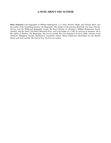## *A NOTE ABOUT THE AUTHOR*

**Peter Ackroyd** is the biographer of William Shakespeare, T. S. Eliot, Dickens, Blake, and Thomas More, and the author of the bestselling *London: the Biography.* The subject of his previous *Brief Life* was Isaac Newton. He has won the Whitbread Biography Award, the Royal Society of Literature's William Heinemann Award (jointly), and the James Tait Black Memorial Prize, and is the holder of a CBE for services to literature. He is the author of *Thames: The Biography.* His novels include *The Last Testament of Oscar Wilde* (winner of the Somerset Maugham Award), *Hawksmoor* (Guardian Fiction Prize), *Chatterton* (shortlisted for the Booker Prize), and most recently *The Fall of Troy.* He lives in London.